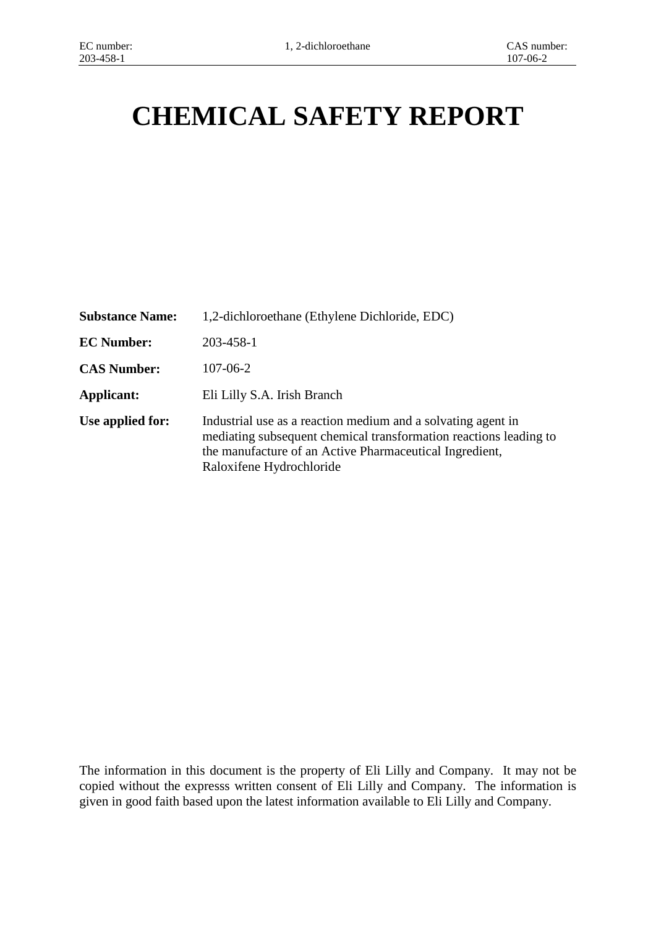# **CHEMICAL SAFETY REPORT**

| <b>Substance Name:</b> | 1,2-dichloroethane (Ethylene Dichloride, EDC)                                                                                                                                                                            |
|------------------------|--------------------------------------------------------------------------------------------------------------------------------------------------------------------------------------------------------------------------|
| <b>EC Number:</b>      | 203-458-1                                                                                                                                                                                                                |
| <b>CAS Number:</b>     | $107 - 06 - 2$                                                                                                                                                                                                           |
| Applicant:             | Eli Lilly S.A. Irish Branch                                                                                                                                                                                              |
| Use applied for:       | Industrial use as a reaction medium and a solvating agent in<br>mediating subsequent chemical transformation reactions leading to<br>the manufacture of an Active Pharmaceutical Ingredient,<br>Raloxifene Hydrochloride |

The information in this document is the property of Eli Lilly and Company. It may not be copied without the expresss written consent of Eli Lilly and Company. The information is given in good faith based upon the latest information available to Eli Lilly and Company.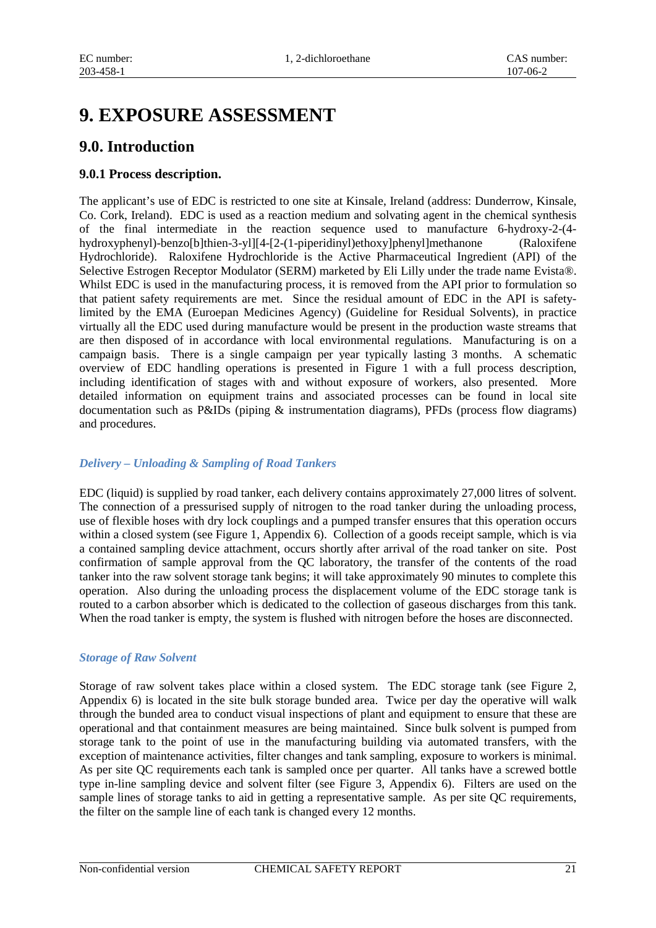# **9. EXPOSURE ASSESSMENT**

# **9.0. Introduction**

#### **9.0.1 Process description.**

The applicant's use of EDC is restricted to one site at Kinsale, Ireland (address: Dunderrow, Kinsale, Co. Cork, Ireland). EDC is used as a reaction medium and solvating agent in the chemical synthesis of the final intermediate in the reaction sequence used to manufacture 6-hydroxy-2-(4 hydroxyphenyl)-benzo[b]thien-3-yl][4-[2-(1-piperidinyl)ethoxy]phenyl]methanone (Raloxifene Hydrochloride). Raloxifene Hydrochloride is the Active Pharmaceutical Ingredient (API) of the Selective Estrogen Receptor Modulator (SERM) marketed by Eli Lilly under the trade name Evista®. Whilst EDC is used in the manufacturing process, it is removed from the API prior to formulation so that patient safety requirements are met. Since the residual amount of EDC in the API is safetylimited by the EMA (Euroepan Medicines Agency) (Guideline for Residual Solvents), in practice virtually all the EDC used during manufacture would be present in the production waste streams that are then disposed of in accordance with local environmental regulations. Manufacturing is on a campaign basis. There is a single campaign per year typically lasting 3 months. A schematic overview of EDC handling operations is presented in Figure 1 with a full process description, including identification of stages with and without exposure of workers, also presented. More detailed information on equipment trains and associated processes can be found in local site documentation such as P&IDs (piping & instrumentation diagrams), PFDs (process flow diagrams) and procedures.

#### *Delivery – Unloading & Sampling of Road Tankers*

EDC (liquid) is supplied by road tanker, each delivery contains approximately 27,000 litres of solvent. The connection of a pressurised supply of nitrogen to the road tanker during the unloading process, use of flexible hoses with dry lock couplings and a pumped transfer ensures that this operation occurs within a closed system (see Figure 1, Appendix 6). Collection of a goods receipt sample, which is via a contained sampling device attachment, occurs shortly after arrival of the road tanker on site. Post confirmation of sample approval from the QC laboratory, the transfer of the contents of the road tanker into the raw solvent storage tank begins; it will take approximately 90 minutes to complete this operation. Also during the unloading process the displacement volume of the EDC storage tank is routed to a carbon absorber which is dedicated to the collection of gaseous discharges from this tank. When the road tanker is empty, the system is flushed with nitrogen before the hoses are disconnected.

#### *Storage of Raw Solvent*

Storage of raw solvent takes place within a closed system. The EDC storage tank (see Figure 2, Appendix 6) is located in the site bulk storage bunded area. Twice per day the operative will walk through the bunded area to conduct visual inspections of plant and equipment to ensure that these are operational and that containment measures are being maintained. Since bulk solvent is pumped from storage tank to the point of use in the manufacturing building via automated transfers, with the exception of maintenance activities, filter changes and tank sampling, exposure to workers is minimal. As per site QC requirements each tank is sampled once per quarter. All tanks have a screwed bottle type in-line sampling device and solvent filter (see Figure 3, Appendix 6). Filters are used on the sample lines of storage tanks to aid in getting a representative sample. As per site QC requirements, the filter on the sample line of each tank is changed every 12 months.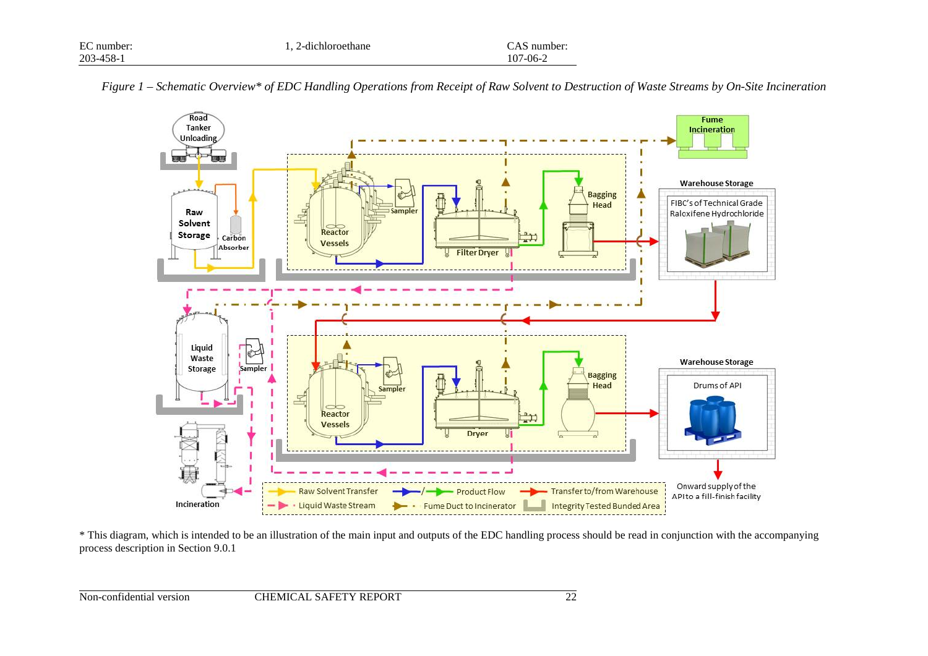| EC number: | 1. 2-dichloroethane | CAS number:    |
|------------|---------------------|----------------|
| 203-458-1  |                     | $107 - 06 - 2$ |



*Figure 1 – Schematic Overview\* of EDC Handling Operations from Receipt of Raw Solvent to Destruction of Waste Streams by On-Site Incineration* 

\* This diagram, which is intended to be an illustration of the main input and outputs of the EDC handling process should be read in conjunction with the accompanying process description in Section 9.0.1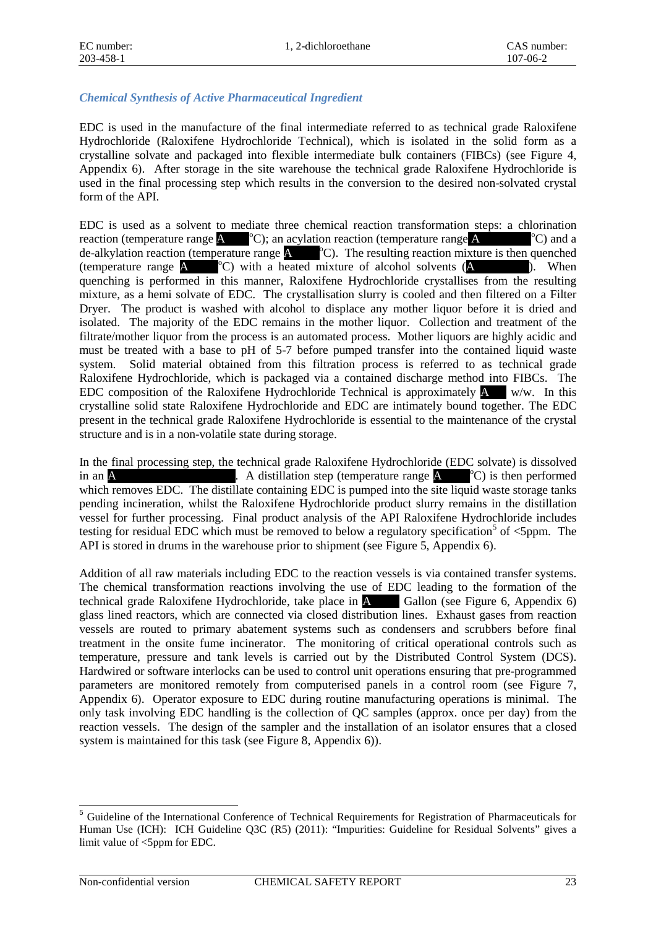#### *Chemical Synthesis of Active Pharmaceutical Ingredient*

EDC is used in the manufacture of the final intermediate referred to as technical grade Raloxifene Hydrochloride (Raloxifene Hydrochloride Technical), which is isolated in the solid form as a crystalline solvate and packaged into flexible intermediate bulk containers (FIBCs) (see Figure 4, Appendix 6). After storage in the site warehouse the technical grade Raloxifene Hydrochloride is used in the final processing step which results in the conversion to the desired non-solvated crystal form of the API.

EDC is used as a solvent to mediate three chemical reaction transformation steps: a chlorination reaction (temperature range  $\blacktriangle$   $^{\circ}$ C); an acylation reaction (temperature range  $\blacktriangle$  $^{\circ}$ C) and a de-alkylation reaction (temperature range **A** <sup>o</sup>C). The resulting reaction mixture is then quenched (temperature range  $\triangle$   $^{\circ}$ C) with a heated mixture of alcohol solvents ( $\triangle$   $\triangle$   $\triangle$   $\triangle$   $\triangle$   $\triangle$   $\triangle$ quenching is performed in this manner, Raloxifene Hydrochloride crystallises from the resulting mixture, as a hemi solvate of EDC. The crystallisation slurry is cooled and then filtered on a Filter Dryer. The product is washed with alcohol to displace any mother liquor before it is dried and isolated. The majority of the EDC remains in the mother liquor. Collection and treatment of the filtrate/mother liquor from the process is an automated process. Mother liquors are highly acidic and must be treated with a base to pH of 5-7 before pumped transfer into the contained liquid waste system. Solid material obtained from this filtration process is referred to as technical grade Raloxifene Hydrochloride, which is packaged via a contained discharge method into FIBCs. The EDC composition of the Raloxifene Hydrochloride Technical is approximately  $\Lambda$  w/w. In this crystalline solid state Raloxifene Hydrochloride and EDC are intimately bound together. The EDC present in the technical grade Raloxifene Hydrochloride is essential to the maintenance of the crystal structure and is in a non-volatile state during storage.

In the final processing step, the technical grade Raloxifene Hydrochloride (EDC solvate) is dissolved in an A \*\*\*\*\*\*\*\*\*\*\*\*\*\*\*\*\*\*\*. A distillation step (temperature range A \*\*\*\*<sup>o</sup> C) is then performed which removes EDC. The distillate containing EDC is pumped into the site liquid waste storage tanks pending incineration, whilst the Raloxifene Hydrochloride product slurry remains in the distillation vessel for further processing. Final product analysis of the API Raloxifene Hydrochloride includes testing for residual EDC which must be removed to below a regulatory specification<sup>[5](#page-3-0)</sup> of  $\lt$ 5ppm. The API is stored in drums in the warehouse prior to shipment (see Figure 5, Appendix 6).

Addition of all raw materials including EDC to the reaction vessels is via contained transfer systems. The chemical transformation reactions involving the use of EDC leading to the formation of the technical grade Raloxifene Hydrochloride, take place in **A** Gallon (see Figure 6, Appendix 6) technical grade Raloxifene Hydrochloride, take place in A glass lined reactors, which are connected via closed distribution lines. Exhaust gases from reaction vessels are routed to primary abatement systems such as condensers and scrubbers before final treatment in the onsite fume incinerator. The monitoring of critical operational controls such as temperature, pressure and tank levels is carried out by the Distributed Control System (DCS). Hardwired or software interlocks can be used to control unit operations ensuring that pre-programmed parameters are monitored remotely from computerised panels in a control room (see Figure 7, Appendix 6). Operator exposure to EDC during routine manufacturing operations is minimal. The only task involving EDC handling is the collection of QC samples (approx. once per day) from the reaction vessels. The design of the sampler and the installation of an isolator ensures that a closed system is maintained for this task (see Figure 8, Appendix 6)).

<span id="page-3-0"></span><sup>&</sup>lt;sup>5</sup> Guideline of the International Conference of Technical Requirements for Registration of Pharmaceuticals for Human Use (ICH): ICH Guideline Q3C (R5) (2011): "Impurities: Guideline for Residual Solvents" gives a limit value of <5ppm for EDC. -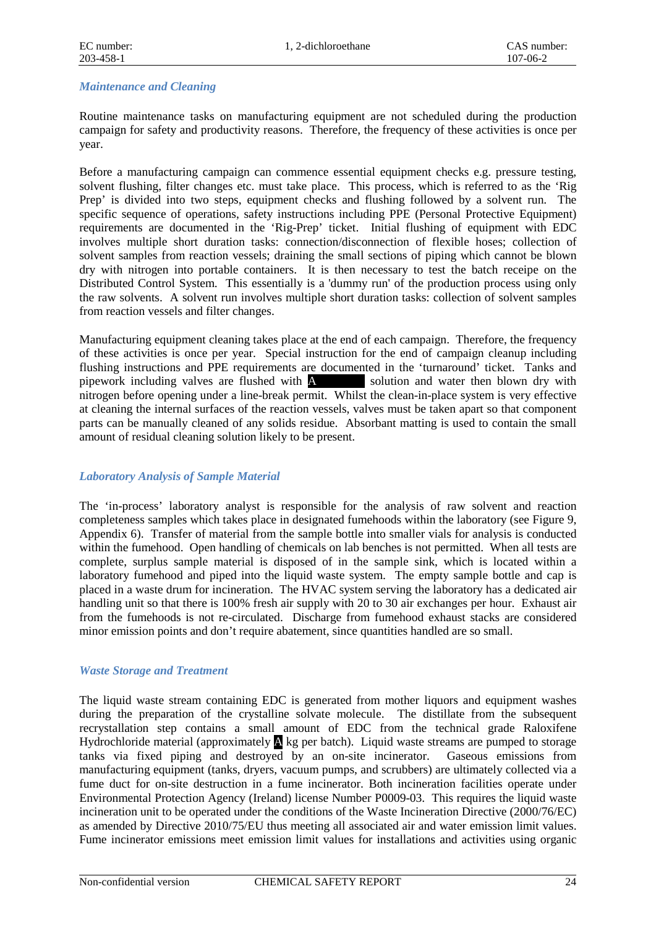#### *Maintenance and Cleaning*

Routine maintenance tasks on manufacturing equipment are not scheduled during the production campaign for safety and productivity reasons. Therefore, the frequency of these activities is once per year.

Before a manufacturing campaign can commence essential equipment checks e.g. pressure testing, solvent flushing, filter changes etc. must take place. This process, which is referred to as the 'Rig Prep' is divided into two steps, equipment checks and flushing followed by a solvent run. The specific sequence of operations, safety instructions including PPE (Personal Protective Equipment) requirements are documented in the 'Rig-Prep' ticket. Initial flushing of equipment with EDC involves multiple short duration tasks: connection/disconnection of flexible hoses; collection of solvent samples from reaction vessels; draining the small sections of piping which cannot be blown dry with nitrogen into portable containers. It is then necessary to test the batch receipe on the Distributed Control System. This essentially is a 'dummy run' of the production process using only the raw solvents. A solvent run involves multiple short duration tasks: collection of solvent samples from reaction vessels and filter changes.

Manufacturing equipment cleaning takes place at the end of each campaign. Therefore, the frequency of these activities is once per year. Special instruction for the end of campaign cleanup including flushing instructions and PPE requirements are documented in the 'turnaround' ticket. Tanks and pipework including valves are flushed with A solution and water then blown dry with nitrogen before opening under a line-break permit. Whilst the clean-in-place system is very effective at cleaning the internal surfaces of the reaction vessels, valves must be taken apart so that component parts can be manually cleaned of any solids residue. Absorbant matting is used to contain the small amount of residual cleaning solution likely to be present.

#### *Laboratory Analysis of Sample Material*

The 'in-process' laboratory analyst is responsible for the analysis of raw solvent and reaction completeness samples which takes place in designated fumehoods within the laboratory (see Figure 9, Appendix 6). Transfer of material from the sample bottle into smaller vials for analysis is conducted within the fumehood. Open handling of chemicals on lab benches is not permitted. When all tests are complete, surplus sample material is disposed of in the sample sink, which is located within a laboratory fumehood and piped into the liquid waste system. The empty sample bottle and cap is placed in a waste drum for incineration. The HVAC system serving the laboratory has a dedicated air handling unit so that there is 100% fresh air supply with 20 to 30 air exchanges per hour. Exhaust air from the fumehoods is not re-circulated. Discharge from fumehood exhaust stacks are considered minor emission points and don't require abatement, since quantities handled are so small.

#### *Waste Storage and Treatment*

The liquid waste stream containing EDC is generated from mother liquors and equipment washes during the preparation of the crystalline solvate molecule. The distillate from the subsequent recrystallation step contains a small amount of EDC from the technical grade Raloxifene Hydrochloride material (approximately  $\triangle$  kg per batch). Liquid waste streams are pumped to storage tanks via fixed piping and destroyed by an on-site incinerator. Gaseous emissions from manufacturing equipment (tanks, dryers, vacuum pumps, and scrubbers) are ultimately collected via a fume duct for on-site destruction in a fume incinerator. Both incineration facilities operate under Environmental Protection Agency (Ireland) license Number P0009-03. This requires the liquid waste incineration unit to be operated under the conditions of the Waste Incineration Directive (2000/76/EC) as amended by Directive 2010/75/EU thus meeting all associated air and water emission limit values. Fume incinerator emissions meet emission limit values for installations and activities using organic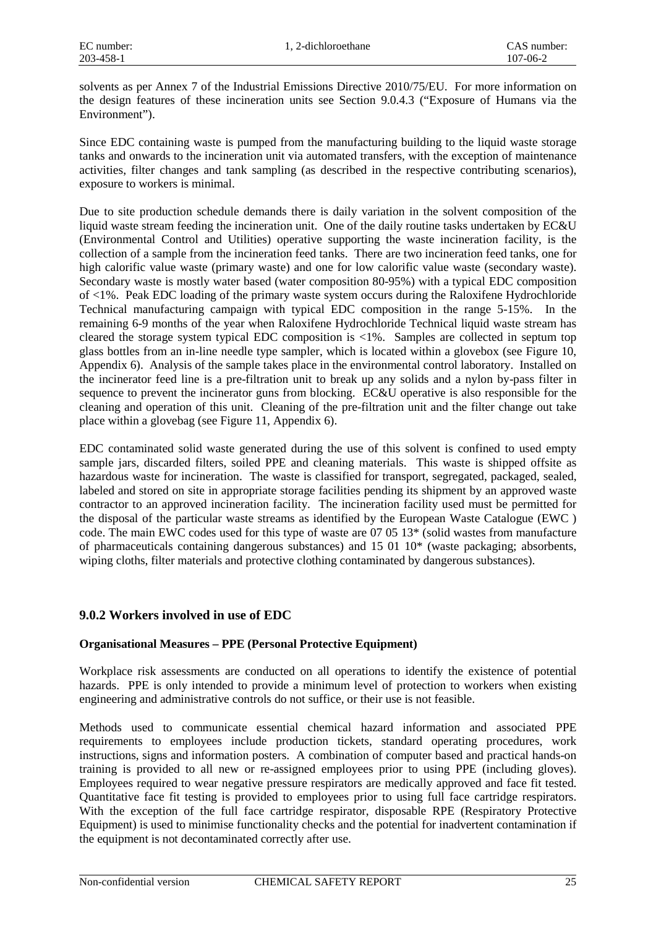solvents as per Annex 7 of the Industrial Emissions Directive 2010/75/EU. For more information on the design features of these incineration units see Section 9.0.4.3 ("Exposure of Humans via the Environment").

Since EDC containing waste is pumped from the manufacturing building to the liquid waste storage tanks and onwards to the incineration unit via automated transfers, with the exception of maintenance activities, filter changes and tank sampling (as described in the respective contributing scenarios), exposure to workers is minimal.

Due to site production schedule demands there is daily variation in the solvent composition of the liquid waste stream feeding the incineration unit. One of the daily routine tasks undertaken by EC&U (Environmental Control and Utilities) operative supporting the waste incineration facility, is the collection of a sample from the incineration feed tanks. There are two incineration feed tanks, one for high calorific value waste (primary waste) and one for low calorific value waste (secondary waste). Secondary waste is mostly water based (water composition 80-95%) with a typical EDC composition of <1%. Peak EDC loading of the primary waste system occurs during the Raloxifene Hydrochloride Technical manufacturing campaign with typical EDC composition in the range 5-15%. In the remaining 6-9 months of the year when Raloxifene Hydrochloride Technical liquid waste stream has cleared the storage system typical EDC composition is  $\langle 1\% \rangle$ . Samples are collected in septum top glass bottles from an in-line needle type sampler, which is located within a glovebox (see Figure 10, Appendix 6). Analysis of the sample takes place in the environmental control laboratory. Installed on the incinerator feed line is a pre-filtration unit to break up any solids and a nylon by-pass filter in sequence to prevent the incinerator guns from blocking. EC&U operative is also responsible for the cleaning and operation of this unit. Cleaning of the pre-filtration unit and the filter change out take place within a glovebag (see Figure 11, Appendix 6).

EDC contaminated solid waste generated during the use of this solvent is confined to used empty sample jars, discarded filters, soiled PPE and cleaning materials. This waste is shipped offsite as hazardous waste for incineration. The waste is classified for transport, segregated, packaged, sealed, labeled and stored on site in appropriate storage facilities pending its shipment by an approved waste contractor to an approved incineration facility. The incineration facility used must be permitted for the disposal of the particular waste streams as identified by the European Waste Catalogue (EWC ) code. The main EWC codes used for this type of waste are 07 05 13\* (solid wastes from manufacture of pharmaceuticals containing dangerous substances) and 15 01 10\* (waste packaging; absorbents, wiping cloths, filter materials and protective clothing contaminated by dangerous substances).

#### **9.0.2 Workers involved in use of EDC**

#### **Organisational Measures – PPE (Personal Protective Equipment)**

Workplace risk assessments are conducted on all operations to identify the existence of potential hazards. PPE is only intended to provide a minimum level of protection to workers when existing engineering and administrative controls do not suffice, or their use is not feasible.

Methods used to communicate essential chemical hazard information and associated PPE requirements to employees include production tickets, standard operating procedures, work instructions, signs and information posters. A combination of computer based and practical hands-on training is provided to all new or re-assigned employees prior to using PPE (including gloves). Employees required to wear negative pressure respirators are medically approved and face fit tested. Quantitative face fit testing is provided to employees prior to using full face cartridge respirators. With the exception of the full face cartridge respirator, disposable RPE (Respiratory Protective Equipment) is used to minimise functionality checks and the potential for inadvertent contamination if the equipment is not decontaminated correctly after use.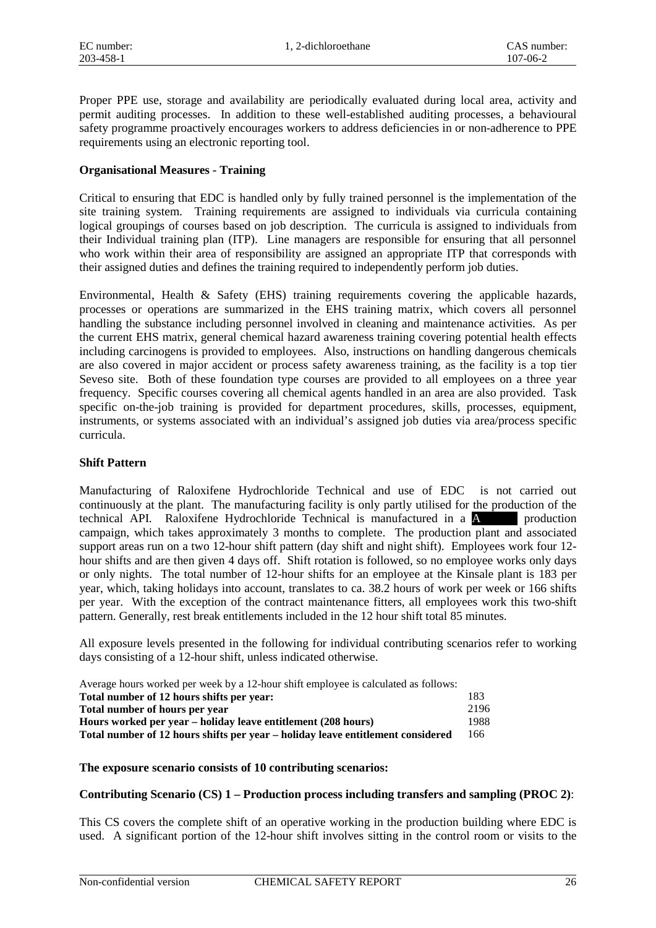Proper PPE use, storage and availability are periodically evaluated during local area, activity and permit auditing processes. In addition to these well-established auditing processes, a behavioural safety programme proactively encourages workers to address deficiencies in or non-adherence to PPE requirements using an electronic reporting tool.

#### **Organisational Measures - Training**

Critical to ensuring that EDC is handled only by fully trained personnel is the implementation of the site training system. Training requirements are assigned to individuals via curricula containing logical groupings of courses based on job description. The curricula is assigned to individuals from their Individual training plan (ITP). Line managers are responsible for ensuring that all personnel who work within their area of responsibility are assigned an appropriate ITP that corresponds with their assigned duties and defines the training required to independently perform job duties.

Environmental, Health & Safety (EHS) training requirements covering the applicable hazards, processes or operations are summarized in the EHS training matrix, which covers all personnel handling the substance including personnel involved in cleaning and maintenance activities. As per the current EHS matrix, general chemical hazard awareness training covering potential health effects including carcinogens is provided to employees. Also, instructions on handling dangerous chemicals are also covered in major accident or process safety awareness training, as the facility is a top tier Seveso site. Both of these foundation type courses are provided to all employees on a three year frequency. Specific courses covering all chemical agents handled in an area are also provided. Task specific on-the-job training is provided for department procedures, skills, processes, equipment, instruments, or systems associated with an individual's assigned job duties via area/process specific curricula.

#### **Shift Pattern**

Manufacturing of Raloxifene Hydrochloride Technical and use of EDC is not carried out continuously at the plant. The manufacturing facility is only partly utilised for the production of the technical API. Raloxifene Hydrochloride Technical is manufactured in a A \*\*\*\* production campaign, which takes approximately 3 months to complete. The production plant and associated support areas run on a two 12-hour shift pattern (day shift and night shift). Employees work four 12 hour shifts and are then given 4 days off. Shift rotation is followed, so no employee works only days or only nights. The total number of 12-hour shifts for an employee at the Kinsale plant is 183 per year, which, taking holidays into account, translates to ca. 38.2 hours of work per week or 166 shifts per year. With the exception of the contract maintenance fitters, all employees work this two-shift pattern. Generally, rest break entitlements included in the 12 hour shift total 85 minutes.

All exposure levels presented in the following for individual contributing scenarios refer to working days consisting of a 12-hour shift, unless indicated otherwise.

| Average hours worked per week by a 12-hour shift employee is calculated as follows: |      |
|-------------------------------------------------------------------------------------|------|
| Total number of 12 hours shifts per year:                                           | 183  |
| Total number of hours per year                                                      | 2196 |
| Hours worked per year – holiday leave entitlement (208 hours)                       | 1988 |
| Total number of 12 hours shifts per year – holiday leave entitlement considered     | 166  |

#### **The exposure scenario consists of 10 contributing scenarios:**

#### **Contributing Scenario (CS) 1 – Production process including transfers and sampling (PROC 2)**:

This CS covers the complete shift of an operative working in the production building where EDC is used. A significant portion of the 12-hour shift involves sitting in the control room or visits to the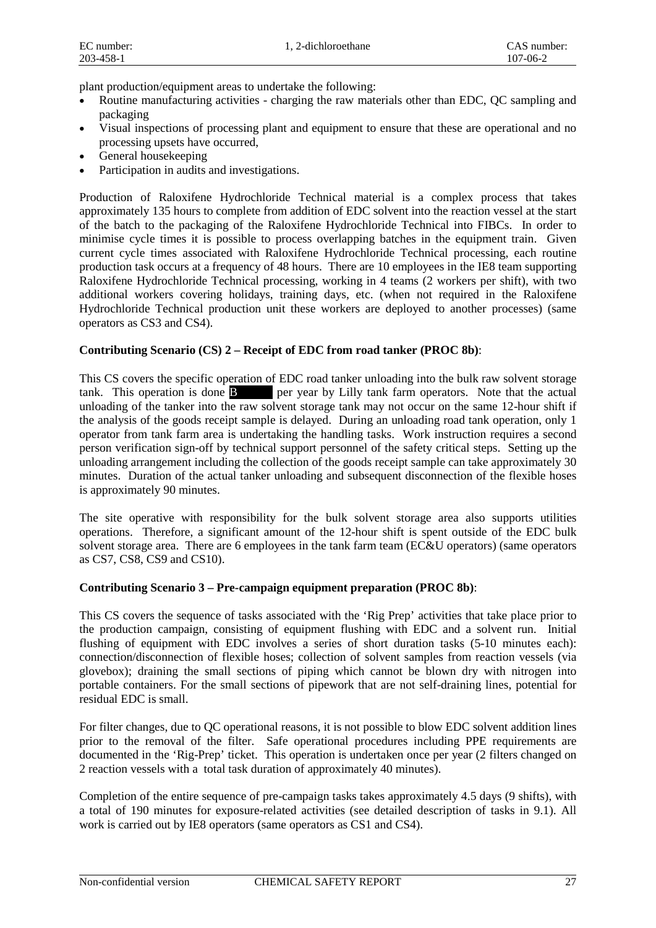plant production/equipment areas to undertake the following:

- Routine manufacturing activities charging the raw materials other than EDC, QC sampling and packaging
- Visual inspections of processing plant and equipment to ensure that these are operational and no processing upsets have occurred,
- General housekeeping
- Participation in audits and investigations.

Production of Raloxifene Hydrochloride Technical material is a complex process that takes approximately 135 hours to complete from addition of EDC solvent into the reaction vessel at the start of the batch to the packaging of the Raloxifene Hydrochloride Technical into FIBCs. In order to minimise cycle times it is possible to process overlapping batches in the equipment train. Given current cycle times associated with Raloxifene Hydrochloride Technical processing, each routine production task occurs at a frequency of 48 hours. There are 10 employees in the IE8 team supporting Raloxifene Hydrochloride Technical processing, working in 4 teams (2 workers per shift), with two additional workers covering holidays, training days, etc. (when not required in the Raloxifene Hydrochloride Technical production unit these workers are deployed to another processes) (same operators as CS3 and CS4).

#### **Contributing Scenario (CS) 2 – Receipt of EDC from road tanker (PROC 8b)**:

This CS covers the specific operation of EDC road tanker unloading into the bulk raw solvent storage tank. This operation is done **B** \*\*\*\* per year by Lilly tank farm operators. Note that the actual unloading of the tanker into the raw solvent storage tank may not occur on the same 12-hour shift if the analysis of the goods receipt sample is delayed. During an unloading road tank operation, only 1 operator from tank farm area is undertaking the handling tasks. Work instruction requires a second person verification sign-off by technical support personnel of the safety critical steps. Setting up the unloading arrangement including the collection of the goods receipt sample can take approximately 30 minutes. Duration of the actual tanker unloading and subsequent disconnection of the flexible hoses is approximately 90 minutes.

The site operative with responsibility for the bulk solvent storage area also supports utilities operations. Therefore, a significant amount of the 12-hour shift is spent outside of the EDC bulk solvent storage area. There are 6 employees in the tank farm team (EC&U operators) (same operators as CS7, CS8, CS9 and CS10).

#### **Contributing Scenario 3 – Pre-campaign equipment preparation (PROC 8b)**:

This CS covers the sequence of tasks associated with the 'Rig Prep' activities that take place prior to the production campaign, consisting of equipment flushing with EDC and a solvent run. Initial flushing of equipment with EDC involves a series of short duration tasks  $(5-10)$  minutes each): connection/disconnection of flexible hoses; collection of solvent samples from reaction vessels (via glovebox); draining the small sections of piping which cannot be blown dry with nitrogen into portable containers. For the small sections of pipework that are not self-draining lines, potential for residual EDC is small.

For filter changes, due to QC operational reasons, it is not possible to blow EDC solvent addition lines prior to the removal of the filter. Safe operational procedures including PPE requirements are documented in the 'Rig-Prep' ticket. This operation is undertaken once per year (2 filters changed on 2 reaction vessels with a total task duration of approximately 40 minutes).

Completion of the entire sequence of pre-campaign tasks takes approximately 4.5 days (9 shifts), with a total of 190 minutes for exposure-related activities (see detailed description of tasks in 9.1). All work is carried out by IE8 operators (same operators as CS1 and CS4).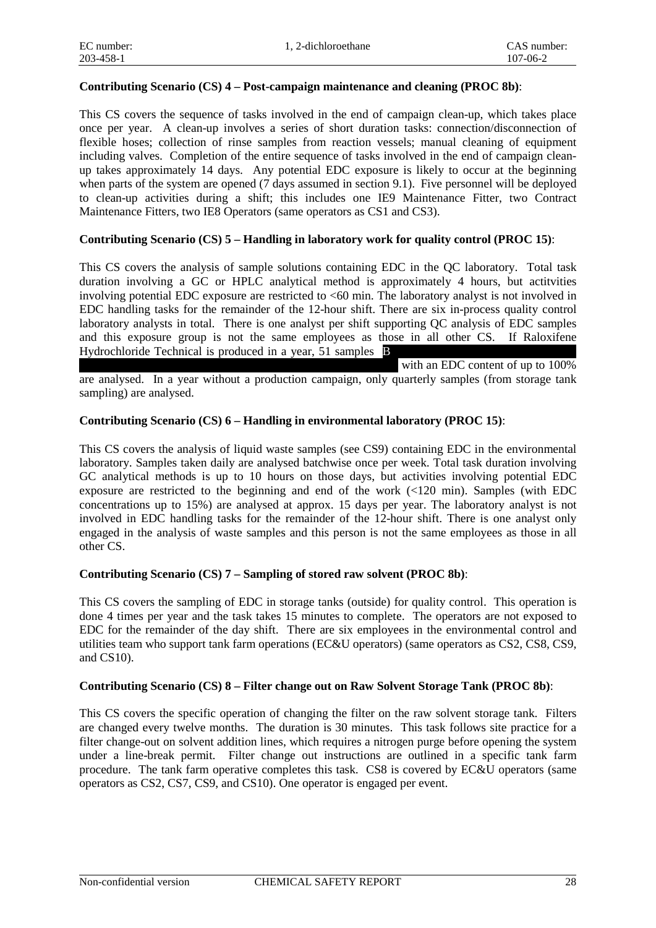#### **Contributing Scenario (CS) 4 – Post-campaign maintenance and cleaning (PROC 8b)**:

This CS covers the sequence of tasks involved in the end of campaign clean-up, which takes place once per year. A clean-up involves a series of short duration tasks: connection/disconnection of flexible hoses; collection of rinse samples from reaction vessels; manual cleaning of equipment including valves. Completion of the entire sequence of tasks involved in the end of campaign cleanup takes approximately 14 days. Any potential EDC exposure is likely to occur at the beginning when parts of the system are opened (7 days assumed in section 9.1). Five personnel will be deployed to clean-up activities during a shift; this includes one IE9 Maintenance Fitter, two Contract Maintenance Fitters, two IE8 Operators (same operators as CS1 and CS3).

#### **Contributing Scenario (CS) 5 – Handling in laboratory work for quality control (PROC 15)**:

This CS covers the analysis of sample solutions containing EDC in the QC laboratory. Total task duration involving a GC or HPLC analytical method is approximately 4 hours, but actitvities involving potential EDC exposure are restricted to <60 min. The laboratory analyst is not involved in EDC handling tasks for the remainder of the 12-hour shift. There are six in-process quality control laboratory analysts in total. There is one analyst per shift supporting QC analysis of EDC samples and this exposure group is not the same employees as those in all other CS. If Raloxifene Hydrochloride Technical is produced in a year, 51 samples  $\mathbf{\mathbb{B}}$ 

with an EDC content of up to  $100\%$ 

are analysed. In a year without a production campaign, only quarterly samples (from storage tank sampling) are analysed.

#### **Contributing Scenario (CS) 6 – Handling in environmental laboratory (PROC 15)**:

This CS covers the analysis of liquid waste samples (see CS9) containing EDC in the environmental laboratory. Samples taken daily are analysed batchwise once per week. Total task duration involving GC analytical methods is up to 10 hours on those days, but activities involving potential EDC exposure are restricted to the beginning and end of the work (<120 min). Samples (with EDC concentrations up to 15%) are analysed at approx. 15 days per year. The laboratory analyst is not involved in EDC handling tasks for the remainder of the 12-hour shift. There is one analyst only engaged in the analysis of waste samples and this person is not the same employees as those in all other CS.

#### **Contributing Scenario (CS) 7 – Sampling of stored raw solvent (PROC 8b)**:

This CS covers the sampling of EDC in storage tanks (outside) for quality control. This operation is done 4 times per year and the task takes 15 minutes to complete. The operators are not exposed to EDC for the remainder of the day shift. There are six employees in the environmental control and utilities team who support tank farm operations (EC&U operators) (same operators as CS2, CS8, CS9, and CS10).

#### **Contributing Scenario (CS) 8 – Filter change out on Raw Solvent Storage Tank (PROC 8b)**:

This CS covers the specific operation of changing the filter on the raw solvent storage tank. Filters are changed every twelve months. The duration is 30 minutes. This task follows site practice for a filter change-out on solvent addition lines, which requires a nitrogen purge before opening the system under a line-break permit. Filter change out instructions are outlined in a specific tank farm procedure. The tank farm operative completes this task. CS8 is covered by EC&U operators (same operators as CS2, CS7, CS9, and CS10). One operator is engaged per event.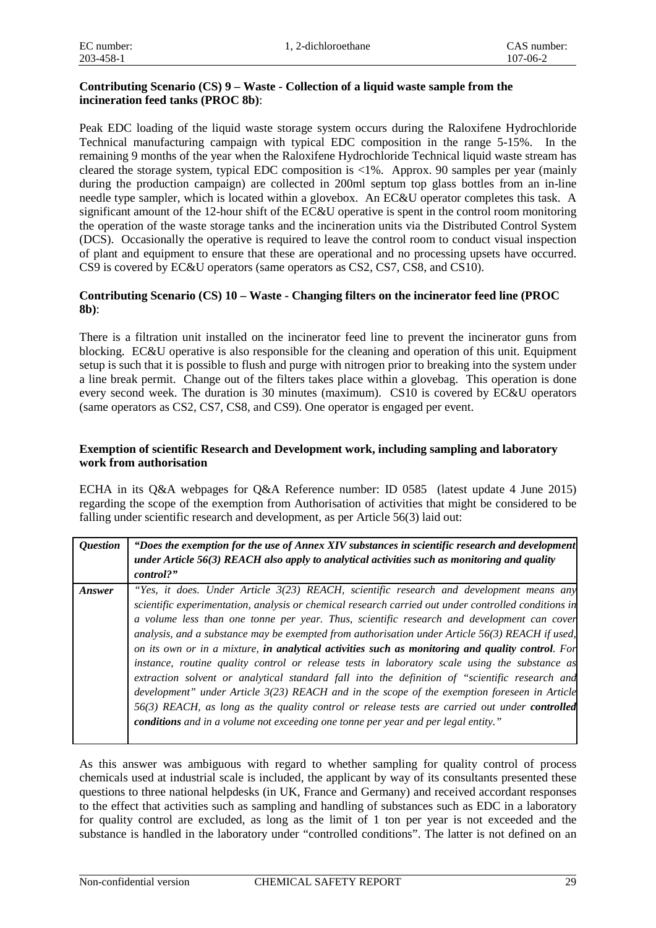#### **Contributing Scenario (CS) 9 – Waste - Collection of a liquid waste sample from the incineration feed tanks (PROC 8b)**:

Peak EDC loading of the liquid waste storage system occurs during the Raloxifene Hydrochloride Technical manufacturing campaign with typical EDC composition in the range 5-15%. In the remaining 9 months of the year when the Raloxifene Hydrochloride Technical liquid waste stream has cleared the storage system, typical EDC composition is <1%. Approx. 90 samples per year (mainly during the production campaign) are collected in 200ml septum top glass bottles from an in-line needle type sampler, which is located within a glovebox. An EC&U operator completes this task. A significant amount of the 12-hour shift of the EC&U operative is spent in the control room monitoring the operation of the waste storage tanks and the incineration units via the Distributed Control System (DCS). Occasionally the operative is required to leave the control room to conduct visual inspection of plant and equipment to ensure that these are operational and no processing upsets have occurred. CS9 is covered by EC&U operators (same operators as CS2, CS7, CS8, and CS10).

#### **Contributing Scenario (CS) 10 – Waste - Changing filters on the incinerator feed line (PROC 8b)**:

There is a filtration unit installed on the incinerator feed line to prevent the incinerator guns from blocking. EC&U operative is also responsible for the cleaning and operation of this unit. Equipment setup is such that it is possible to flush and purge with nitrogen prior to breaking into the system under a line break permit. Change out of the filters takes place within a glovebag. This operation is done every second week. The duration is 30 minutes (maximum). CS10 is covered by EC&U operators (same operators as CS2, CS7, CS8, and CS9). One operator is engaged per event.

#### **Exemption of scientific Research and Development work, including sampling and laboratory work from authorisation**

ECHA in its Q&A webpages for Q&A Reference number: ID 0585 (latest update 4 June 2015) regarding the scope of the exemption from Authorisation of activities that might be considered to be falling under scientific research and development, as per Article 56(3) laid out:

| <i><b>Ouestion</b></i> | "Does the exemption for the use of Annex XIV substances in scientific research and development<br>under Article $56(3)$ REACH also apply to analytical activities such as monitoring and quality<br>control?"                                                                                                                                                                                                                                                                                                                                                                                                                                                                                                                                                                                                                                                                                                                                                                                           |
|------------------------|---------------------------------------------------------------------------------------------------------------------------------------------------------------------------------------------------------------------------------------------------------------------------------------------------------------------------------------------------------------------------------------------------------------------------------------------------------------------------------------------------------------------------------------------------------------------------------------------------------------------------------------------------------------------------------------------------------------------------------------------------------------------------------------------------------------------------------------------------------------------------------------------------------------------------------------------------------------------------------------------------------|
| Answer                 | "Yes, it does. Under Article 3(23) REACH, scientific research and development means any<br>scientific experimentation, analysis or chemical research carried out under controlled conditions in<br>a volume less than one tonne per year. Thus, scientific research and development can cover<br>analysis, and a substance may be exempted from authorisation under Article $56(3)$ REACH if used,<br>on its own or in a mixture, in analytical activities such as monitoring and quality control. For<br>instance, routine quality control or release tests in laboratory scale using the substance as<br>extraction solvent or analytical standard fall into the definition of "scientific research and<br>development" under Article 3(23) REACH and in the scope of the exemption foreseen in Article<br>56(3) REACH, as long as the quality control or release tests are carried out under <b>controlled</b><br>conditions and in a volume not exceeding one tonne per year and per legal entity." |

As this answer was ambiguous with regard to whether sampling for quality control of process chemicals used at industrial scale is included, the applicant by way of its consultants presented these questions to three national helpdesks (in UK, France and Germany) and received accordant responses to the effect that activities such as sampling and handling of substances such as EDC in a laboratory for quality control are excluded, as long as the limit of 1 ton per year is not exceeded and the substance is handled in the laboratory under "controlled conditions". The latter is not defined on an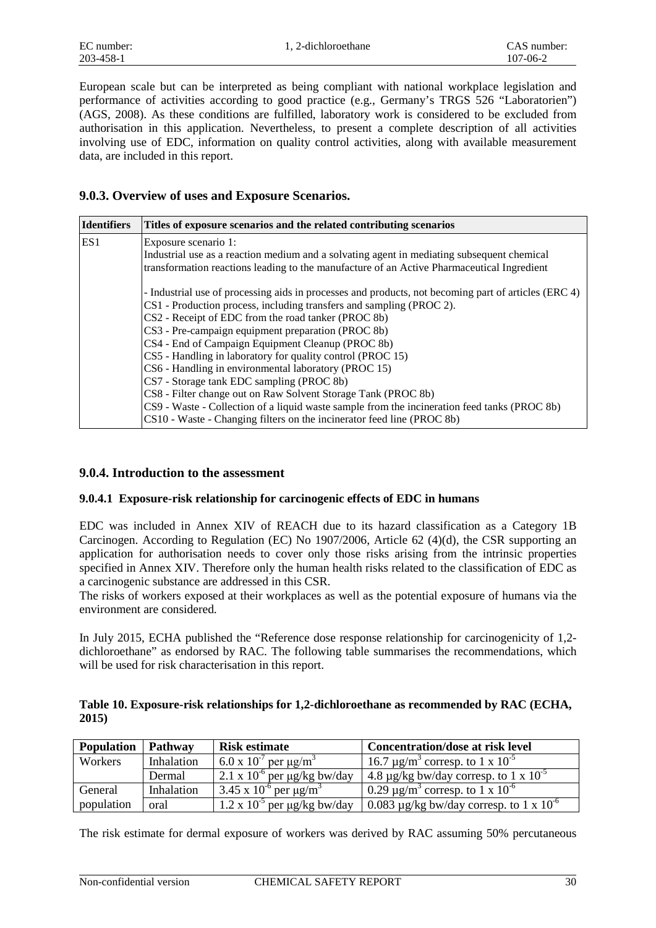European scale but can be interpreted as being compliant with national workplace legislation and performance of activities according to good practice (e.g., Germany's TRGS 526 "Laboratorien") (AGS, 2008). As these conditions are fulfilled, laboratory work is considered to be excluded from authorisation in this application. Nevertheless, to present a complete description of all activities involving use of EDC, information on quality control activities, along with available measurement data, are included in this report.

#### **9.0.3. Overview of uses and Exposure Scenarios.**

| <b>Identifiers</b> | Titles of exposure scenarios and the related contributing scenarios                                  |
|--------------------|------------------------------------------------------------------------------------------------------|
| ES1                | Exposure scenario 1:                                                                                 |
|                    | Industrial use as a reaction medium and a solvating agent in mediating subsequent chemical           |
|                    | transformation reactions leading to the manufacture of an Active Pharmaceutical Ingredient           |
|                    | - Industrial use of processing aids in processes and products, not becoming part of articles (ERC 4) |
|                    | CS1 - Production process, including transfers and sampling (PROC 2).                                 |
|                    | CS2 - Receipt of EDC from the road tanker (PROC 8b)                                                  |
|                    | CS3 - Pre-campaign equipment preparation (PROC 8b)                                                   |
|                    | CS4 - End of Campaign Equipment Cleanup (PROC 8b)                                                    |
|                    | CS5 - Handling in laboratory for quality control (PROC 15)                                           |
|                    | CS6 - Handling in environmental laboratory (PROC 15)                                                 |
|                    | CS7 - Storage tank EDC sampling (PROC 8b)                                                            |
|                    | CS8 - Filter change out on Raw Solvent Storage Tank (PROC 8b)                                        |
|                    | CS9 - Waste - Collection of a liquid waste sample from the incineration feed tanks (PROC 8b)         |
|                    | CS10 - Waste - Changing filters on the incinerator feed line (PROC 8b)                               |

#### **9.0.4. Introduction to the assessment**

#### **9.0.4.1 Exposure-risk relationship for carcinogenic effects of EDC in humans**

EDC was included in Annex XIV of REACH due to its hazard classification as a Category 1B Carcinogen. According to Regulation (EC) No 1907/2006, Article 62 (4)(d), the CSR supporting an application for authorisation needs to cover only those risks arising from the intrinsic properties specified in Annex XIV. Therefore only the human health risks related to the classification of EDC as a carcinogenic substance are addressed in this CSR.

The risks of workers exposed at their workplaces as well as the potential exposure of humans via the environment are considered.

In July 2015, ECHA published the "Reference dose response relationship for carcinogenicity of 1,2 dichloroethane" as endorsed by RAC. The following table summarises the recommendations, which will be used for risk characterisation in this report.

#### **Table 10. Exposure-risk relationships for 1,2-dichloroethane as recommended by RAC (ECHA, 2015)**

| <b>Population</b> | <b>Pathway</b> | <b>Risk estimate</b>                                        | <b>Concentration/dose at risk level</b>                      |
|-------------------|----------------|-------------------------------------------------------------|--------------------------------------------------------------|
| Workers           | Inhalation     | 6.0 x $10^{-7}$ per $\mu$ g/m <sup>3</sup>                  | 16.7 μg/m <sup>3</sup> corresp. to 1 x 10 <sup>-5</sup>      |
|                   | Dermal         | $12.1 \times 10^{-6}$ per $\mu$ g/kg bw/day                 | 4.8 µg/kg bw/day corresp. to 1 x $10^{-5}$                   |
| General           | Inhalation     | $\sqrt{3.45}$ x 10 <sup>-6</sup> per $\mu$ g/m <sup>3</sup> | 0.29 $\mu$ g/m <sup>3</sup> corresp. to 1 x 10 <sup>-6</sup> |
| population        | oral           | $\sqrt{1.2 \times 10^{-5}}$ per µg/kg bw/day                | 0.083 $\mu$ g/kg bw/day corresp. to 1 x 10 <sup>-6</sup>     |

The risk estimate for dermal exposure of workers was derived by RAC assuming 50% percutaneous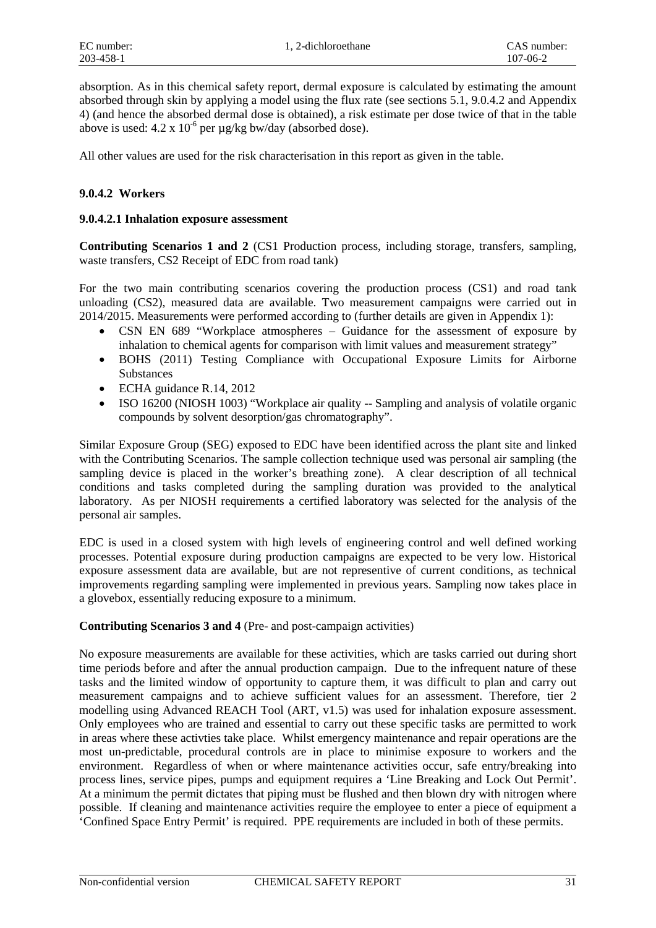absorption. As in this chemical safety report, dermal exposure is calculated by estimating the amount absorbed through skin by applying a model using the flux rate (see sections 5.1, 9.0.4.2 and Appendix 4) (and hence the absorbed dermal dose is obtained), a risk estimate per dose twice of that in the table above is used:  $4.2 \times 10^{-6}$  per  $\mu$ g/kg bw/day (absorbed dose).

All other values are used for the risk characterisation in this report as given in the table.

#### **9.0.4.2 Workers**

#### **9.0.4.2.1 Inhalation exposure assessment**

**Contributing Scenarios 1 and 2** (CS1 Production process, including storage, transfers, sampling, waste transfers, CS2 Receipt of EDC from road tank)

For the two main contributing scenarios covering the production process (CS1) and road tank unloading (CS2), measured data are available. Two measurement campaigns were carried out in 2014/2015. Measurements were performed according to (further details are given in Appendix 1):

- CSN EN 689 "Workplace atmospheres Guidance for the assessment of exposure by inhalation to chemical agents for comparison with limit values and measurement strategy"
- BOHS (2011) Testing Compliance with Occupational Exposure Limits for Airborne **Substances**
- ECHA guidance R.14, 2012
- ISO 16200 (NIOSH 1003) "Workplace air quality -- Sampling and analysis of volatile organic compounds by solvent desorption/gas chromatography".

Similar Exposure Group (SEG) exposed to EDC have been identified across the plant site and linked with the Contributing Scenarios. The sample collection technique used was personal air sampling (the sampling device is placed in the worker's breathing zone). A clear description of all technical conditions and tasks completed during the sampling duration was provided to the analytical laboratory. As per NIOSH requirements a certified laboratory was selected for the analysis of the personal air samples.

EDC is used in a closed system with high levels of engineering control and well defined working processes. Potential exposure during production campaigns are expected to be very low. Historical exposure assessment data are available, but are not representive of current conditions, as technical improvements regarding sampling were implemented in previous years. Sampling now takes place in a glovebox, essentially reducing exposure to a minimum.

#### **Contributing Scenarios 3 and 4** (Pre- and post-campaign activities)

No exposure measurements are available for these activities, which are tasks carried out during short time periods before and after the annual production campaign. Due to the infrequent nature of these tasks and the limited window of opportunity to capture them, it was difficult to plan and carry out measurement campaigns and to achieve sufficient values for an assessment. Therefore, tier 2 modelling using Advanced REACH Tool (ART, v1.5) was used for inhalation exposure assessment. Only employees who are trained and essential to carry out these specific tasks are permitted to work in areas where these activties take place. Whilst emergency maintenance and repair operations are the most un-predictable, procedural controls are in place to minimise exposure to workers and the environment. Regardless of when or where maintenance activities occur, safe entry/breaking into process lines, service pipes, pumps and equipment requires a 'Line Breaking and Lock Out Permit'. At a minimum the permit dictates that piping must be flushed and then blown dry with nitrogen where possible. If cleaning and maintenance activities require the employee to enter a piece of equipment a 'Confined Space Entry Permit' is required. PPE requirements are included in both of these permits.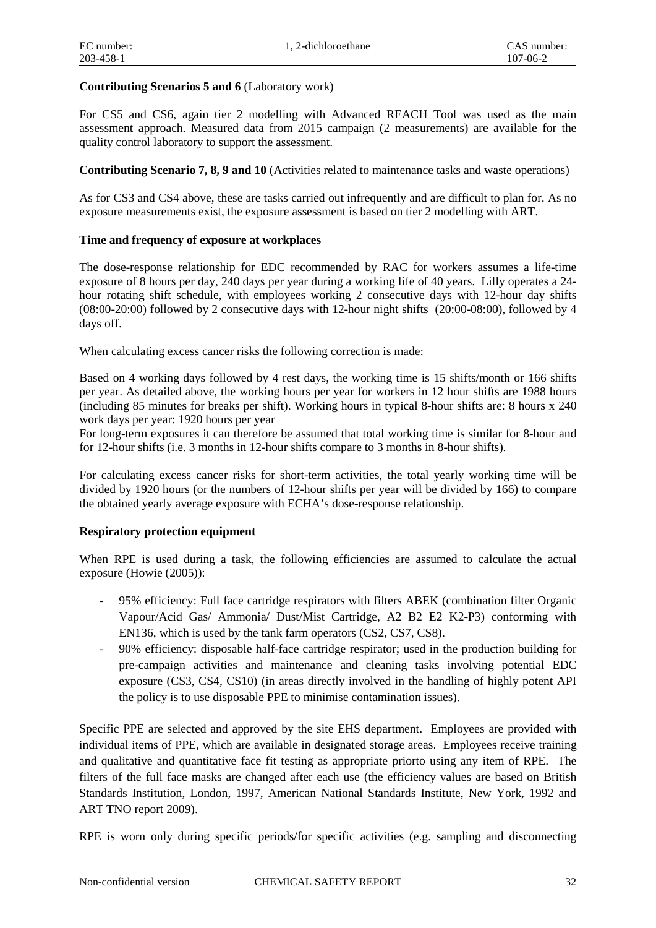#### **Contributing Scenarios 5 and 6** (Laboratory work)

For CS5 and CS6, again tier 2 modelling with Advanced REACH Tool was used as the main assessment approach. Measured data from 2015 campaign (2 measurements) are available for the quality control laboratory to support the assessment.

#### **Contributing Scenario 7, 8, 9 and 10** (Activities related to maintenance tasks and waste operations)

As for CS3 and CS4 above, these are tasks carried out infrequently and are difficult to plan for. As no exposure measurements exist, the exposure assessment is based on tier 2 modelling with ART.

#### **Time and frequency of exposure at workplaces**

The dose-response relationship for EDC recommended by RAC for workers assumes a life-time exposure of 8 hours per day, 240 days per year during a working life of 40 years. Lilly operates a 24 hour rotating shift schedule, with employees working 2 consecutive days with 12-hour day shifts (08:00-20:00) followed by 2 consecutive days with 12-hour night shifts (20:00-08:00), followed by 4 days off.

When calculating excess cancer risks the following correction is made:

Based on 4 working days followed by 4 rest days, the working time is 15 shifts/month or 166 shifts per year. As detailed above, the working hours per year for workers in 12 hour shifts are 1988 hours (including 85 minutes for breaks per shift). Working hours in typical 8-hour shifts are: 8 hours x 240 work days per year: 1920 hours per year

For long-term exposures it can therefore be assumed that total working time is similar for 8-hour and for 12-hour shifts (i.e. 3 months in 12-hour shifts compare to 3 months in 8-hour shifts).

For calculating excess cancer risks for short-term activities, the total yearly working time will be divided by 1920 hours (or the numbers of 12-hour shifts per year will be divided by 166) to compare the obtained yearly average exposure with ECHA's dose-response relationship.

#### **Respiratory protection equipment**

When RPE is used during a task, the following efficiencies are assumed to calculate the actual exposure (Howie (2005)):

- 95% efficiency: Full face cartridge respirators with filters ABEK (combination filter Organic Vapour/Acid Gas/ Ammonia/ Dust/Mist Cartridge, A2 B2 E2 K2-P3) conforming with EN136, which is used by the tank farm operators (CS2, CS7, CS8).
- 90% efficiency: disposable half-face cartridge respirator; used in the production building for pre-campaign activities and maintenance and cleaning tasks involving potential EDC exposure (CS3, CS4, CS10) (in areas directly involved in the handling of highly potent API the policy is to use disposable PPE to minimise contamination issues).

Specific PPE are selected and approved by the site EHS department. Employees are provided with individual items of PPE, which are available in designated storage areas. Employees receive training and qualitative and quantitative face fit testing as appropriate priorto using any item of RPE. The filters of the full face masks are changed after each use (the efficiency values are based on British Standards Institution, London, 1997, American National Standards Institute, New York, 1992 and ART TNO report 2009).

RPE is worn only during specific periods/for specific activities (e.g. sampling and disconnecting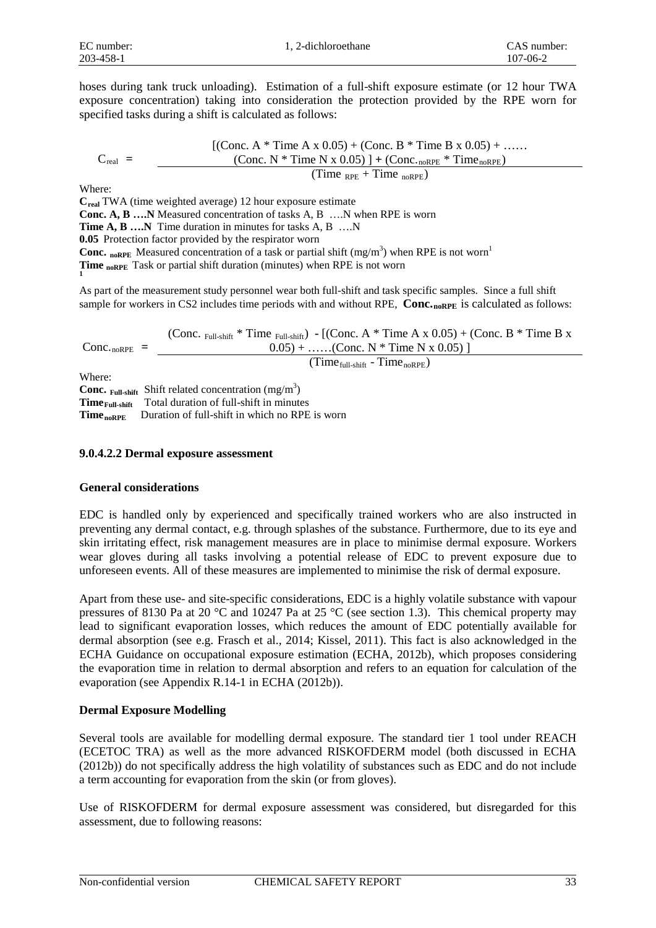hoses during tank truck unloading). Estimation of a full-shift exposure estimate (or 12 hour TWA exposure concentration) taking into consideration the protection provided by the RPE worn for specified tasks during a shift is calculated as follows:

$$
C_{\text{real}} = \frac{\left[ (\text{Conc. A * Time A x 0.05}) + (\text{Conc. B * Time B x 0.05}) + \dots \right.}{(\text{Conc. N * Time N x 0.05}) \cdot \left. + (\text{Conc.}_{\text{noRPE}} * \text{Time}_{\text{noRPE}}) \right.}{(\text{Time}_{\text{RPE}} + \text{Time}_{\text{noRPE}})}
$$

Where:

**Creal** TWA (time weighted average) 12 hour exposure estimate

**Conc. A, B ….N** Measured concentration of tasks A, B ….N when RPE is worn

**Time A, B ….N** Time duration in minutes for tasks A, B ….N

**0.05** Protection factor provided by the respirator worn

**Conc.** noRPE Measured concentration of a task or partial shift  $(mg/m<sup>3</sup>)$  when RPE is not worn<sup>1</sup>

**Time noRPE** Task or partial shift duration (minutes) when RPE is not worn

As part of the measurement study personnel wear both full-shift and task specific samples. Since a full shift sample for workers in CS2 includes time periods with and without RPE, Conc.<sub>noRPE</sub> is calculated as follows:

 $Conc_{\cdot\text{noRPE}}$  = (Conc.  $_{\text{Full-shift}}$  \* Time  $_{\text{Full-shift}}$ ) **-** [(Conc. A \* Time A x 0.05) + (Conc. B \* Time B x  $0.05$ ) + ……(Conc. N \* Time N x 0.05) ]  $(Time_{\text{full-shift}} - Time_{\text{noRPE}})$ 

Where:

Conc. Full-shift Shift related concentration (mg/m<sup>3</sup>) **Time**<sub>Full-shift</sub> Total duration of full-shift in minutes **Time<sub>noRPE</sub>** Duration of full-shift in which no RPE is worn

#### **9.0.4.2.2 Dermal exposure assessment**

#### **General considerations**

EDC is handled only by experienced and specifically trained workers who are also instructed in preventing any dermal contact, e.g. through splashes of the substance. Furthermore, due to its eye and skin irritating effect, risk management measures are in place to minimise dermal exposure. Workers wear gloves during all tasks involving a potential release of EDC to prevent exposure due to unforeseen events. All of these measures are implemented to minimise the risk of dermal exposure.

Apart from these use- and site-specific considerations, EDC is a highly volatile substance with vapour pressures of 8130 Pa at 20 °C and 10247 Pa at 25 °C (see section 1.3). This chemical property may lead to significant evaporation losses, which reduces the amount of EDC potentially available for dermal absorption (see e.g. Frasch et al., 2014; Kissel, 2011). This fact is also acknowledged in the ECHA Guidance on occupational exposure estimation (ECHA, 2012b), which proposes considering the evaporation time in relation to dermal absorption and refers to an equation for calculation of the evaporation (see Appendix R.14-1 in ECHA (2012b)).

#### **Dermal Exposure Modelling**

Several tools are available for modelling dermal exposure. The standard tier 1 tool under REACH (ECETOC TRA) as well as the more advanced RISKOFDERM model (both discussed in ECHA (2012b)) do not specifically address the high volatility of substances such as EDC and do not include a term accounting for evaporation from the skin (or from gloves).

Use of RISKOFDERM for dermal exposure assessment was considered, but disregarded for this assessment, due to following reasons: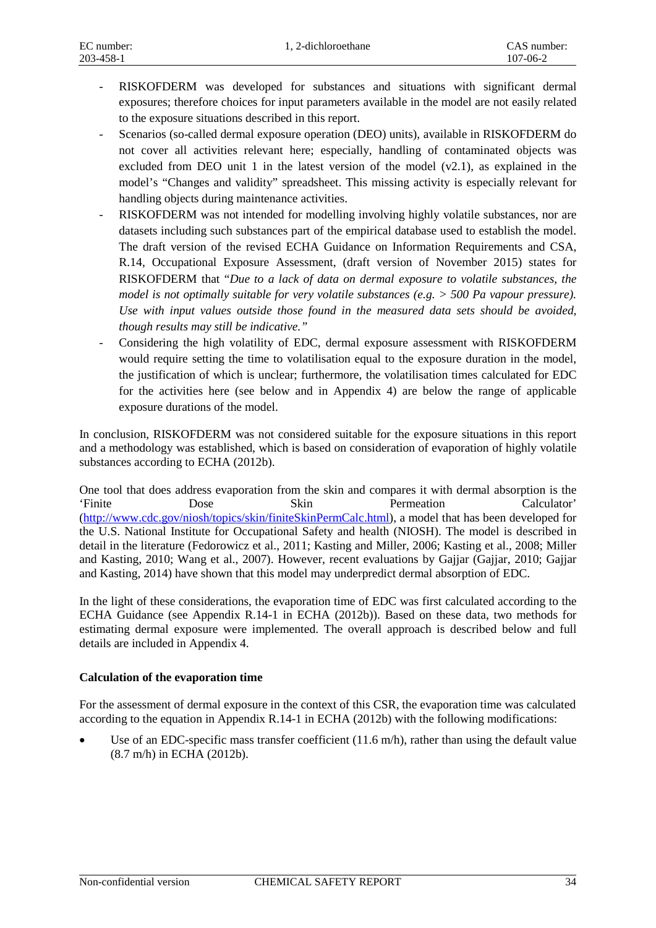- RISKOFDERM was developed for substances and situations with significant dermal exposures; therefore choices for input parameters available in the model are not easily related to the exposure situations described in this report.
- Scenarios (so-called dermal exposure operation (DEO) units), available in RISKOFDERM do not cover all activities relevant here; especially, handling of contaminated objects was excluded from DEO unit 1 in the latest version of the model  $(v2.1)$ , as explained in the model's "Changes and validity" spreadsheet. This missing activity is especially relevant for handling objects during maintenance activities.
- RISKOFDERM was not intended for modelling involving highly volatile substances, nor are datasets including such substances part of the empirical database used to establish the model. The draft version of the revised ECHA Guidance on Information Requirements and CSA, R.14, Occupational Exposure Assessment, (draft version of November 2015) states for RISKOFDERM that "*Due to a lack of data on dermal exposure to volatile substances, the model is not optimally suitable for very volatile substances (e.g. > 500 Pa vapour pressure). Use with input values outside those found in the measured data sets should be avoided, though results may still be indicative."*
- Considering the high volatility of EDC, dermal exposure assessment with RISKOFDERM would require setting the time to volatilisation equal to the exposure duration in the model, the justification of which is unclear; furthermore, the volatilisation times calculated for EDC for the activities here (see below and in Appendix 4) are below the range of applicable exposure durations of the model.

In conclusion, RISKOFDERM was not considered suitable for the exposure situations in this report and a methodology was established, which is based on consideration of evaporation of highly volatile substances according to ECHA (2012b).

One tool that does address evaporation from the skin and compares it with dermal absorption is the 'Finite Dose Skin Permeation Calculator' [\(http://www.cdc.gov/niosh/topics/skin/finiteSkinPermCalc.html\)](http://www.cdc.gov/niosh/topics/skin/finiteSkinPermCalc.html), a model that has been developed for the U.S. National Institute for Occupational Safety and health (NIOSH). The model is described in detail in the literature (Fedorowicz et al., 2011; Kasting and Miller, 2006; Kasting et al., 2008; Miller and Kasting, 2010; Wang et al., 2007). However, recent evaluations by Gajjar (Gajjar, 2010; Gajjar and Kasting, 2014) have shown that this model may underpredict dermal absorption of EDC.

In the light of these considerations, the evaporation time of EDC was first calculated according to the ECHA Guidance (see Appendix R.14-1 in ECHA (2012b)). Based on these data, two methods for estimating dermal exposure were implemented. The overall approach is described below and full details are included in Appendix 4.

#### **Calculation of the evaporation time**

For the assessment of dermal exposure in the context of this CSR, the evaporation time was calculated according to the equation in Appendix R.14-1 in ECHA (2012b) with the following modifications:

Use of an EDC-specific mass transfer coefficient  $(11.6 \text{ m/h})$ , rather than using the default value (8.7 m/h) in ECHA (2012b).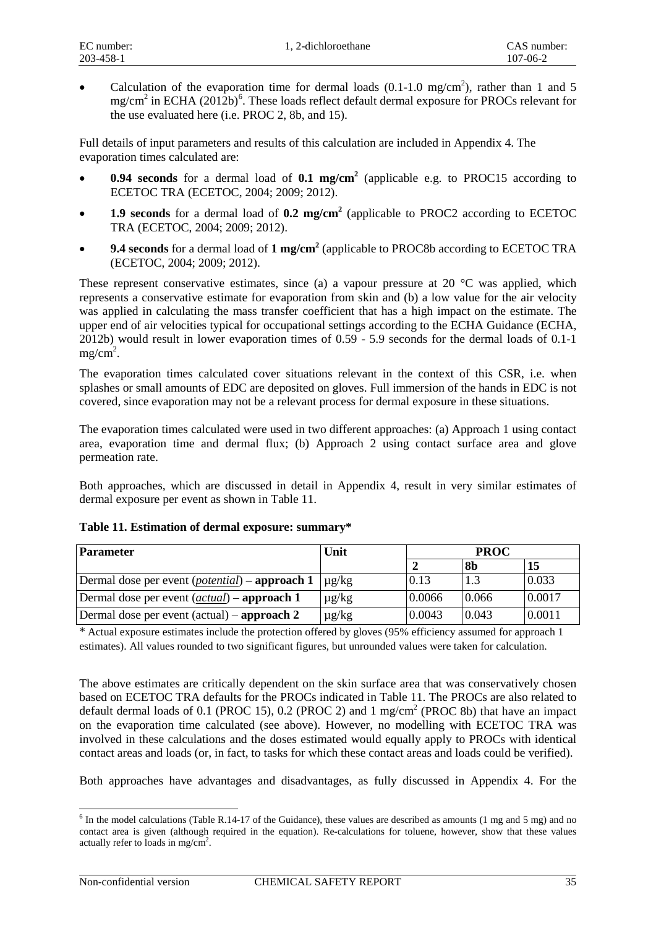• Calculation of the evaporation time for dermal loads  $(0.1-1.0 \text{ mg/cm}^2)$ , rather than 1 and 5  $mg/cm<sup>2</sup>$  in ECHA (2012b)<sup>[6](#page-15-0)</sup>. These loads reflect default dermal exposure for PROCs relevant for the use evaluated here (i.e. PROC 2, 8b, and 15).

Full details of input parameters and results of this calculation are included in Appendix 4. The evaporation times calculated are:

- **0.94 seconds** for a dermal load of **0.1 mg/cm2** (applicable e.g. to PROC15 according to ECETOC TRA (ECETOC, 2004; 2009; 2012).
- **1.9 seconds** for a dermal load of **0.2 mg/cm<sup>2</sup>** (applicable to PROC2 according to ECETOC TRA (ECETOC, 2004; 2009; 2012).
- **9.4 seconds** for a dermal load of **1 mg/cm2** (applicable to PROC8b according to ECETOC TRA (ECETOC, 2004; 2009; 2012).

These represent conservative estimates, since (a) a vapour pressure at 20 °C was applied, which represents a conservative estimate for evaporation from skin and (b) a low value for the air velocity was applied in calculating the mass transfer coefficient that has a high impact on the estimate. The upper end of air velocities typical for occupational settings according to the ECHA Guidance (ECHA, 2012b) would result in lower evaporation times of 0.59 - 5.9 seconds for the dermal loads of 0.1-1  $mg/cm<sup>2</sup>$ .

The evaporation times calculated cover situations relevant in the context of this CSR, i.e. when splashes or small amounts of EDC are deposited on gloves. Full immersion of the hands in EDC is not covered, since evaporation may not be a relevant process for dermal exposure in these situations.

The evaporation times calculated were used in two different approaches: (a) Approach 1 using contact area, evaporation time and dermal flux; (b) Approach 2 using contact surface area and glove permeation rate.

Both approaches, which are discussed in detail in Appendix 4, result in very similar estimates of dermal exposure per event as shown in Table 11.

| <b>Parameter</b>                                               | Unit       | <b>PROC</b> |       |        |
|----------------------------------------------------------------|------------|-------------|-------|--------|
|                                                                |            |             | 8b    | 15     |
| Dermal dose per event ( <i>potential</i> ) – <b>approach 1</b> | $\mu$ g/kg | 0.13        |       | 0.033  |
| Dermal dose per event ( <i>actual</i> ) – <b>approach 1</b>    | $\mu$ g/kg | 0.0066      | 0.066 | 0.0017 |
| Dermal dose per event $(\text{actual}) - \text{approach } 2$   | $\mu$ g/kg | 0.0043      | 0.043 | 0.0011 |

#### **Table 11. Estimation of dermal exposure: summary\***

\* Actual exposure estimates include the protection offered by gloves (95% efficiency assumed for approach 1 estimates). All values rounded to two significant figures, but unrounded values were taken for calculation.

The above estimates are critically dependent on the skin surface area that was conservatively chosen based on ECETOC TRA defaults for the PROCs indicated in Table 11. The PROCs are also related to default dermal loads of 0.1 (PROC 15), 0.2 (PROC 2) and 1 mg/cm<sup>2</sup> (PROC 8b) that have an impact on the evaporation time calculated (see above). However, no modelling with ECETOC TRA was involved in these calculations and the doses estimated would equally apply to PROCs with identical contact areas and loads (or, in fact, to tasks for which these contact areas and loads could be verified).

Both approaches have advantages and disadvantages, as fully discussed in Appendix 4. For the

<span id="page-15-0"></span> $6$  In the model calculations (Table R.14-17 of the Guidance), these values are described as amounts (1 mg and 5 mg) and no contact area is given (although required in the equation). Re-calculations for toluene, however, show that these values actually refer to loads in mg/cm<sup>2</sup>. -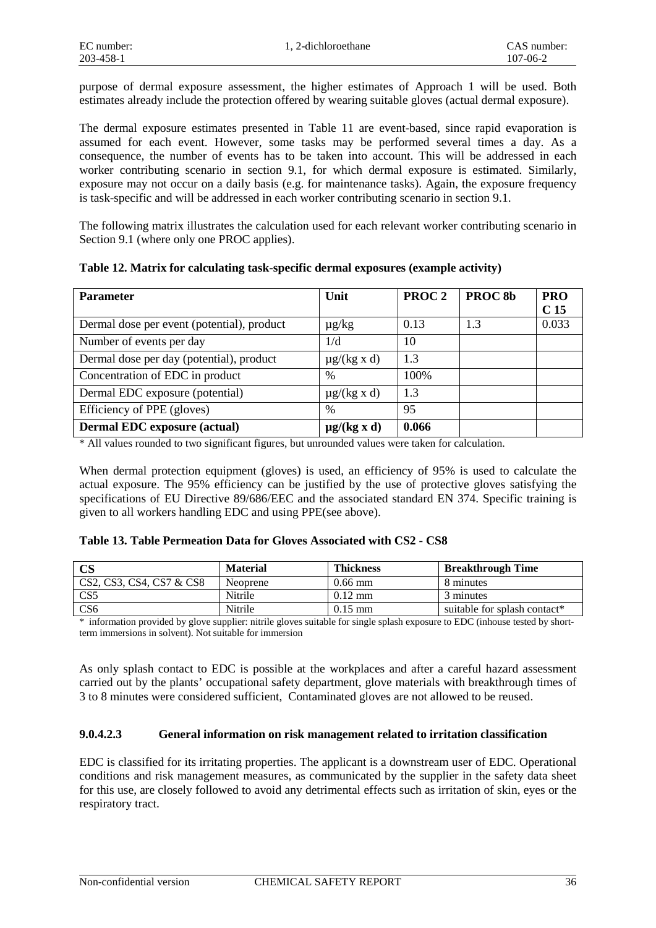purpose of dermal exposure assessment, the higher estimates of Approach 1 will be used. Both estimates already include the protection offered by wearing suitable gloves (actual dermal exposure).

The dermal exposure estimates presented in Table 11 are event-based, since rapid evaporation is assumed for each event. However, some tasks may be performed several times a day. As a consequence, the number of events has to be taken into account. This will be addressed in each worker contributing scenario in section 9.1, for which dermal exposure is estimated. Similarly, exposure may not occur on a daily basis (e.g. for maintenance tasks). Again, the exposure frequency is task-specific and will be addressed in each worker contributing scenario in section 9.1.

The following matrix illustrates the calculation used for each relevant worker contributing scenario in Section 9.1 (where only one PROC applies).

| <b>Parameter</b>                           | Unit             | PROC <sub>2</sub> | PROC <sub>8b</sub> | <b>PRO</b>      |
|--------------------------------------------|------------------|-------------------|--------------------|-----------------|
|                                            |                  |                   |                    | C <sub>15</sub> |
| Dermal dose per event (potential), product | $\mu$ g/kg       | 0.13              | 1.3                | 0.033           |
| Number of events per day                   | 1/d              | 10                |                    |                 |
| Dermal dose per day (potential), product   | $\mu$ g/(kg x d) | 1.3               |                    |                 |
| Concentration of EDC in product            | %                | 100%              |                    |                 |
| Dermal EDC exposure (potential)            | $\mu$ g/(kg x d) | 1.3               |                    |                 |
| Efficiency of PPE (gloves)                 | $\%$             | 95                |                    |                 |
| <b>Dermal EDC</b> exposure (actual)        | $\mu$ g/(kg x d) | 0.066             |                    |                 |

\* All values rounded to two significant figures, but unrounded values were taken for calculation.

When dermal protection equipment (gloves) is used, an efficiency of 95% is used to calculate the actual exposure. The 95% efficiency can be justified by the use of protective gloves satisfying the specifications of EU Directive 89/686/EEC and the associated standard EN 374. Specific training is given to all workers handling EDC and using PPE(see above).

#### **Table 13. Table Permeation Data for Gloves Associated with CS2 - CS8**

| $\mathbf{CS}$            | <b>Material</b> | <b>Thickness</b>  | <b>Breakthrough Time</b>     |
|--------------------------|-----------------|-------------------|------------------------------|
| CS2, CS3, CS4, CS7 & CS8 | Neoprene        | $0.66$ mm         | 8 minutes                    |
| CS <sub>5</sub>          | Nitrile         | $0.12 \text{ mm}$ | 3 minutes                    |
| CS6                      | Nitrile         | $0.15$ mm         | suitable for splash contact* |

\* information provided by glove supplier: nitrile gloves suitable for single splash exposure to EDC (inhouse tested by shortterm immersions in solvent). Not suitable for immersion

As only splash contact to EDC is possible at the workplaces and after a careful hazard assessment carried out by the plants' occupational safety department, glove materials with breakthrough times of 3 to 8 minutes were considered sufficient, Contaminated gloves are not allowed to be reused.

#### **9.0.4.2.3 General information on risk management related to irritation classification**

EDC is classified for its irritating properties. The applicant is a downstream user of EDC. Operational conditions and risk management measures, as communicated by the supplier in the safety data sheet for this use, are closely followed to avoid any detrimental effects such as irritation of skin, eyes or the respiratory tract.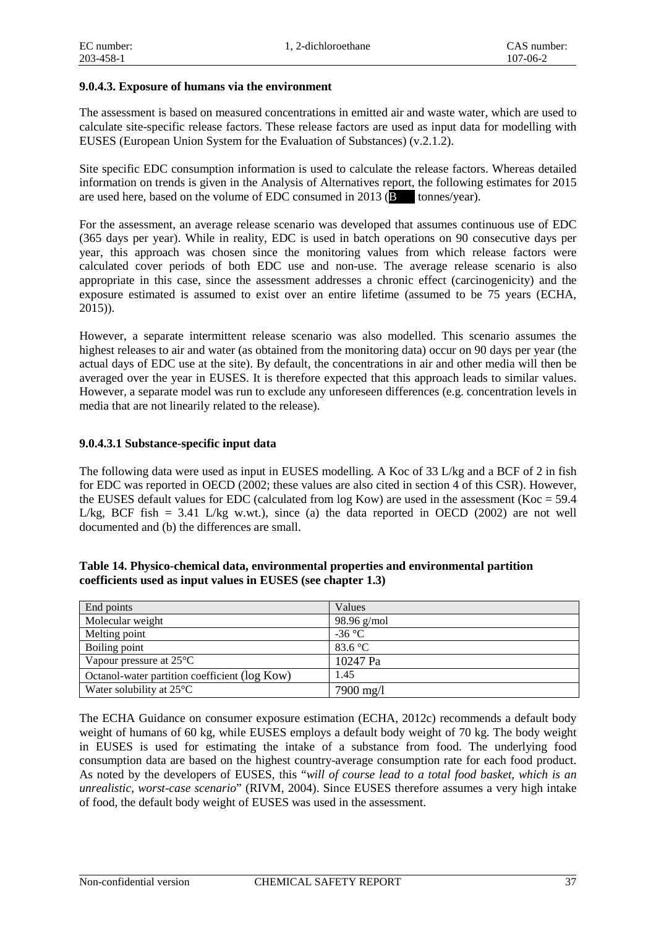#### **9.0.4.3. Exposure of humans via the environment**

The assessment is based on measured concentrations in emitted air and waste water, which are used to calculate site-specific release factors. These release factors are used as input data for modelling with EUSES (European Union System for the Evaluation of Substances) (v.2.1.2).

Site specific EDC consumption information is used to calculate the release factors. Whereas detailed information on trends is given in the Analysis of Alternatives report, the following estimates for 2015 are used here, based on the volume of EDC consumed in 2013 ( $\overline{B}$  tonnes/year).

For the assessment, an average release scenario was developed that assumes continuous use of EDC (365 days per year). While in reality, EDC is used in batch operations on 90 consecutive days per year, this approach was chosen since the monitoring values from which release factors were calculated cover periods of both EDC use and non-use. The average release scenario is also appropriate in this case, since the assessment addresses a chronic effect (carcinogenicity) and the exposure estimated is assumed to exist over an entire lifetime (assumed to be 75 years (ECHA, 2015)).

However, a separate intermittent release scenario was also modelled. This scenario assumes the highest releases to air and water (as obtained from the monitoring data) occur on 90 days per year (the actual days of EDC use at the site). By default, the concentrations in air and other media will then be averaged over the year in EUSES. It is therefore expected that this approach leads to similar values. However, a separate model was run to exclude any unforeseen differences (e.g. concentration levels in media that are not linearily related to the release).

#### **9.0.4.3.1 Substance-specific input data**

The following data were used as input in EUSES modelling. A Koc of 33 L/kg and a BCF of 2 in fish for EDC was reported in OECD (2002; these values are also cited in section 4 of this CSR). However, the EUSES default values for EDC (calculated from  $log Kow$ ) are used in the assessment (Koc = 59.4 L/kg, BCF fish = 3.41 L/kg w.w.t.), since (a) the data reported in OECD (2002) are not well documented and (b) the differences are small.

| Table 14. Physico-chemical data, environmental properties and environmental partition |
|---------------------------------------------------------------------------------------|
| coefficients used as input values in EUSES (see chapter 1.3)                          |

| End points                                    | Values           |
|-----------------------------------------------|------------------|
| Molecular weight                              | $98.96$ g/mol    |
| Melting point                                 | $-36$ °C         |
| Boiling point                                 | 83.6 $\degree$ C |
| Vapour pressure at $25^{\circ}$ C             | 10247 Pa         |
| Octanol-water partition coefficient (log Kow) | 1.45             |
| Water solubility at $25^{\circ}$ C            | 7900 mg/l        |

The ECHA Guidance on consumer exposure estimation (ECHA, 2012c) recommends a default body weight of humans of 60 kg, while EUSES employs a default body weight of 70 kg. The body weight in EUSES is used for estimating the intake of a substance from food. The underlying food consumption data are based on the highest country-average consumption rate for each food product. As noted by the developers of EUSES, this "*will of course lead to a total food basket, which is an unrealistic, worst-case scenario*" (RIVM, 2004). Since EUSES therefore assumes a very high intake of food, the default body weight of EUSES was used in the assessment.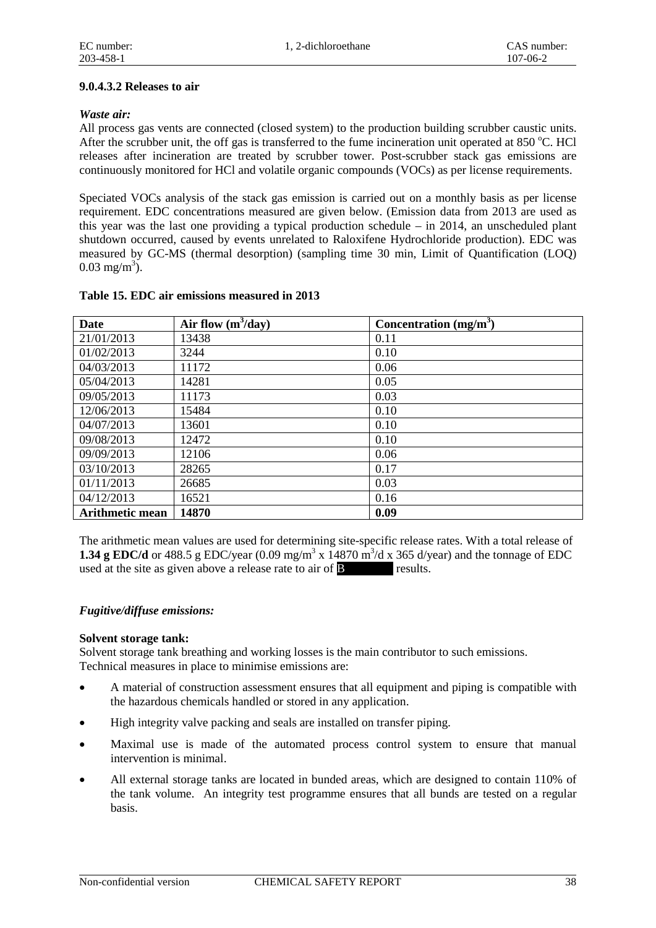#### **9.0.4.3.2 Releases to air**

#### *Waste air:*

All process gas vents are connected (closed system) to the production building scrubber caustic units. After the scrubber unit, the off gas is transferred to the fume incineration unit operated at 850 °C. HCl releases after incineration are treated by scrubber tower. Post-scrubber stack gas emissions are continuously monitored for HCl and volatile organic compounds (VOCs) as per license requirements.

Speciated VOCs analysis of the stack gas emission is carried out on a monthly basis as per license requirement. EDC concentrations measured are given below. (Emission data from 2013 are used as this year was the last one providing a typical production schedule – in 2014, an unscheduled plant shutdown occurred, caused by events unrelated to Raloxifene Hydrochloride production). EDC was measured by GC-MS (thermal desorption) (sampling time 30 min, Limit of Quantification (LOQ)  $0.03 \text{ mg/m}^3$ ).

| <b>Date</b>     | Air flow $(m^3/day)$ | Concentration $(mg/m3)$ |
|-----------------|----------------------|-------------------------|
| 21/01/2013      | 13438                | 0.11                    |
| 01/02/2013      | 3244                 | 0.10                    |
| 04/03/2013      | 11172                | 0.06                    |
| 05/04/2013      | 14281                | 0.05                    |
| 09/05/2013      | 11173                | 0.03                    |
| 12/06/2013      | 15484                | 0.10                    |
| 04/07/2013      | 13601                | 0.10                    |
| 09/08/2013      | 12472                | 0.10                    |
| 09/09/2013      | 12106                | 0.06                    |
| 03/10/2013      | 28265                | 0.17                    |
| 01/11/2013      | 26685                | 0.03                    |
| 04/12/2013      | 16521                | 0.16                    |
| Arithmetic mean | 14870                | 0.09                    |

#### **Table 15. EDC air emissions measured in 2013**

The arithmetic mean values are used for determining site-specific release rates. With a total release of **1.34 g EDC/d** or 488.5 g EDC/year  $(0.09 \text{ mg/m}^3 \text{ x } 14870 \text{ m}^3/\text{d} \text{ x } 365 \text{ d/year})$  and the tonnage of EDC used at the site as given above a release rate to air of **B** results.

#### *Fugitive/diffuse emissions:*

#### **Solvent storage tank:**

Solvent storage tank breathing and working losses is the main contributor to such emissions. Technical measures in place to minimise emissions are:

- A material of construction assessment ensures that all equipment and piping is compatible with the hazardous chemicals handled or stored in any application.
- High integrity valve packing and seals are installed on transfer piping.
- Maximal use is made of the automated process control system to ensure that manual intervention is minimal.
- All external storage tanks are located in bunded areas, which are designed to contain 110% of the tank volume. An integrity test programme ensures that all bunds are tested on a regular basis.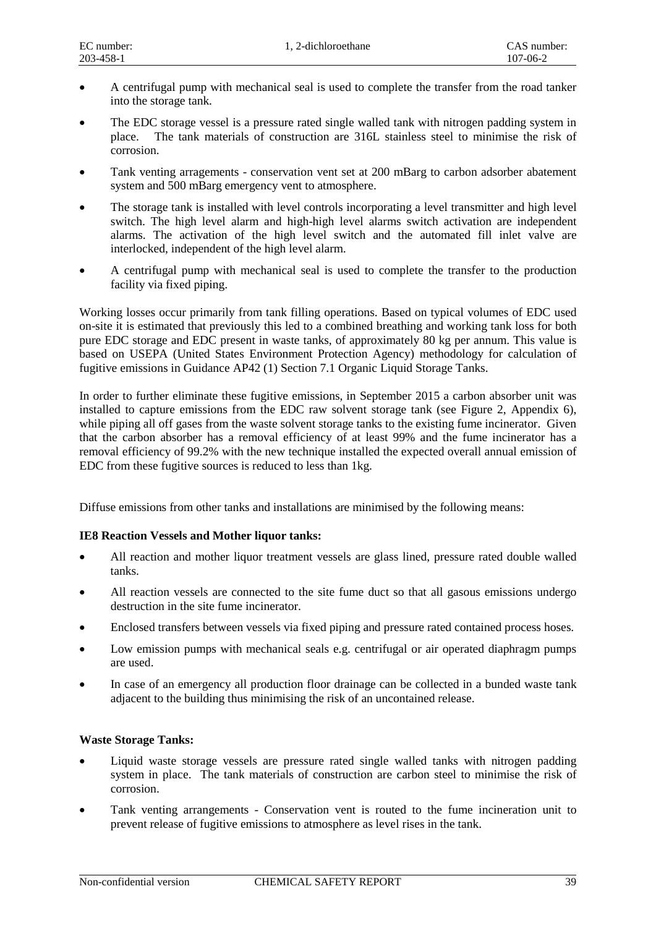- A centrifugal pump with mechanical seal is used to complete the transfer from the road tanker into the storage tank.
- The EDC storage vessel is a pressure rated single walled tank with nitrogen padding system in place. The tank materials of construction are 316L stainless steel to minimise the risk of corrosion.
- Tank venting arragements conservation vent set at 200 mBarg to carbon adsorber abatement system and 500 mBarg emergency vent to atmosphere.
- The storage tank is installed with level controls incorporating a level transmitter and high level switch. The high level alarm and high-high level alarms switch activation are independent alarms. The activation of the high level switch and the automated fill inlet valve are interlocked, independent of the high level alarm.
- A centrifugal pump with mechanical seal is used to complete the transfer to the production facility via fixed piping.

Working losses occur primarily from tank filling operations. Based on typical volumes of EDC used on-site it is estimated that previously this led to a combined breathing and working tank loss for both pure EDC storage and EDC present in waste tanks, of approximately 80 kg per annum. This value is based on USEPA (United States Environment Protection Agency) methodology for calculation of fugitive emissions in Guidance AP42 (1) Section 7.1 Organic Liquid Storage Tanks.

In order to further eliminate these fugitive emissions, in September 2015 a carbon absorber unit was installed to capture emissions from the EDC raw solvent storage tank (see Figure 2, Appendix 6), while piping all off gases from the waste solvent storage tanks to the existing fume incinerator. Given that the carbon absorber has a removal efficiency of at least 99% and the fume incinerator has a removal efficiency of 99.2% with the new technique installed the expected overall annual emission of EDC from these fugitive sources is reduced to less than 1kg.

Diffuse emissions from other tanks and installations are minimised by the following means:

#### **IE8 Reaction Vessels and Mother liquor tanks:**

- All reaction and mother liquor treatment vessels are glass lined, pressure rated double walled tanks.
- All reaction vessels are connected to the site fume duct so that all gasous emissions undergo destruction in the site fume incinerator.
- Enclosed transfers between vessels via fixed piping and pressure rated contained process hoses.
- Low emission pumps with mechanical seals e.g. centrifugal or air operated diaphragm pumps are used.
- In case of an emergency all production floor drainage can be collected in a bunded waste tank adjacent to the building thus minimising the risk of an uncontained release.

#### **Waste Storage Tanks:**

- Liquid waste storage vessels are pressure rated single walled tanks with nitrogen padding system in place. The tank materials of construction are carbon steel to minimise the risk of corrosion.
- Tank venting arrangements Conservation vent is routed to the fume incineration unit to prevent release of fugitive emissions to atmosphere as level rises in the tank.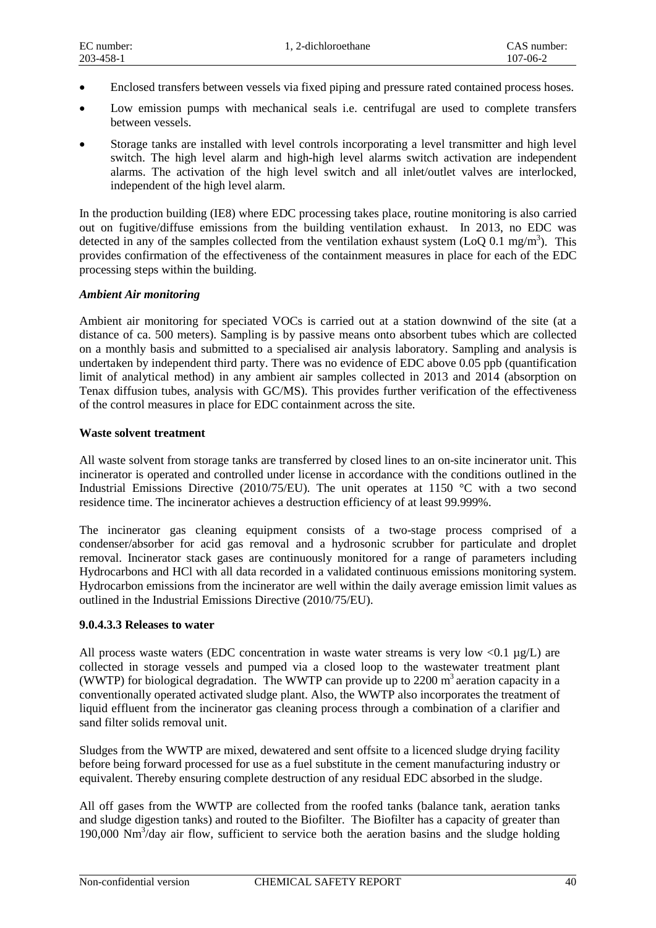- Enclosed transfers between vessels via fixed piping and pressure rated contained process hoses.
- Low emission pumps with mechanical seals i.e. centrifugal are used to complete transfers between vessels.
- Storage tanks are installed with level controls incorporating a level transmitter and high level switch. The high level alarm and high-high level alarms switch activation are independent alarms. The activation of the high level switch and all inlet/outlet valves are interlocked, independent of the high level alarm.

In the production building (IE8) where EDC processing takes place, routine monitoring is also carried out on fugitive/diffuse emissions from the building ventilation exhaust. In 2013, no EDC was detected in any of the samples collected from the ventilation exhaust system (LoQ 0.1 mg/m<sup>3</sup>). This provides confirmation of the effectiveness of the containment measures in place for each of the EDC processing steps within the building.

#### *Ambient Air monitoring*

Ambient air monitoring for speciated VOCs is carried out at a station downwind of the site (at a distance of ca. 500 meters). Sampling is by passive means onto absorbent tubes which are collected on a monthly basis and submitted to a specialised air analysis laboratory. Sampling and analysis is undertaken by independent third party. There was no evidence of EDC above 0.05 ppb (quantification limit of analytical method) in any ambient air samples collected in 2013 and 2014 (absorption on Tenax diffusion tubes, analysis with GC/MS). This provides further verification of the effectiveness of the control measures in place for EDC containment across the site.

#### **Waste solvent treatment**

All waste solvent from storage tanks are transferred by closed lines to an on-site incinerator unit. This incinerator is operated and controlled under license in accordance with the conditions outlined in the Industrial Emissions Directive (2010/75/EU). The unit operates at 1150 °C with a two second residence time. The incinerator achieves a destruction efficiency of at least 99.999%.

The incinerator gas cleaning equipment consists of a two-stage process comprised of a condenser/absorber for acid gas removal and a hydrosonic scrubber for particulate and droplet removal. Incinerator stack gases are continuously monitored for a range of parameters including Hydrocarbons and HCl with all data recorded in a validated continuous emissions monitoring system. Hydrocarbon emissions from the incinerator are well within the daily average emission limit values as outlined in the Industrial Emissions Directive (2010/75/EU).

#### **9.0.4.3.3 Releases to water**

All process waste waters (EDC concentration in waste water streams is very low  $\langle 0.1 \mu g/L \rangle$  are collected in storage vessels and pumped via a closed loop to the wastewater treatment plant (WWTP) for biological degradation. The WWTP can provide up to 2200  $m<sup>3</sup>$  aeration capacity in a conventionally operated activated sludge plant. Also, the WWTP also incorporates the treatment of liquid effluent from the incinerator gas cleaning process through a combination of a clarifier and sand filter solids removal unit.

Sludges from the WWTP are mixed, dewatered and sent offsite to a licenced sludge drying facility before being forward processed for use as a fuel substitute in the cement manufacturing industry or equivalent. Thereby ensuring complete destruction of any residual EDC absorbed in the sludge.

All off gases from the WWTP are collected from the roofed tanks (balance tank, aeration tanks and sludge digestion tanks) and routed to the Biofilter. The Biofilter has a capacity of greater than 190,000 Nm<sup>3</sup>/day air flow, sufficient to service both the aeration basins and the sludge holding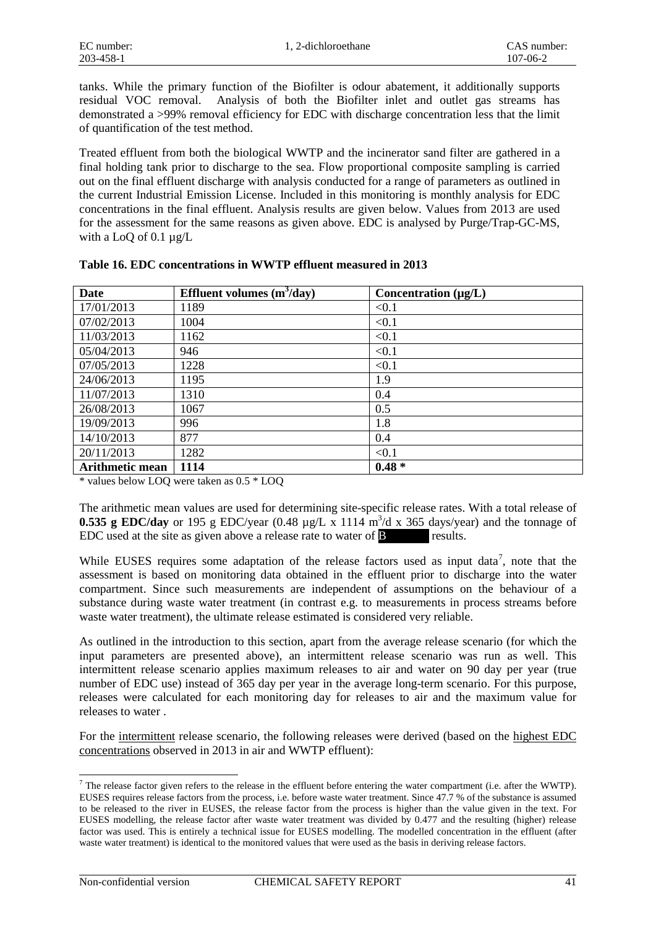tanks. While the primary function of the Biofilter is odour abatement, it additionally supports residual VOC removal. Analysis of both the Biofilter inlet and outlet gas streams has demonstrated a >99% removal efficiency for EDC with discharge concentration less that the limit of quantification of the test method.

Treated effluent from both the biological WWTP and the incinerator sand filter are gathered in a final holding tank prior to discharge to the sea. Flow proportional composite sampling is carried out on the final effluent discharge with analysis conducted for a range of parameters as outlined in the current Industrial Emission License. Included in this monitoring is monthly analysis for EDC concentrations in the final effluent. Analysis results are given below. Values from 2013 are used for the assessment for the same reasons as given above. EDC is analysed by Purge/Trap-GC-MS, with a LoQ of 0.1 µg/L

| <b>Date</b>            | Effluent volumes $(m^3/day)$ | Concentration $(\mu g/L)$ |
|------------------------|------------------------------|---------------------------|
| 17/01/2013             | 1189                         | < 0.1                     |
| 07/02/2013             | 1004                         | < 0.1                     |
| 11/03/2013             | 1162                         | < 0.1                     |
| 05/04/2013             | 946                          | < 0.1                     |
| 07/05/2013             | 1228                         | < 0.1                     |
| 24/06/2013             | 1195                         | 1.9                       |
| 11/07/2013             | 1310                         | 0.4                       |
| 26/08/2013             | 1067                         | 0.5                       |
| 19/09/2013             | 996                          | 1.8                       |
| 14/10/2013             | 877                          | 0.4                       |
| 20/11/2013             | 1282                         | < 0.1                     |
| <b>Arithmetic mean</b> | 1114                         | $0.48 *$                  |

**Table 16. EDC concentrations in WWTP effluent measured in 2013**

\* values below LOQ were taken as 0.5 \* LOQ

The arithmetic mean values are used for determining site-specific release rates. With a total release of **0.535 g EDC/day** or 195 g EDC/year (0.48  $\mu$ g/L x 1114 m<sup>3</sup>/d x 365 days/year) and the tonnage of EDC used at the site as given above a release rate to water of  $\mathbf{B}$  results.

While EUSES requires some adaptation of the release factors used as input data<sup>[7](#page-21-0)</sup>, note that the assessment is based on monitoring data obtained in the effluent prior to discharge into the water compartment. Since such measurements are independent of assumptions on the behaviour of a substance during waste water treatment (in contrast e.g. to measurements in process streams before waste water treatment), the ultimate release estimated is considered very reliable.

As outlined in the introduction to this section, apart from the average release scenario (for which the input parameters are presented above), an intermittent release scenario was run as well. This intermittent release scenario applies maximum releases to air and water on 90 day per year (true number of EDC use) instead of 365 day per year in the average long-term scenario. For this purpose, releases were calculated for each monitoring day for releases to air and the maximum value for releases to water .

For the intermittent release scenario, the following releases were derived (based on the highest EDC concentrations observed in 2013 in air and WWTP effluent):

1

<span id="page-21-0"></span> $^7$  The release factor given refers to the release in the effluent before entering the water compartment (i.e. after the WWTP). EUSES requires release factors from the process, i.e. before waste water treatment. Since 47.7 % of the substance is assumed to be released to the river in EUSES, the release factor from the process is higher than the value given in the text. For EUSES modelling, the release factor after waste water treatment was divided by 0.477 and the resulting (higher) release factor was used. This is entirely a technical issue for EUSES modelling. The modelled concentration in the effluent (after waste water treatment) is identical to the monitored values that were used as the basis in deriving release factors.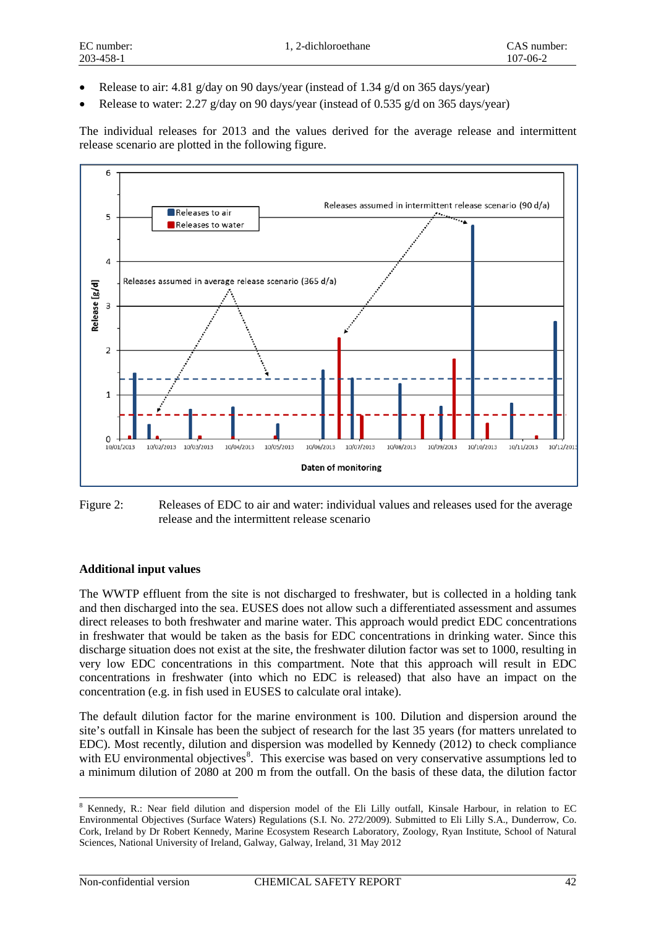- Release to air: 4.81 g/day on 90 days/year (instead of 1.34 g/d on 365 days/year)
- Release to water: 2.27 g/day on 90 days/year (instead of 0.535 g/d on 365 days/year)

The individual releases for 2013 and the values derived for the average release and intermittent release scenario are plotted in the following figure.





#### **Additional input values**

The WWTP effluent from the site is not discharged to freshwater, but is collected in a holding tank and then discharged into the sea. EUSES does not allow such a differentiated assessment and assumes direct releases to both freshwater and marine water. This approach would predict EDC concentrations in freshwater that would be taken as the basis for EDC concentrations in drinking water. Since this discharge situation does not exist at the site, the freshwater dilution factor was set to 1000, resulting in very low EDC concentrations in this compartment. Note that this approach will result in EDC concentrations in freshwater (into which no EDC is released) that also have an impact on the concentration (e.g. in fish used in EUSES to calculate oral intake).

The default dilution factor for the marine environment is 100. Dilution and dispersion around the site's outfall in Kinsale has been the subject of research for the last 35 years (for matters unrelated to EDC). Most recently, dilution and dispersion was modelled by Kennedy (2012) to check compliance with EU environmental objectives<sup>[8](#page-22-0)</sup>. This exercise was based on very conservative assumptions led to a minimum dilution of 2080 at 200 m from the outfall. On the basis of these data, the dilution factor

1

<span id="page-22-0"></span><sup>8</sup> Kennedy, R.: Near field dilution and dispersion model of the Eli Lilly outfall, Kinsale Harbour, in relation to EC Environmental Objectives (Surface Waters) Regulations (S.I. No. 272/2009). Submitted to Eli Lilly S.A., Dunderrow, Co. Cork, Ireland by Dr Robert Kennedy, Marine Ecosystem Research Laboratory, Zoology, Ryan Institute, School of Natural Sciences, National University of Ireland, Galway, Galway, Ireland, 31 May 2012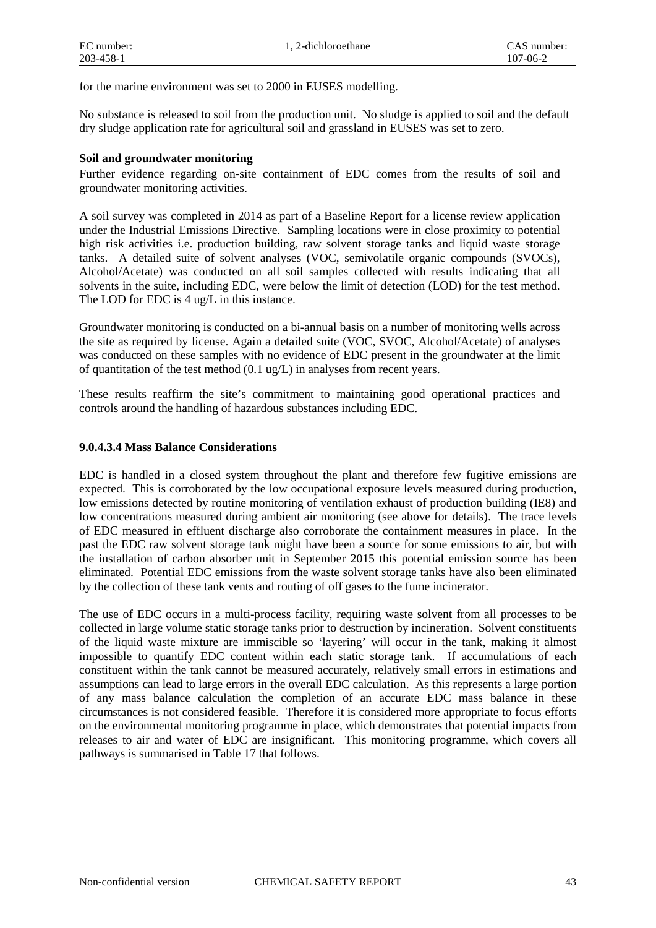for the marine environment was set to 2000 in EUSES modelling.

No substance is released to soil from the production unit. No sludge is applied to soil and the default dry sludge application rate for agricultural soil and grassland in EUSES was set to zero.

#### **Soil and groundwater monitoring**

Further evidence regarding on-site containment of EDC comes from the results of soil and groundwater monitoring activities.

A soil survey was completed in 2014 as part of a Baseline Report for a license review application under the Industrial Emissions Directive. Sampling locations were in close proximity to potential high risk activities i.e. production building, raw solvent storage tanks and liquid waste storage tanks. A detailed suite of solvent analyses (VOC, semivolatile organic compounds (SVOCs), Alcohol/Acetate) was conducted on all soil samples collected with results indicating that all solvents in the suite, including EDC, were below the limit of detection (LOD) for the test method. The LOD for EDC is 4 ug/L in this instance.

Groundwater monitoring is conducted on a bi-annual basis on a number of monitoring wells across the site as required by license. Again a detailed suite (VOC, SVOC, Alcohol/Acetate) of analyses was conducted on these samples with no evidence of EDC present in the groundwater at the limit of quantitation of the test method (0.1 ug/L) in analyses from recent years.

These results reaffirm the site's commitment to maintaining good operational practices and controls around the handling of hazardous substances including EDC.

#### **9.0.4.3.4 Mass Balance Considerations**

EDC is handled in a closed system throughout the plant and therefore few fugitive emissions are expected. This is corroborated by the low occupational exposure levels measured during production, low emissions detected by routine monitoring of ventilation exhaust of production building (IE8) and low concentrations measured during ambient air monitoring (see above for details). The trace levels of EDC measured in effluent discharge also corroborate the containment measures in place. In the past the EDC raw solvent storage tank might have been a source for some emissions to air, but with the installation of carbon absorber unit in September 2015 this potential emission source has been eliminated. Potential EDC emissions from the waste solvent storage tanks have also been eliminated by the collection of these tank vents and routing of off gases to the fume incinerator.

The use of EDC occurs in a multi-process facility, requiring waste solvent from all processes to be collected in large volume static storage tanks prior to destruction by incineration. Solvent constituents of the liquid waste mixture are immiscible so 'layering' will occur in the tank, making it almost impossible to quantify EDC content within each static storage tank. If accumulations of each constituent within the tank cannot be measured accurately, relatively small errors in estimations and assumptions can lead to large errors in the overall EDC calculation. As this represents a large portion of any mass balance calculation the completion of an accurate EDC mass balance in these circumstances is not considered feasible. Therefore it is considered more appropriate to focus efforts on the environmental monitoring programme in place, which demonstrates that potential impacts from releases to air and water of EDC are insignificant. This monitoring programme, which covers all pathways is summarised in Table 17 that follows.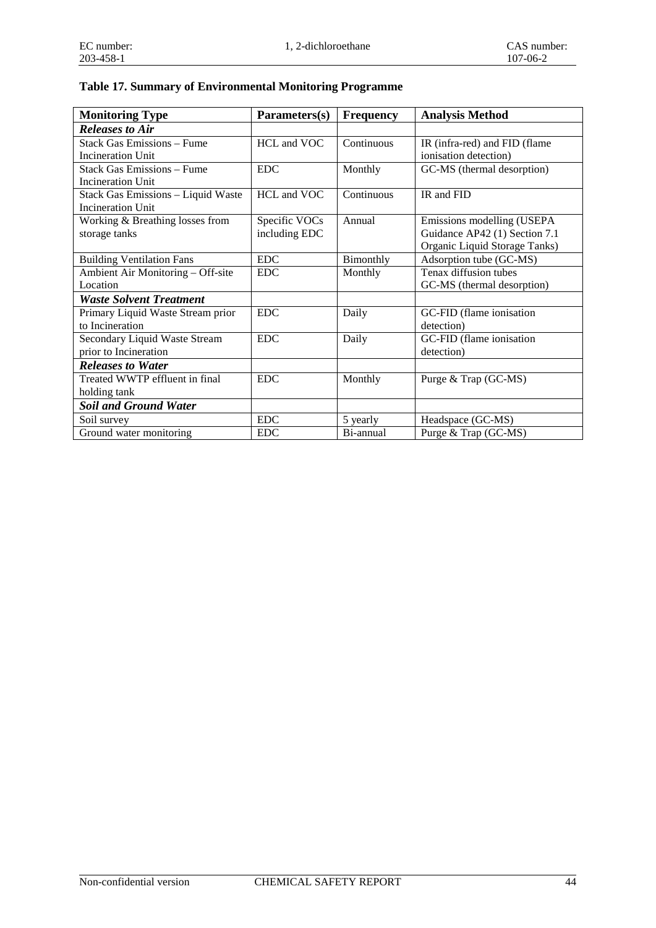## **Table 17. Summary of Environmental Monitoring Programme**

| <b>Monitoring Type</b>             | Parameters(s) | <b>Frequency</b> | <b>Analysis Method</b>        |
|------------------------------------|---------------|------------------|-------------------------------|
| <b>Releases to Air</b>             |               |                  |                               |
| <b>Stack Gas Emissions - Fume</b>  | HCL and VOC   | Continuous       | IR (infra-red) and FID (flame |
| Incineration Unit                  |               |                  | ionisation detection)         |
| <b>Stack Gas Emissions – Fume</b>  | EDC.          | Monthly          | GC-MS (thermal desorption)    |
| Incineration Unit                  |               |                  |                               |
| Stack Gas Emissions - Liquid Waste | HCL and VOC   | Continuous       | IR and FID                    |
| <b>Incineration Unit</b>           |               |                  |                               |
| Working & Breathing losses from    | Specific VOCs | Annual           | Emissions modelling (USEPA    |
| storage tanks                      | including EDC |                  | Guidance AP42 (1) Section 7.1 |
|                                    |               |                  | Organic Liquid Storage Tanks) |
| <b>Building Ventilation Fans</b>   | <b>EDC</b>    | Bimonthly        | Adsorption tube (GC-MS)       |
| Ambient Air Monitoring - Off-site  | <b>EDC</b>    | Monthly          | Tenax diffusion tubes         |
| Location                           |               |                  | GC-MS (thermal desorption)    |
| <b>Waste Solvent Treatment</b>     |               |                  |                               |
| Primary Liquid Waste Stream prior  | <b>EDC</b>    | Daily            | GC-FID (flame ionisation      |
| to Incineration                    |               |                  | detection)                    |
| Secondary Liquid Waste Stream      | <b>EDC</b>    | Daily            | GC-FID (flame ionisation      |
| prior to Incineration              |               |                  | detection)                    |
| <b>Releases to Water</b>           |               |                  |                               |
| Treated WWTP effluent in final     | <b>EDC</b>    | Monthly          | Purge & Trap (GC-MS)          |
| holding tank                       |               |                  |                               |
| <b>Soil and Ground Water</b>       |               |                  |                               |
| Soil survey                        | <b>EDC</b>    | 5 yearly         | Headspace (GC-MS)             |
| Ground water monitoring            | <b>EDC</b>    | Bi-annual        | Purge & Trap (GC-MS)          |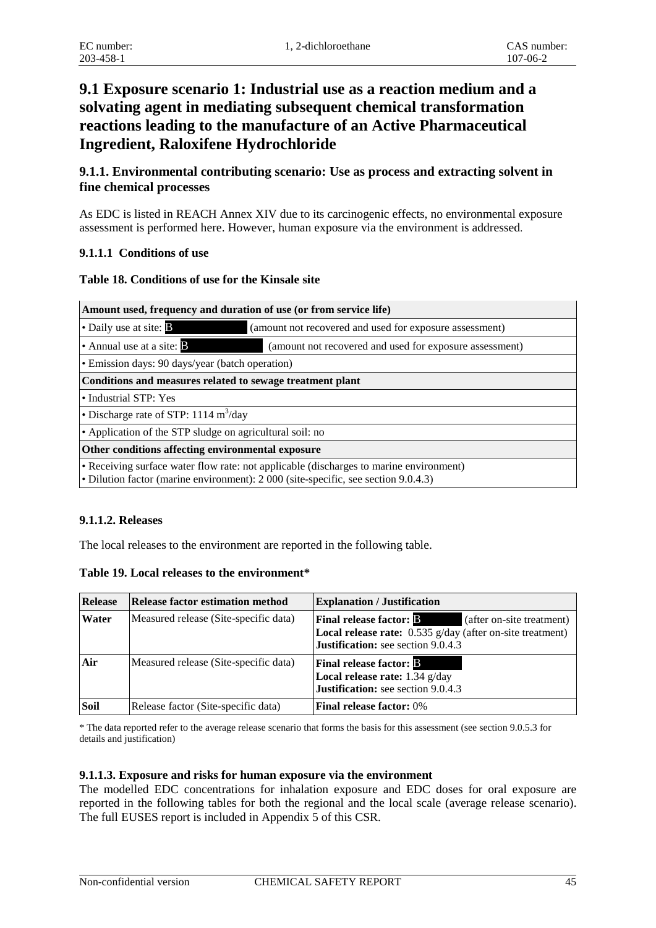# **9.1 Exposure scenario 1: Industrial use as a reaction medium and a solvating agent in mediating subsequent chemical transformation reactions leading to the manufacture of an Active Pharmaceutical Ingredient, Raloxifene Hydrochloride**

#### **9.1.1. Environmental contributing scenario: Use as process and extracting solvent in fine chemical processes**

As EDC is listed in REACH Annex XIV due to its carcinogenic effects, no environmental exposure assessment is performed here. However, human exposure via the environment is addressed.

#### **9.1.1.1 Conditions of use**

**Table 18. Conditions of use for the Kinsale site**

| Amount used, frequency and duration of use (or from service life)                                                                                                            |  |  |  |
|------------------------------------------------------------------------------------------------------------------------------------------------------------------------------|--|--|--|
| • Daily use at site: <b>B</b><br>(amount not recovered and used for exposure assessment)                                                                                     |  |  |  |
| • Annual use at a site: $\mathbf{B}$<br>(amount not recovered and used for exposure assessment)                                                                              |  |  |  |
| • Emission days: 90 days/year (batch operation)                                                                                                                              |  |  |  |
| Conditions and measures related to sewage treatment plant                                                                                                                    |  |  |  |
| • Industrial STP: Yes                                                                                                                                                        |  |  |  |
| • Discharge rate of STP: $1114 \text{ m}^3/\text{day}$                                                                                                                       |  |  |  |
| • Application of the STP sludge on agricultural soil: no                                                                                                                     |  |  |  |
| Other conditions affecting environmental exposure                                                                                                                            |  |  |  |
| • Receiving surface water flow rate: not applicable (discharges to marine environment)<br>• Dilution factor (marine environment): 2 000 (site-specific, see section 9.0.4.3) |  |  |  |

#### **9.1.1.2. Releases**

The local releases to the environment are reported in the following table.

**Table 19. Local releases to the environment\***

| <b>Release</b> | <b>Release factor estimation method</b> | <b>Explanation / Justification</b>                                                                                                                             |
|----------------|-----------------------------------------|----------------------------------------------------------------------------------------------------------------------------------------------------------------|
| Water          | Measured release (Site-specific data)   | <b>Final release factor: B</b><br>(after on-site treatment)<br>Local release rate: 0.535 g/day (after on-site treatment)<br>Justification: see section 9.0.4.3 |
| Air            | Measured release (Site-specific data)   | <b>Final release factor: B</b><br>Local release rate: 1.34 g/day<br>Justification: see section 9.0.4.3                                                         |
| Soil           | Release factor (Site-specific data)     | <b>Final release factor: 0%</b>                                                                                                                                |

\* The data reported refer to the average release scenario that forms the basis for this assessment (see section 9.0.5.3 for details and justification)

#### **9.1.1.3. Exposure and risks for human exposure via the environment**

The modelled EDC concentrations for inhalation exposure and EDC doses for oral exposure are reported in the following tables for both the regional and the local scale (average release scenario). The full EUSES report is included in Appendix 5 of this CSR.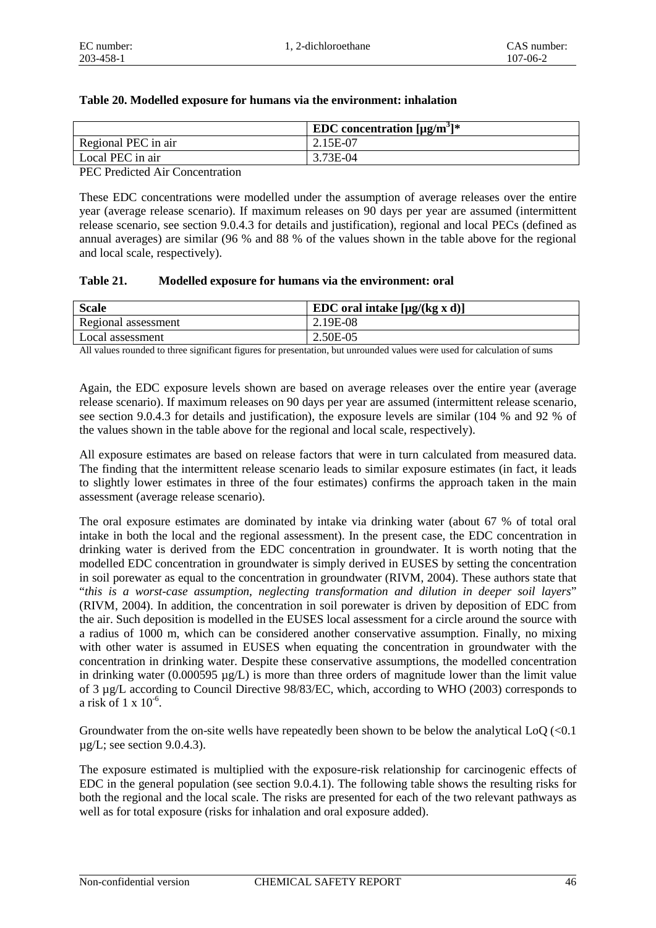|  |  |  |  |  |  |  | Table 20. Modelled exposure for humans via the environment: inhalation |
|--|--|--|--|--|--|--|------------------------------------------------------------------------|
|--|--|--|--|--|--|--|------------------------------------------------------------------------|

|                     | <b>EDC</b> concentration $[\mu g/m^3]$ * |
|---------------------|------------------------------------------|
| Regional PEC in air | 2.15E-07                                 |
| Local PEC in air    | 3.73E-04                                 |

PEC Predicted Air Concentration

These EDC concentrations were modelled under the assumption of average releases over the entire year (average release scenario). If maximum releases on 90 days per year are assumed (intermittent release scenario, see section 9.0.4.3 for details and justification), regional and local PECs (defined as annual averages) are similar (96 % and 88 % of the values shown in the table above for the regional and local scale, respectively).

#### **Table 21. Modelled exposure for humans via the environment: oral**

| <b>Scale</b>        | EDC oral intake $[\mu g/(kg \times d)]$ |
|---------------------|-----------------------------------------|
| Regional assessment | 2.19E-08                                |
| Local assessment    | 2.50E-05                                |

All values rounded to three significant figures for presentation, but unrounded values were used for calculation of sums

Again, the EDC exposure levels shown are based on average releases over the entire year (average release scenario). If maximum releases on 90 days per year are assumed (intermittent release scenario, see section 9.0.4.3 for details and justification), the exposure levels are similar (104 % and 92 % of the values shown in the table above for the regional and local scale, respectively).

All exposure estimates are based on release factors that were in turn calculated from measured data. The finding that the intermittent release scenario leads to similar exposure estimates (in fact, it leads to slightly lower estimates in three of the four estimates) confirms the approach taken in the main assessment (average release scenario).

The oral exposure estimates are dominated by intake via drinking water (about 67 % of total oral intake in both the local and the regional assessment). In the present case, the EDC concentration in drinking water is derived from the EDC concentration in groundwater. It is worth noting that the modelled EDC concentration in groundwater is simply derived in EUSES by setting the concentration in soil porewater as equal to the concentration in groundwater (RIVM, 2004). These authors state that "*this is a worst-case assumption, neglecting transformation and dilution in deeper soil layers*" (RIVM, 2004). In addition, the concentration in soil porewater is driven by deposition of EDC from the air. Such deposition is modelled in the EUSES local assessment for a circle around the source with a radius of 1000 m, which can be considered another conservative assumption. Finally, no mixing with other water is assumed in EUSES when equating the concentration in groundwater with the concentration in drinking water. Despite these conservative assumptions, the modelled concentration in drinking water (0.000595  $\mu$ g/L) is more than three orders of magnitude lower than the limit value of 3 µg/L according to Council Directive 98/83/EC, which, according to WHO (2003) corresponds to a risk of 1 x 10<sup>-6</sup>.

Groundwater from the on-site wells have repeatedly been shown to be below the analytical LoQ (<0.1  $\mu$ g/L; see section 9.0.4.3).

The exposure estimated is multiplied with the exposure-risk relationship for carcinogenic effects of EDC in the general population (see section 9.0.4.1). The following table shows the resulting risks for both the regional and the local scale. The risks are presented for each of the two relevant pathways as well as for total exposure (risks for inhalation and oral exposure added).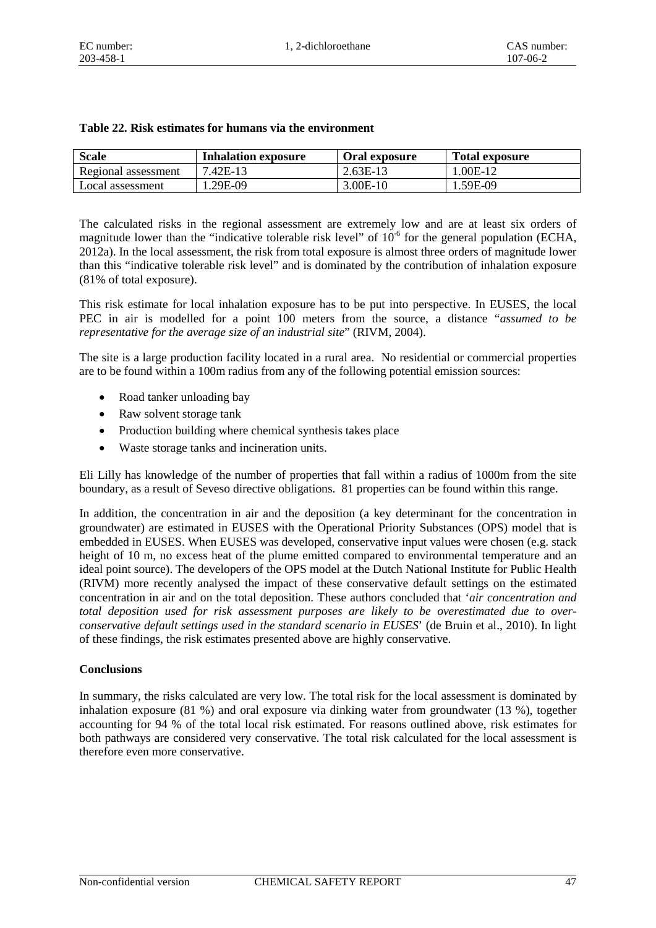| <b>Scale</b>        | <b>Inhalation exposure</b> | Oral exposure | <b>Total exposure</b> |
|---------------------|----------------------------|---------------|-----------------------|
| Regional assessment | 7.42E-13                   | $2.63E-13$    | 1.00E-12              |
| Local assessment    | 1.29E-09                   | $3.00E-10$    | 1.59E-09              |

#### **Table 22. Risk estimates for humans via the environment**

The calculated risks in the regional assessment are extremely low and are at least six orders of magnitude lower than the "indicative tolerable risk level" of  $10^{-6}$  for the general population (ECHA, 2012a). In the local assessment, the risk from total exposure is almost three orders of magnitude lower than this "indicative tolerable risk level" and is dominated by the contribution of inhalation exposure (81% of total exposure).

This risk estimate for local inhalation exposure has to be put into perspective. In EUSES, the local PEC in air is modelled for a point 100 meters from the source, a distance "*assumed to be representative for the average size of an industrial site*" (RIVM, 2004).

The site is a large production facility located in a rural area. No residential or commercial properties are to be found within a 100m radius from any of the following potential emission sources:

- Road tanker unloading bay
- Raw solvent storage tank
- Production building where chemical synthesis takes place
- Waste storage tanks and incineration units.

Eli Lilly has knowledge of the number of properties that fall within a radius of 1000m from the site boundary, as a result of Seveso directive obligations. 81 properties can be found within this range.

In addition, the concentration in air and the deposition (a key determinant for the concentration in groundwater) are estimated in EUSES with the Operational Priority Substances (OPS) model that is embedded in EUSES. When EUSES was developed, conservative input values were chosen (e.g. stack height of 10 m, no excess heat of the plume emitted compared to environmental temperature and an ideal point source). The developers of the OPS model at the Dutch National Institute for Public Health (RIVM) more recently analysed the impact of these conservative default settings on the estimated concentration in air and on the total deposition. These authors concluded that '*air concentration and total deposition used for risk assessment purposes are likely to be overestimated due to overconservative default settings used in the standard scenario in EUSES*' (de Bruin et al., 2010). In light of these findings, the risk estimates presented above are highly conservative.

#### **Conclusions**

In summary, the risks calculated are very low. The total risk for the local assessment is dominated by inhalation exposure (81 %) and oral exposure via dinking water from groundwater (13 %), together accounting for 94 % of the total local risk estimated. For reasons outlined above, risk estimates for both pathways are considered very conservative. The total risk calculated for the local assessment is therefore even more conservative.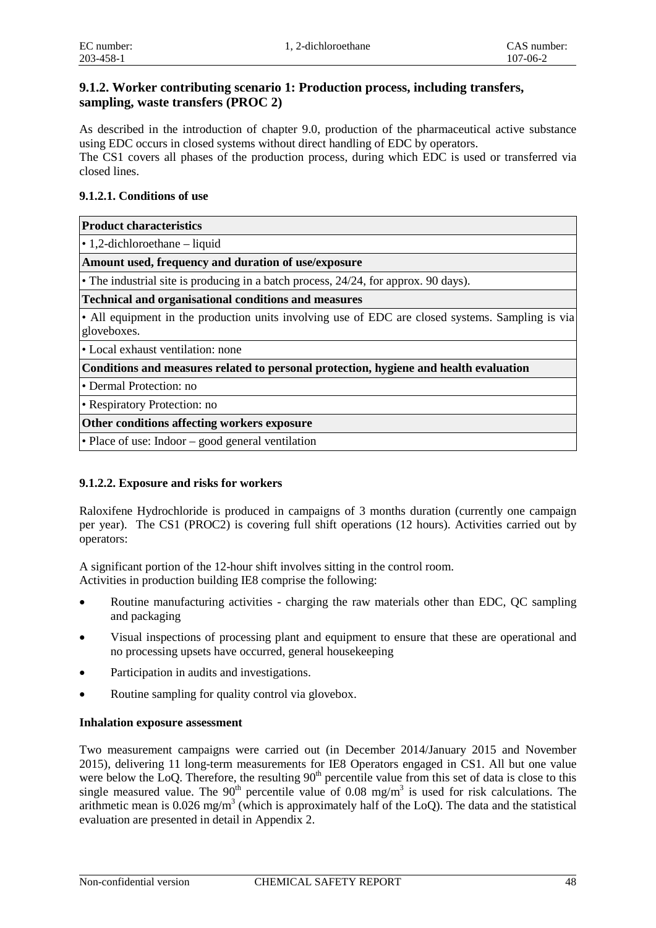#### **9.1.2. Worker contributing scenario 1: Production process, including transfers, sampling, waste transfers (PROC 2)**

As described in the introduction of chapter 9.0, production of the pharmaceutical active substance using EDC occurs in closed systems without direct handling of EDC by operators. The CS1 covers all phases of the production process, during which EDC is used or transferred via closed lines.

#### **9.1.2.1. Conditions of use**

| <b>Product characteristics</b> |
|--------------------------------|
|                                |

• 1,2-dichloroethane – liquid

**Amount used, frequency and duration of use/exposure**

• The industrial site is producing in a batch process, 24/24, for approx. 90 days).

#### **Technical and organisational conditions and measures**

• All equipment in the production units involving use of EDC are closed systems. Sampling is via gloveboxes.

• Local exhaust ventilation: none

**Conditions and measures related to personal protection, hygiene and health evaluation**

• Dermal Protection: no

• Respiratory Protection: no

#### **Other conditions affecting workers exposure**

• Place of use: Indoor – good general ventilation

#### **9.1.2.2. Exposure and risks for workers**

Raloxifene Hydrochloride is produced in campaigns of 3 months duration (currently one campaign per year). The CS1 (PROC2) is covering full shift operations (12 hours). Activities carried out by operators:

A significant portion of the 12-hour shift involves sitting in the control room. Activities in production building IE8 comprise the following:

- Routine manufacturing activities charging the raw materials other than EDC, QC sampling and packaging
- Visual inspections of processing plant and equipment to ensure that these are operational and no processing upsets have occurred, general housekeeping
- Participation in audits and investigations.
- Routine sampling for quality control via glovebox.

#### **Inhalation exposure assessment**

Two measurement campaigns were carried out (in December 2014/January 2015 and November 2015), delivering 11 long-term measurements for IE8 Operators engaged in CS1. All but one value were below the LoQ. Therefore, the resulting  $90<sup>th</sup>$  percentile value from this set of data is close to this single measured value. The  $90<sup>th</sup>$  percentile value of 0.08 mg/m<sup>3</sup> is used for risk calculations. The arithmetic mean is 0.026 mg/m<sup>3</sup> (which is approximately half of the LoQ). The data and the statistical evaluation are presented in detail in Appendix 2.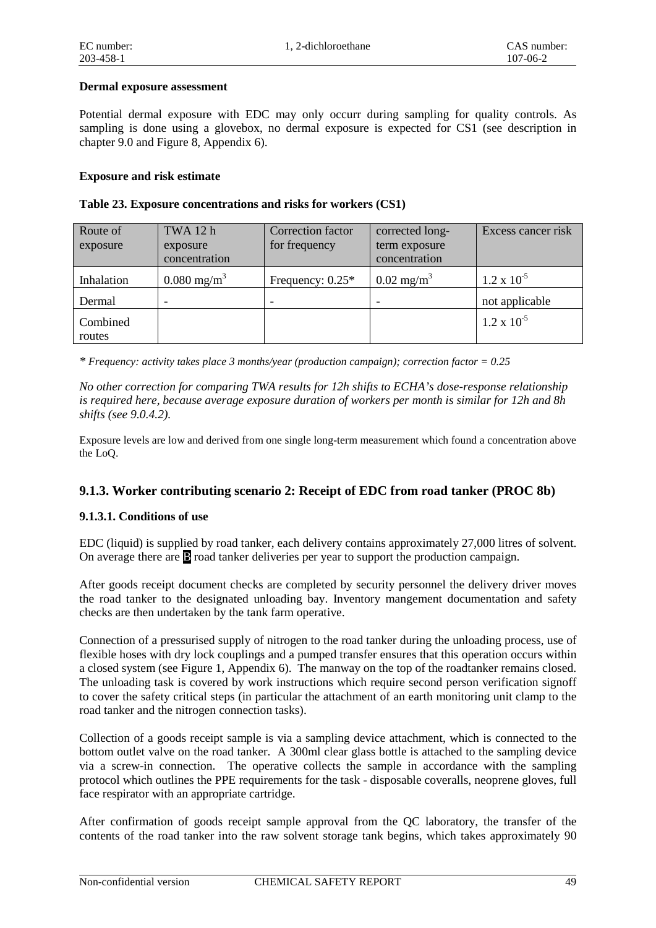#### **Dermal exposure assessment**

Potential dermal exposure with EDC may only occurr during sampling for quality controls. As sampling is done using a glovebox, no dermal exposure is expected for CS1 (see description in chapter 9.0 and Figure 8, Appendix 6).

#### **Exposure and risk estimate**

| Table 23. Exposure concentrations and risks for workers (CS1) |  |  |  |
|---------------------------------------------------------------|--|--|--|
|---------------------------------------------------------------|--|--|--|

| Route of<br>exposure | TWA 12 h<br>exposure<br>concentration | Correction factor<br>for frequency | corrected long-<br>term exposure<br>concentration | Excess cancer risk   |
|----------------------|---------------------------------------|------------------------------------|---------------------------------------------------|----------------------|
| Inhalation           | $0.080 \text{ mg/m}^3$                | Frequency: $0.25*$                 | $0.02 \text{ mg/m}^3$                             | $1.2 \times 10^{-5}$ |
| Dermal               |                                       |                                    |                                                   | not applicable       |
| Combined<br>routes   |                                       |                                    |                                                   | $1.2 \times 10^{-5}$ |

*\* Frequency: activity takes place 3 months/year (production campaign); correction factor = 0.25*

*No other correction for comparing TWA results for 12h shifts to ECHA's dose-response relationship is required here, because average exposure duration of workers per month is similar for 12h and 8h shifts (see 9.0.4.2).*

Exposure levels are low and derived from one single long-term measurement which found a concentration above the LoQ.

#### **9.1.3. Worker contributing scenario 2: Receipt of EDC from road tanker (PROC 8b)**

#### **9.1.3.1. Conditions of use**

EDC (liquid) is supplied by road tanker, each delivery contains approximately 27,000 litres of solvent. On average there are B road tanker deliveries per year to support the production campaign.

After goods receipt document checks are completed by security personnel the delivery driver moves the road tanker to the designated unloading bay. Inventory mangement documentation and safety checks are then undertaken by the tank farm operative.

Connection of a pressurised supply of nitrogen to the road tanker during the unloading process, use of flexible hoses with dry lock couplings and a pumped transfer ensures that this operation occurs within a closed system (see Figure 1, Appendix 6). The manway on the top of the roadtanker remains closed. The unloading task is covered by work instructions which require second person verification signoff to cover the safety critical steps (in particular the attachment of an earth monitoring unit clamp to the road tanker and the nitrogen connection tasks).

Collection of a goods receipt sample is via a sampling device attachment, which is connected to the bottom outlet valve on the road tanker. A 300ml clear glass bottle is attached to the sampling device via a screw-in connection. The operative collects the sample in accordance with the sampling protocol which outlines the PPE requirements for the task - disposable coveralls, neoprene gloves, full face respirator with an appropriate cartridge.

After confirmation of goods receipt sample approval from the QC laboratory, the transfer of the contents of the road tanker into the raw solvent storage tank begins, which takes approximately 90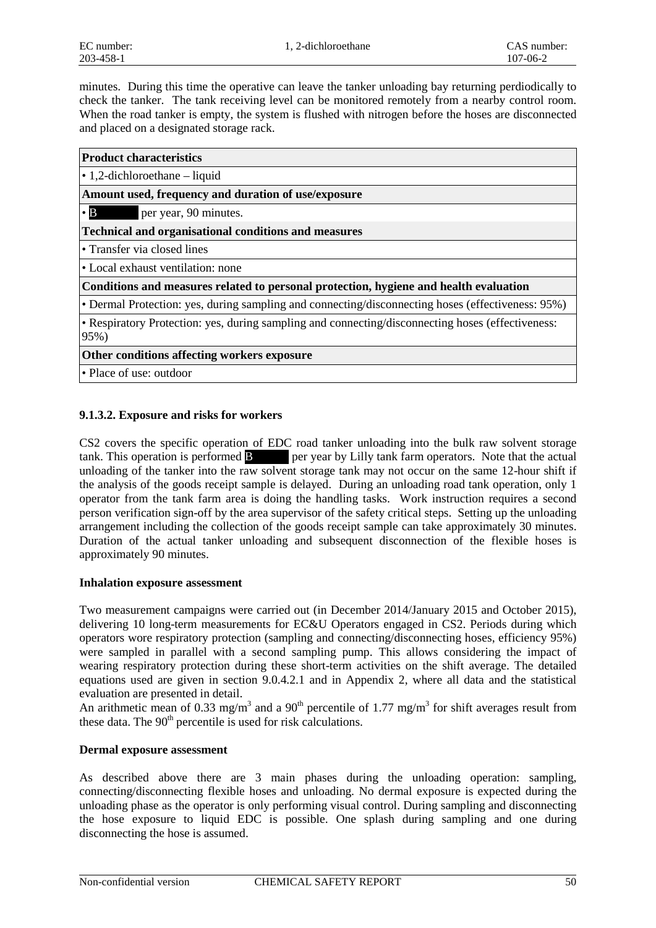minutes. During this time the operative can leave the tanker unloading bay returning perdiodically to check the tanker. The tank receiving level can be monitored remotely from a nearby control room. When the road tanker is empty, the system is flushed with nitrogen before the hoses are disconnected and placed on a designated storage rack.

| <b>Product characteristics</b>                                                                            |
|-----------------------------------------------------------------------------------------------------------|
| $\bullet$ 1,2-dichloroethane – liquid                                                                     |
| Amount used, frequency and duration of use/exposure                                                       |
| $\bullet$ B<br>per year, 90 minutes.                                                                      |
| <b>Technical and organisational conditions and measures</b>                                               |
| • Transfer via closed lines                                                                               |
| • Local exhaust ventilation: none                                                                         |
| Conditions and measures related to personal protection, hygiene and health evaluation                     |
| • Dermal Protection: yes, during sampling and connecting/disconnecting hoses (effectiveness: 95%)         |
| • Respiratory Protection: yes, during sampling and connecting/disconnecting hoses (effectiveness:<br>95%) |
| Other conditions affecting workers exposure                                                               |
| • Place of use: outdoor                                                                                   |
|                                                                                                           |

#### **9.1.3.2. Exposure and risks for workers**

CS2 covers the specific operation of EDC road tanker unloading into the bulk raw solvent storage tank. This operation is performed **B** \*\*\*\* per year by Lilly tank farm operators. Note that the actual unloading of the tanker into the raw solvent storage tank may not occur on the same 12-hour shift if the analysis of the goods receipt sample is delayed. During an unloading road tank operation, only 1 operator from the tank farm area is doing the handling tasks. Work instruction requires a second person verification sign-off by the area supervisor of the safety critical steps. Setting up the unloading arrangement including the collection of the goods receipt sample can take approximately 30 minutes. Duration of the actual tanker unloading and subsequent disconnection of the flexible hoses is approximately 90 minutes.

#### **Inhalation exposure assessment**

Two measurement campaigns were carried out (in December 2014/January 2015 and October 2015), delivering 10 long-term measurements for EC&U Operators engaged in CS2. Periods during which operators wore respiratory protection (sampling and connecting/disconnecting hoses, efficiency 95%) were sampled in parallel with a second sampling pump. This allows considering the impact of wearing respiratory protection during these short-term activities on the shift average. The detailed equations used are given in section 9.0.4.2.1 and in Appendix 2, where all data and the statistical evaluation are presented in detail.

An arithmetic mean of 0.33 mg/m<sup>3</sup> and a 90<sup>th</sup> percentile of 1.77 mg/m<sup>3</sup> for shift averages result from these data. The  $90<sup>th</sup>$  percentile is used for risk calculations.

#### **Dermal exposure assessment**

As described above there are 3 main phases during the unloading operation: sampling, connecting/disconnecting flexible hoses and unloading. No dermal exposure is expected during the unloading phase as the operator is only performing visual control. During sampling and disconnecting the hose exposure to liquid EDC is possible. One splash during sampling and one during disconnecting the hose is assumed.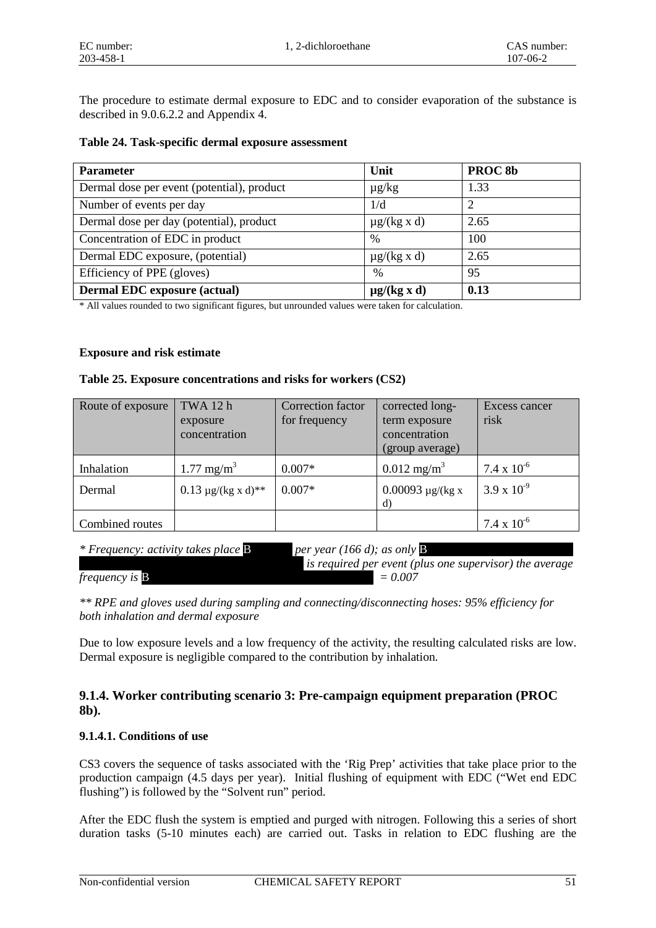The procedure to estimate dermal exposure to EDC and to consider evaporation of the substance is described in 9.0.6.2.2 and Appendix 4.

| Table 24. Task-specific dermal exposure assessment |  |
|----------------------------------------------------|--|
|----------------------------------------------------|--|

| <b>Parameter</b>                           | Unit             | PROC <sub>8b</sub> |
|--------------------------------------------|------------------|--------------------|
| Dermal dose per event (potential), product | $\mu$ g/kg       | 1.33               |
| Number of events per day                   | 1/d              |                    |
| Dermal dose per day (potential), product   | $\mu$ g/(kg x d) | 2.65               |
| Concentration of EDC in product            | $\frac{0}{0}$    | 100                |
| Dermal EDC exposure, (potential)           | $\mu$ g/(kg x d) | 2.65               |
| Efficiency of PPE (gloves)                 | $\frac{0}{0}$    | 95                 |
| <b>Dermal EDC</b> exposure (actual)        | $\mu$ g/(kg x d) | 0.13               |

\* All values rounded to two significant figures, but unrounded values were taken for calculation.

#### **Exposure and risk estimate**

#### **Table 25. Exposure concentrations and risks for workers (CS2)**

| Route of exposure | TWA 12 h                   | Correction factor | corrected long-                  | Excess cancer        |
|-------------------|----------------------------|-------------------|----------------------------------|----------------------|
|                   | exposure<br>concentration  | for frequency     | term exposure                    | risk                 |
|                   |                            |                   | concentration<br>(group average) |                      |
|                   |                            |                   |                                  |                      |
| Inhalation        | $1.77 \text{ mg/m}^3$      | $0.007*$          | $0.012 \text{ mg/m}^3$           | $7.4 \times 10^{-6}$ |
| Dermal            | $0.13 \mu g/(kg x d)^{**}$ | $0.007*$          | $0.00093 \mu g/(kg x)$           | $3.9 \times 10^{-9}$ |
|                   |                            |                   | d)                               |                      |
| Combined routes   |                            |                   |                                  | $7.4 \times 10^{-6}$ |

*\* Frequency: activity takes place* B \*\*\*\*\*\*\* *per year (166 d); as only* B \*\*\*\*\*\* \*

*is required per event (plus one supervisor) the average frequency is* **B**  $= 0.007$ 

*\*\* RPE and gloves used during sampling and connecting/disconnecting hoses: 95% efficiency for both inhalation and dermal exposure*

Due to low exposure levels and a low frequency of the activity, the resulting calculated risks are low. Dermal exposure is negligible compared to the contribution by inhalation.

#### **9.1.4. Worker contributing scenario 3: Pre-campaign equipment preparation (PROC 8b).**

#### **9.1.4.1. Conditions of use**

CS3 covers the sequence of tasks associated with the 'Rig Prep' activities that take place prior to the production campaign (4.5 days per year). Initial flushing of equipment with EDC ("Wet end EDC flushing") is followed by the "Solvent run" period.

After the EDC flush the system is emptied and purged with nitrogen. Following this a series of short duration tasks (5-10 minutes each) are carried out. Tasks in relation to EDC flushing are the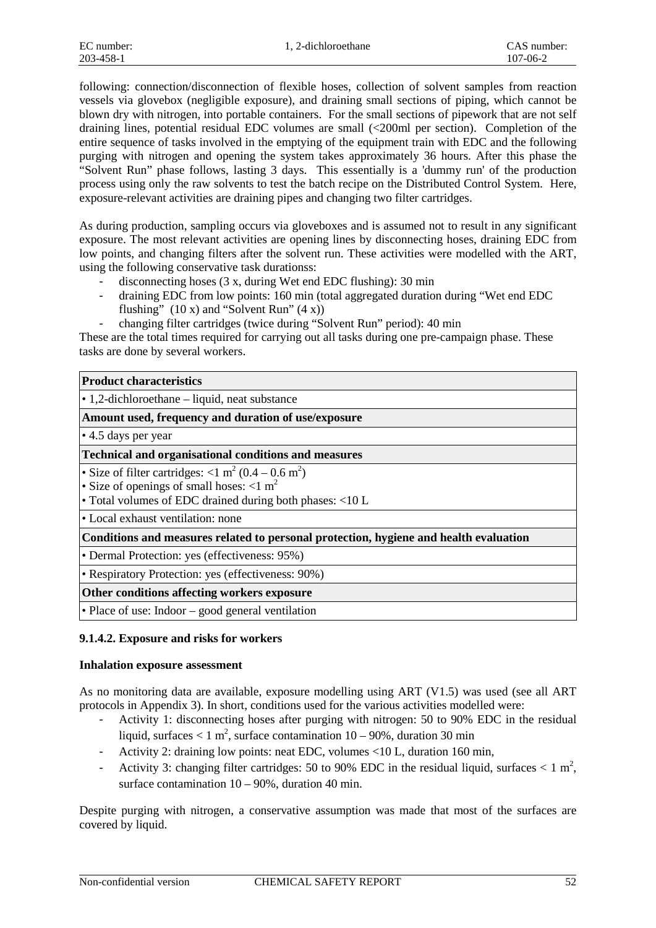following: connection/disconnection of flexible hoses, collection of solvent samples from reaction vessels via glovebox (negligible exposure), and draining small sections of piping, which cannot be blown dry with nitrogen, into portable containers. For the small sections of pipework that are not self draining lines, potential residual EDC volumes are small (<200ml per section). Completion of the entire sequence of tasks involved in the emptying of the equipment train with EDC and the following purging with nitrogen and opening the system takes approximately 36 hours. After this phase the "Solvent Run" phase follows, lasting 3 days. This essentially is a 'dummy run' of the production process using only the raw solvents to test the batch recipe on the Distributed Control System. Here, exposure-relevant activities are draining pipes and changing two filter cartridges.

As during production, sampling occurs via gloveboxes and is assumed not to result in any significant exposure. The most relevant activities are opening lines by disconnecting hoses, draining EDC from low points, and changing filters after the solvent run. These activities were modelled with the ART, using the following conservative task durationss:

- disconnecting hoses (3 x, during Wet end EDC flushing): 30 min
- draining EDC from low points: 160 min (total aggregated duration during "Wet end EDC flushing"  $(10 x)$  and "Solvent Run"  $(4 x)$ )
- changing filter cartridges (twice during "Solvent Run" period): 40 min

These are the total times required for carrying out all tasks during one pre-campaign phase. These tasks are done by several workers.

| <b>Product characteristics</b>                                                                                                                                                                       |
|------------------------------------------------------------------------------------------------------------------------------------------------------------------------------------------------------|
| $\cdot$ 1,2-dichloroethane – liquid, neat substance                                                                                                                                                  |
| Amount used, frequency and duration of use/exposure                                                                                                                                                  |
| $\cdot$ 4.5 days per year                                                                                                                                                                            |
| <b>Technical and organisational conditions and measures</b>                                                                                                                                          |
| • Size of filter cartridges: $<$ 1 m <sup>2</sup> (0.4 – 0.6 m <sup>2</sup> )<br>• Size of openings of small hoses: $< 1$ m <sup>2</sup><br>• Total volumes of EDC drained during both phases: <10 L |
| • Local exhaust ventilation: none                                                                                                                                                                    |
| Conditions and measures related to personal protection, hygiene and health evaluation                                                                                                                |
| • Dermal Protection: yes (effectiveness: 95%)                                                                                                                                                        |
| • Respiratory Protection: yes (effectiveness: 90%)                                                                                                                                                   |
| Other conditions affecting workers exposure                                                                                                                                                          |
| • Place of use: Indoor – good general ventilation                                                                                                                                                    |

#### **9.1.4.2. Exposure and risks for workers**

#### **Inhalation exposure assessment**

As no monitoring data are available, exposure modelling using ART (V1.5) was used (see all ART protocols in Appendix 3). In short, conditions used for the various activities modelled were:

- Activity 1: disconnecting hoses after purging with nitrogen: 50 to 90% EDC in the residual liquid, surfaces  $< 1 \text{ m}^2$ , surface contamination 10 – 90%, duration 30 min
- Activity 2: draining low points: neat EDC, volumes <10 L, duration 160 min,
- Activity 3: changing filter cartridges: 50 to 90% EDC in the residual liquid, surfaces  $< 1 \text{ m}^2$ , surface contamination  $10 - 90\%$ , duration 40 min.

Despite purging with nitrogen, a conservative assumption was made that most of the surfaces are covered by liquid.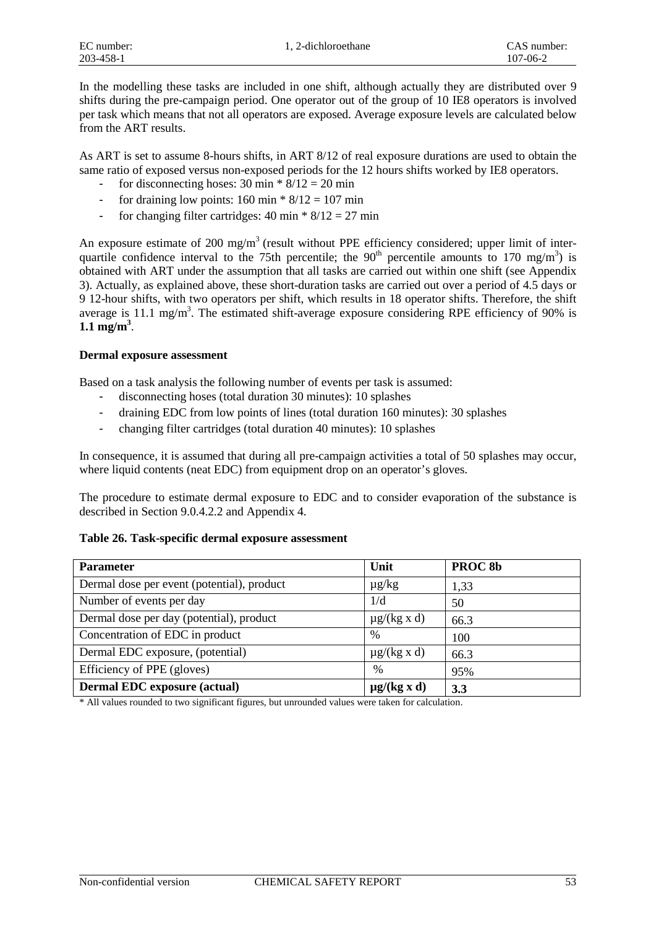In the modelling these tasks are included in one shift, although actually they are distributed over 9 shifts during the pre-campaign period. One operator out of the group of 10 IE8 operators is involved per task which means that not all operators are exposed. Average exposure levels are calculated below from the ART results.

As ART is set to assume 8-hours shifts, in ART 8/12 of real exposure durations are used to obtain the same ratio of exposed versus non-exposed periods for the 12 hours shifts worked by IE8 operators.

- for disconnecting hoses:  $30 \text{ min} * 8/12 = 20 \text{ min}$
- for draining low points:  $160 \text{ min} * 8/12 = 107 \text{ min}$
- for changing filter cartridges:  $40 \text{ min} * 8/12 = 27 \text{ min}$

An exposure estimate of 200 mg/m<sup>3</sup> (result without PPE efficiency considered; upper limit of interquartile confidence interval to the 75th percentile; the  $90<sup>th</sup>$  percentile amounts to 170 mg/m<sup>3</sup>) is obtained with ART under the assumption that all tasks are carried out within one shift (see Appendix 3). Actually, as explained above, these short-duration tasks are carried out over a period of 4.5 days or 9 12-hour shifts, with two operators per shift, which results in 18 operator shifts. Therefore, the shift average is 11.1 mg/m<sup>3</sup>. The estimated shift-average exposure considering RPE efficiency of 90% is  $1.1 \text{ mg/m}^3$ .

#### **Dermal exposure assessment**

Based on a task analysis the following number of events per task is assumed:

- disconnecting hoses (total duration 30 minutes): 10 splashes
- draining EDC from low points of lines (total duration 160 minutes): 30 splashes
- changing filter cartridges (total duration 40 minutes): 10 splashes

In consequence, it is assumed that during all pre-campaign activities a total of 50 splashes may occur, where liquid contents (neat EDC) from equipment drop on an operator's gloves.

The procedure to estimate dermal exposure to EDC and to consider evaporation of the substance is described in Section 9.0.4.2.2 and Appendix 4.

#### **Table 26. Task-specific dermal exposure assessment**

| Unit             | PROC <sub>8b</sub> |
|------------------|--------------------|
| $\mu$ g/kg       | 1,33               |
| 1/d              | 50                 |
| $\mu$ g/(kg x d) | 66.3               |
| $\frac{0}{0}$    | 100                |
| $\mu$ g/(kg x d) | 66.3               |
| $\%$             | 95%                |
| $\mu$ g/(kg x d) | 3.3                |
|                  |                    |

\* All values rounded to two significant figures, but unrounded values were taken for calculation.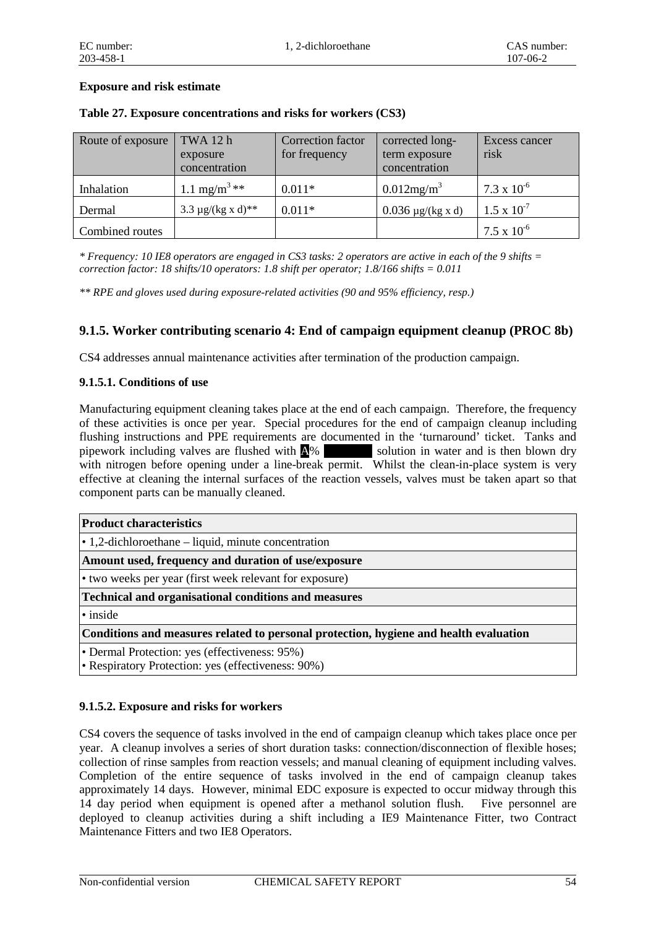#### **Exposure and risk estimate**

| Route of exposure | TWA 12 h<br>exposure<br>concentration | Correction factor<br>for frequency | corrected long-<br>term exposure<br>concentration | Excess cancer<br>risk |
|-------------------|---------------------------------------|------------------------------------|---------------------------------------------------|-----------------------|
| Inhalation        | 1.1 mg/m <sup>3</sup> **              | $0.011*$                           | $0.012mg/m^3$                                     | $7.3 \times 10^{-6}$  |
| Dermal            | $3.3 \mu g/(kg x d)^{**}$             | $0.011*$                           | $0.036 \mu g/(kg x d)$                            | $1.5 \times 10^{-7}$  |
| Combined routes   |                                       |                                    |                                                   | $7.5 \times 10^{-6}$  |

#### **Table 27. Exposure concentrations and risks for workers (CS3)**

*\* Frequency: 10 IE8 operators are engaged in CS3 tasks: 2 operators are active in each of the 9 shifts = correction factor: 18 shifts/10 operators: 1.8 shift per operator; 1.8/166 shifts = 0.011*

*\*\* RPE and gloves used during exposure-related activities (90 and 95% efficiency, resp.)* 

#### **9.1.5. Worker contributing scenario 4: End of campaign equipment cleanup (PROC 8b)**

CS4 addresses annual maintenance activities after termination of the production campaign.

#### **9.1.5.1. Conditions of use**

Manufacturing equipment cleaning takes place at the end of each campaign. Therefore, the frequency of these activities is once per year. Special procedures for the end of campaign cleanup including flushing instructions and PPE requirements are documented in the 'turnaround' ticket. Tanks and pipework including valves are flushed with  $\Delta\%$  solution in water and is then blown dry with nitrogen before opening under a line-break permit. Whilst the clean-in-place system is very effective at cleaning the internal surfaces of the reaction vessels, valves must be taken apart so that component parts can be manually cleaned.

| <b>Product characteristics</b>                                                        |
|---------------------------------------------------------------------------------------|
| $\cdot$ 1,2-dichloroethane – liquid, minute concentration                             |
| Amount used, frequency and duration of use/exposure                                   |
| • two weeks per year (first week relevant for exposure)                               |
| Technical and organisational conditions and measures                                  |
| $\cdot$ inside                                                                        |
| Conditions and measures related to personal protection, hygiene and health evaluation |
| • Dermal Protection: yes (effectiveness: 95%)                                         |
| • Respiratory Protection: yes (effectiveness: 90%)                                    |

#### **9.1.5.2. Exposure and risks for workers**

CS4 covers the sequence of tasks involved in the end of campaign cleanup which takes place once per year. A cleanup involves a series of short duration tasks: connection/disconnection of flexible hoses; collection of rinse samples from reaction vessels; and manual cleaning of equipment including valves. Completion of the entire sequence of tasks involved in the end of campaign cleanup takes approximately 14 days. However, minimal EDC exposure is expected to occur midway through this 14 day period when equipment is opened after a methanol solution flush. Five personnel are deployed to cleanup activities during a shift including a IE9 Maintenance Fitter, two Contract Maintenance Fitters and two IE8 Operators.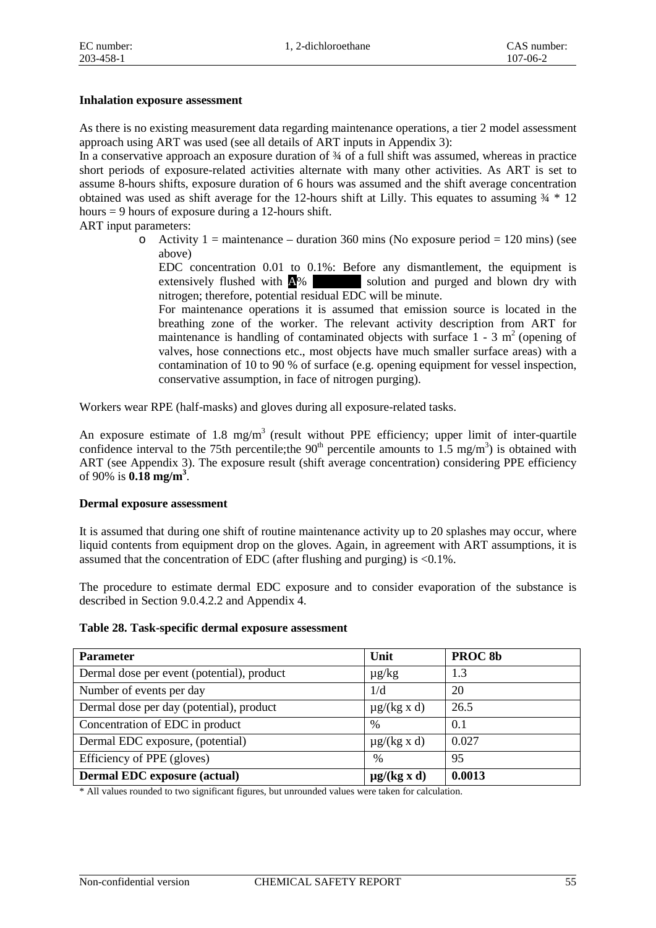#### **Inhalation exposure assessment**

As there is no existing measurement data regarding maintenance operations, a tier 2 model assessment approach using ART was used (see all details of ART inputs in Appendix 3):

In a conservative approach an exposure duration of  $\frac{3}{4}$  of a full shift was assumed, whereas in practice short periods of exposure-related activities alternate with many other activities. As ART is set to assume 8-hours shifts, exposure duration of 6 hours was assumed and the shift average concentration obtained was used as shift average for the 12-hours shift at Lilly. This equates to assuming  $\frac{3}{4}$   $\frac{*}{12}$ hours = 9 hours of exposure during a 12-hours shift.

ART input parameters:

o Activity 1 = maintenance – duration 360 mins (No exposure period = 120 mins) (see above)

EDC concentration 0.01 to 0.1%: Before any dismantlement, the equipment is extensively flushed with  $\triangle$ % solution and purged and blown dry with nitrogen; therefore, potential residual EDC will be minute.

For maintenance operations it is assumed that emission source is located in the breathing zone of the worker. The relevant activity description from ART for maintenance is handling of contaminated objects with surface  $1 - 3$  m<sup>2</sup> (opening of valves, hose connections etc., most objects have much smaller surface areas) with a contamination of 10 to 90 % of surface (e.g. opening equipment for vessel inspection, conservative assumption, in face of nitrogen purging).

Workers wear RPE (half-masks) and gloves during all exposure-related tasks.

An exposure estimate of 1.8 mg/m<sup>3</sup> (result without PPE efficiency; upper limit of inter-quartile confidence interval to the 75th percentile; the  $90<sup>th</sup>$  percentile amounts to 1.5 mg/m<sup>3</sup>) is obtained with ART (see Appendix 3). The exposure result (shift average concentration) considering PPE efficiency of 90% is **0.18 mg/m3** .

#### **Dermal exposure assessment**

It is assumed that during one shift of routine maintenance activity up to 20 splashes may occur, where liquid contents from equipment drop on the gloves. Again, in agreement with ART assumptions, it is assumed that the concentration of EDC (after flushing and purging) is  $\langle 0.1\%$ .

The procedure to estimate dermal EDC exposure and to consider evaporation of the substance is described in Section 9.0.4.2.2 and Appendix 4.

|  |  | Table 28. Task-specific dermal exposure assessment |  |
|--|--|----------------------------------------------------|--|
|--|--|----------------------------------------------------|--|

| <b>Parameter</b>                           | Unit             | PROC <sub>8b</sub> |
|--------------------------------------------|------------------|--------------------|
| Dermal dose per event (potential), product | $\mu$ g/kg       | 1.3                |
| Number of events per day                   | 1/d              | 20                 |
| Dermal dose per day (potential), product   | $\mu$ g/(kg x d) | 26.5               |
| Concentration of EDC in product            | $\%$             | 0.1                |
| Dermal EDC exposure, (potential)           | $\mu$ g/(kg x d) | 0.027              |
| Efficiency of PPE (gloves)                 | $\frac{0}{0}$    | 95                 |
| <b>Dermal EDC</b> exposure (actual)        | $\mu$ g/(kg x d) | 0.0013             |

\* All values rounded to two significant figures, but unrounded values were taken for calculation.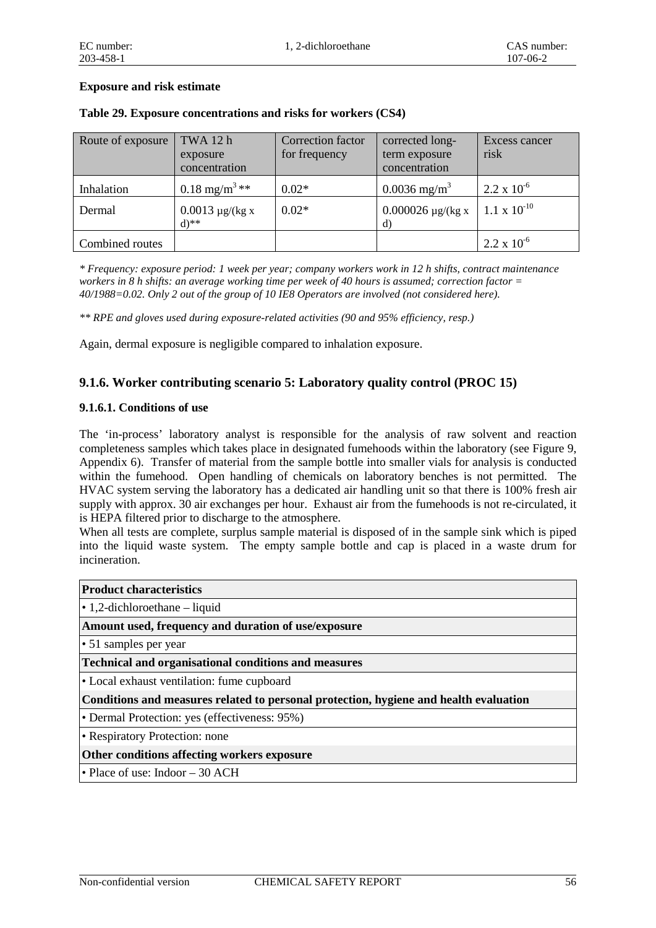#### **Exposure and risk estimate**

| Route of exposure | TWA 12 h<br>exposure<br>concentration      | Correction factor<br>for frequency | corrected long-<br>term exposure<br>concentration | Excess cancer<br>risk |
|-------------------|--------------------------------------------|------------------------------------|---------------------------------------------------|-----------------------|
| Inhalation        | 0.18 mg/m <sup>3</sup> **                  | $0.02*$                            | $0.0036$ mg/m <sup>3</sup>                        | $2.2 \times 10^{-6}$  |
| Dermal            | $0.0013 \mu g/(kg x)$<br>$d$ <sup>**</sup> | $0.02*$                            | $0.000026 \mu g/(kg x)$<br>d)                     | $1.1 \times 10^{-10}$ |
| Combined routes   |                                            |                                    |                                                   | $2.2 \times 10^{-6}$  |

#### **Table 29. Exposure concentrations and risks for workers (CS4)**

*\* Frequency: exposure period: 1 week per year; company workers work in 12 h shifts, contract maintenance workers in 8 h shifts: an average working time per week of 40 hours is assumed; correction factor = 40/1988=0.02. Only 2 out of the group of 10 IE8 Operators are involved (not considered here).*

*\*\* RPE and gloves used during exposure-related activities (90 and 95% efficiency, resp.)* 

Again, dermal exposure is negligible compared to inhalation exposure.

#### **9.1.6. Worker contributing scenario 5: Laboratory quality control (PROC 15)**

#### **9.1.6.1. Conditions of use**

The 'in-process' laboratory analyst is responsible for the analysis of raw solvent and reaction completeness samples which takes place in designated fumehoods within the laboratory (see Figure 9, Appendix 6). Transfer of material from the sample bottle into smaller vials for analysis is conducted within the fumehood. Open handling of chemicals on laboratory benches is not permitted. The HVAC system serving the laboratory has a dedicated air handling unit so that there is 100% fresh air supply with approx. 30 air exchanges per hour. Exhaust air from the fumehoods is not re-circulated, it is HEPA filtered prior to discharge to the atmosphere.

When all tests are complete, surplus sample material is disposed of in the sample sink which is piped into the liquid waste system. The empty sample bottle and cap is placed in a waste drum for incineration.

| <b>Product characteristics</b>                                                        |
|---------------------------------------------------------------------------------------|
| $\cdot$ 1,2-dichloroethane – liquid                                                   |
| Amount used, frequency and duration of use/exposure                                   |
| $\cdot$ 51 samples per year                                                           |
| <b>Technical and organisational conditions and measures</b>                           |
| • Local exhaust ventilation: fume cupboard                                            |
| Conditions and measures related to personal protection, hygiene and health evaluation |
| • Dermal Protection: yes (effectiveness: 95%)                                         |
| • Respiratory Protection: none                                                        |
| Other conditions affecting workers exposure                                           |
| $\bullet$ Place of use: Indoor $-30$ ACH                                              |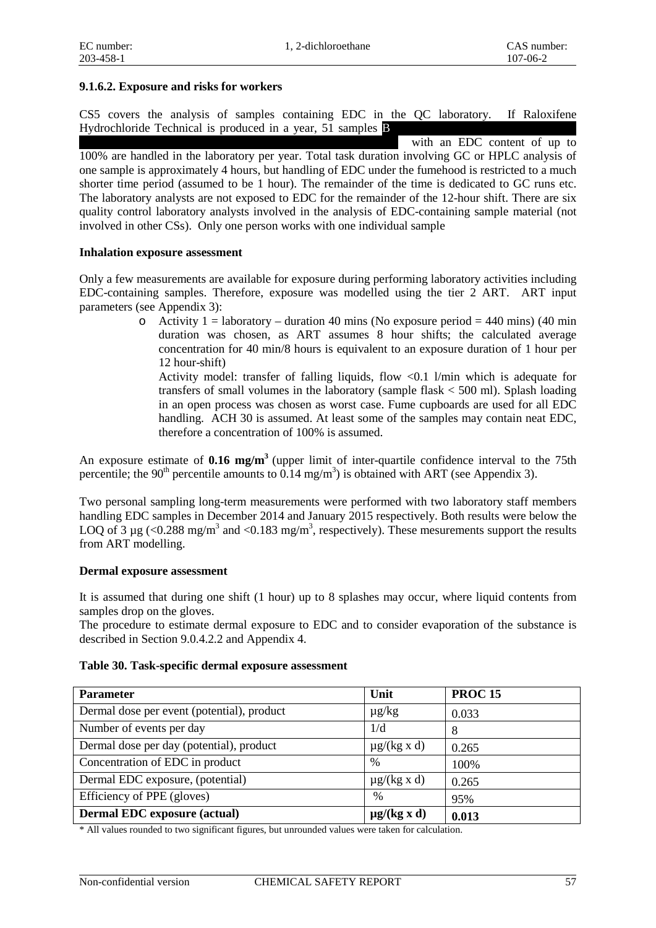#### **9.1.6.2. Exposure and risks for workers**

CS5 covers the analysis of samples containing EDC in the QC laboratory. If Raloxifene Hydrochloride Technical is produced in a year,  $51$  samples  $\bf{B}$ 

with an EDC content of up to 100% are handled in the laboratory per year. Total task duration involving GC or HPLC analysis of one sample is approximately 4 hours, but handling of EDC under the fumehood is restricted to a much shorter time period (assumed to be 1 hour). The remainder of the time is dedicated to GC runs etc. The laboratory analysts are not exposed to EDC for the remainder of the 12-hour shift. There are six quality control laboratory analysts involved in the analysis of EDC-containing sample material (not involved in other CSs). Only one person works with one individual sample

#### **Inhalation exposure assessment**

Only a few measurements are available for exposure during performing laboratory activities including EDC-containing samples. Therefore, exposure was modelled using the tier 2 ART. ART input parameters (see Appendix 3):

> o Activity 1 = laboratory – duration 40 mins (No exposure period = 440 mins) (40 min duration was chosen, as ART assumes 8 hour shifts; the calculated average concentration for 40 min/8 hours is equivalent to an exposure duration of 1 hour per 12 hour-shift) Activity model: transfer of falling liquids, flow <0.1 l/min which is adequate for transfers of small volumes in the laboratory (sample flask < 500 ml). Splash loading

in an open process was chosen as worst case. Fume cupboards are used for all EDC handling. ACH 30 is assumed. At least some of the samples may contain neat EDC, therefore a concentration of 100% is assumed.

An exposure estimate of **0.16 mg/m3** (upper limit of inter-quartile confidence interval to the 75th percentile; the 90<sup>th</sup> percentile amounts to  $0.14 \text{ mg/m}^3$ ) is obtained with ART (see Appendix 3).

Two personal sampling long-term measurements were performed with two laboratory staff members handling EDC samples in December 2014 and January 2015 respectively. Both results were below the LOQ of 3  $\mu$ g (<0.288 mg/m<sup>3</sup> and <0.183 mg/m<sup>3</sup>, respectively). These mesurements support the results from ART modelling.

#### **Dermal exposure assessment**

It is assumed that during one shift (1 hour) up to 8 splashes may occur, where liquid contents from samples drop on the gloves.

The procedure to estimate dermal exposure to EDC and to consider evaporation of the substance is described in Section 9.0.4.2.2 and Appendix 4.

#### **Table 30. Task-specific dermal exposure assessment**

| <b>Parameter</b>                           | Unit             | <b>PROC15</b> |
|--------------------------------------------|------------------|---------------|
| Dermal dose per event (potential), product | $\mu$ g/kg       | 0.033         |
| Number of events per day                   | 1/d              | 8             |
| Dermal dose per day (potential), product   | $\mu$ g/(kg x d) | 0.265         |
| Concentration of EDC in product            | $\%$             | 100%          |
| Dermal EDC exposure, (potential)           | $\mu$ g/(kg x d) | 0.265         |
| Efficiency of PPE (gloves)                 | $\%$             | 95%           |
| <b>Dermal EDC</b> exposure (actual)        | $\mu$ g/(kg x d) | 0.013         |

\* All values rounded to two significant figures, but unrounded values were taken for calculation.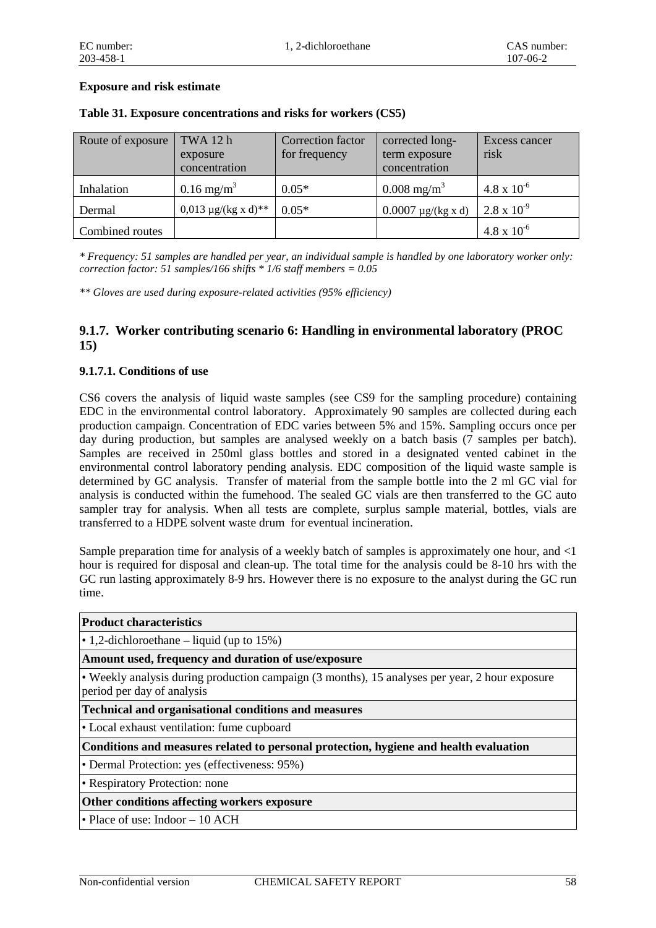#### **Exposure and risk estimate**

| Route of exposure | TWA 12 h<br>exposure<br>concentration | Correction factor<br>for frequency | corrected long-<br>term exposure<br>concentration | Excess cancer<br>risk |
|-------------------|---------------------------------------|------------------------------------|---------------------------------------------------|-----------------------|
| Inhalation        | $0.16 \text{ mg/m}^3$                 | $0.05*$                            | $0.008 \text{ mg/m}^3$                            | $4.8 \times 10^{-6}$  |
| Dermal            | $0.013 \mu g/(kg x d)^{**}$           | $0.05*$                            | $0.0007 \mu g/(kg x d)$                           | $2.8 \times 10^{-9}$  |
| Combined routes   |                                       |                                    |                                                   | $4.8 \times 10^{-6}$  |

#### **Table 31. Exposure concentrations and risks for workers (CS5)**

*\* Frequency: 51 samples are handled per year, an individual sample is handled by one laboratory worker only: correction factor: 51 samples/166 shifts \* 1/6 staff members = 0.05*

*\*\* Gloves are used during exposure-related activities (95% efficiency)* 

#### **9.1.7. Worker contributing scenario 6: Handling in environmental laboratory (PROC 15)**

#### **9.1.7.1. Conditions of use**

CS6 covers the analysis of liquid waste samples (see CS9 for the sampling procedure) containing EDC in the environmental control laboratory. Approximately 90 samples are collected during each production campaign. Concentration of EDC varies between 5% and 15%. Sampling occurs once per day during production, but samples are analysed weekly on a batch basis (7 samples per batch). Samples are received in 250ml glass bottles and stored in a designated vented cabinet in the environmental control laboratory pending analysis. EDC composition of the liquid waste sample is determined by GC analysis. Transfer of material from the sample bottle into the 2 ml GC vial for analysis is conducted within the fumehood. The sealed GC vials are then transferred to the GC auto sampler tray for analysis. When all tests are complete, surplus sample material, bottles, vials are transferred to a HDPE solvent waste drum for eventual incineration.

Sample preparation time for analysis of a weekly batch of samples is approximately one hour, and  $\leq 1$ hour is required for disposal and clean-up. The total time for the analysis could be 8-10 hrs with the GC run lasting approximately 8-9 hrs. However there is no exposure to the analyst during the GC run time.

| <b>Product characteristics</b>                                                                                               |
|------------------------------------------------------------------------------------------------------------------------------|
| • 1,2-dichloroethane – liquid (up to $15\%$ )                                                                                |
| Amount used, frequency and duration of use/exposure                                                                          |
| • Weekly analysis during production campaign (3 months), 15 analyses per year, 2 hour exposure<br>period per day of analysis |
| <b>Technical and organisational conditions and measures</b>                                                                  |
| • Local exhaust ventilation: fume cupboard                                                                                   |
| Conditions and measures related to personal protection, hygiene and health evaluation                                        |
| • Dermal Protection: yes (effectiveness: 95%)                                                                                |
| • Respiratory Protection: none                                                                                               |
| Other conditions affecting workers exposure                                                                                  |
| $\bullet$ Place of use: Indoor $-10$ ACH                                                                                     |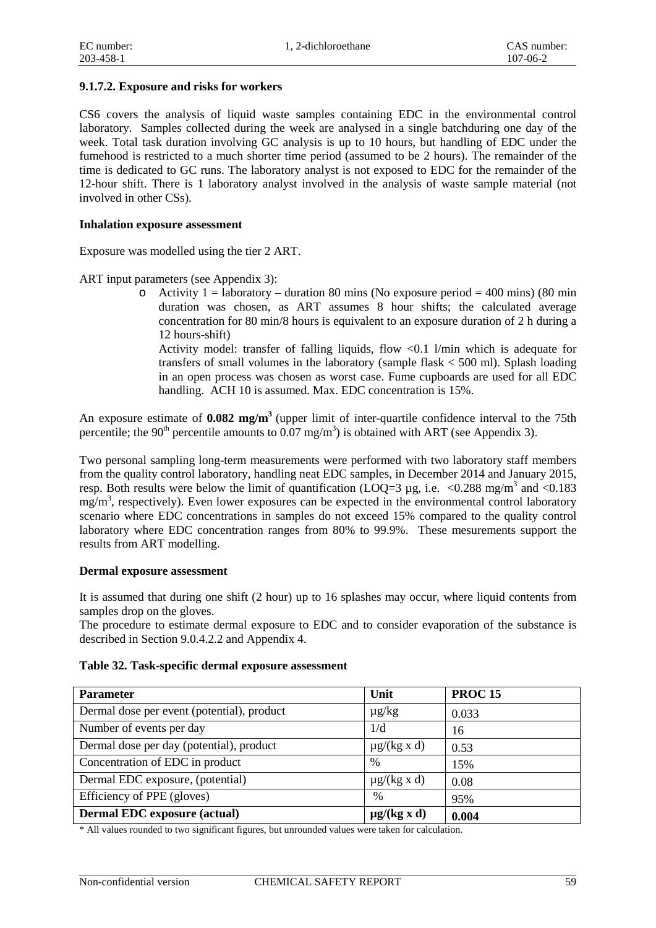#### **9.1.7.2. Exposure and risks for workers**

CS6 covers the analysis of liquid waste samples containing EDC in the environmental control laboratory. Samples collected during the week are analysed in a single batchduring one day of the week. Total task duration involving GC analysis is up to 10 hours, but handling of EDC under the fumehood is restricted to a much shorter time period (assumed to be 2 hours). The remainder of the time is dedicated to GC runs. The laboratory analyst is not exposed to EDC for the remainder of the 12-hour shift. There is 1 laboratory analyst involved in the analysis of waste sample material (not involved in other CSs).

#### **Inhalation exposure assessment**

Exposure was modelled using the tier 2 ART.

ART input parameters (see Appendix 3):

o Activity 1 = laboratory – duration 80 mins (No exposure period = 400 mins) (80 min duration was chosen, as ART assumes 8 hour shifts; the calculated average concentration for 80 min/8 hours is equivalent to an exposure duration of 2 h during a 12 hours-shift)

Activity model: transfer of falling liquids, flow <0.1 l/min which is adequate for transfers of small volumes in the laboratory (sample flask < 500 ml). Splash loading in an open process was chosen as worst case. Fume cupboards are used for all EDC handling. ACH 10 is assumed. Max. EDC concentration is 15%.

An exposure estimate of **0.082 mg/m3** (upper limit of inter-quartile confidence interval to the 75th percentile; the 90<sup>th</sup> percentile amounts to 0.07 mg/m<sup>3</sup>) is obtained with ART (see Appendix 3).

Two personal sampling long-term measurements were performed with two laboratory staff members from the quality control laboratory, handling neat EDC samples, in December 2014 and January 2015, resp. Both results were below the limit of quantification (LOQ=3 µg, i.e.  $\langle 0.288 \text{ mg/m}^3 \rangle$  and  $\langle 0.183 \text{ mg/m}^3 \rangle$  $mg/m<sup>3</sup>$ , respectively). Even lower exposures can be expected in the environmental control laboratory scenario where EDC concentrations in samples do not exceed 15% compared to the quality control laboratory where EDC concentration ranges from 80% to 99.9%. These mesurements support the results from ART modelling.

#### **Dermal exposure assessment**

It is assumed that during one shift (2 hour) up to 16 splashes may occur, where liquid contents from samples drop on the gloves.

The procedure to estimate dermal exposure to EDC and to consider evaporation of the substance is described in Section 9.0.4.2.2 and Appendix 4.

#### **Table 32. Task-specific dermal exposure assessment**

| <b>Parameter</b>                           | Unit             | <b>PROC15</b> |
|--------------------------------------------|------------------|---------------|
| Dermal dose per event (potential), product | $\mu$ g/kg       | 0.033         |
| Number of events per day                   | 1/d              | 16            |
| Dermal dose per day (potential), product   | $\mu$ g/(kg x d) | 0.53          |
| Concentration of EDC in product            | $\%$             | 15%           |
| Dermal EDC exposure, (potential)           | $\mu$ g/(kg x d) | 0.08          |
| Efficiency of PPE (gloves)                 | $\%$             | 95%           |
| <b>Dermal EDC</b> exposure (actual)        | $\mu$ g/(kg x d) | 0.004         |

\* All values rounded to two significant figures, but unrounded values were taken for calculation.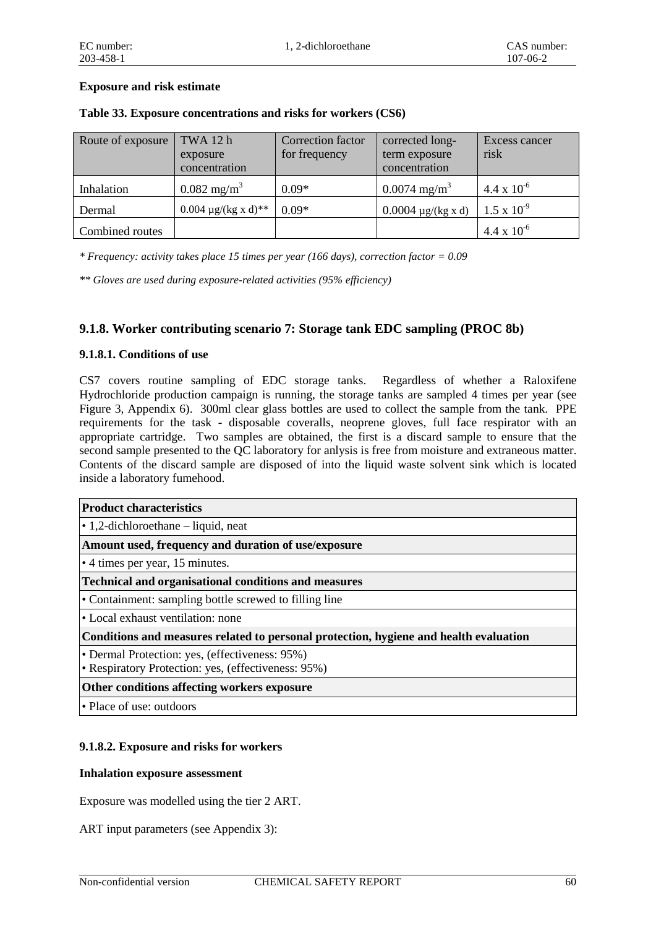#### **Exposure and risk estimate**

| Route of exposure | TWA 12 h<br>exposure<br>concentration | Correction factor<br>for frequency | corrected long-<br>term exposure<br>concentration | Excess cancer<br>risk |
|-------------------|---------------------------------------|------------------------------------|---------------------------------------------------|-----------------------|
| Inhalation        | $0.082 \text{ mg/m}^3$                | $0.09*$                            | $0.0074$ mg/m <sup>3</sup>                        | $4.4 \times 10^{-6}$  |
| Dermal            | 0.004 $\mu$ g/(kg x d)**              | $0.09*$                            | $0.0004 \mu g/(kg x d)$                           | $1.5 \times 10^{-9}$  |
| Combined routes   |                                       |                                    |                                                   | $4.4 \times 10^{-6}$  |

#### **Table 33. Exposure concentrations and risks for workers (CS6)**

*\* Frequency: activity takes place 15 times per year (166 days), correction factor = 0.09*

*\*\* Gloves are used during exposure-related activities (95% efficiency)* 

### **9.1.8. Worker contributing scenario 7: Storage tank EDC sampling (PROC 8b)**

#### **9.1.8.1. Conditions of use**

CS7 covers routine sampling of EDC storage tanks. Regardless of whether a Raloxifene Hydrochloride production campaign is running, the storage tanks are sampled 4 times per year (see Figure 3, Appendix 6). 300ml clear glass bottles are used to collect the sample from the tank. PPE requirements for the task - disposable coveralls, neoprene gloves, full face respirator with an appropriate cartridge. Two samples are obtained, the first is a discard sample to ensure that the second sample presented to the QC laboratory for anlysis is free from moisture and extraneous matter. Contents of the discard sample are disposed of into the liquid waste solvent sink which is located inside a laboratory fumehood.

| <b>Product characteristics</b>                                                        |
|---------------------------------------------------------------------------------------|
| $\cdot$ 1,2-dichloroethane – liquid, neat                                             |
| Amount used, frequency and duration of use/exposure                                   |
| • 4 times per year, 15 minutes.                                                       |
| <b>Technical and organisational conditions and measures</b>                           |
| • Containment: sampling bottle screwed to filling line                                |
| • Local exhaust ventilation: none                                                     |
| Conditions and measures related to personal protection, hygiene and health evaluation |
| • Dermal Protection: yes, (effectiveness: 95%)                                        |
| • Respiratory Protection: yes, (effectiveness: 95%)                                   |
| Other conditions affecting workers exposure                                           |
| • Place of use: outdoors                                                              |

#### **9.1.8.2. Exposure and risks for workers**

#### **Inhalation exposure assessment**

Exposure was modelled using the tier 2 ART.

ART input parameters (see Appendix 3):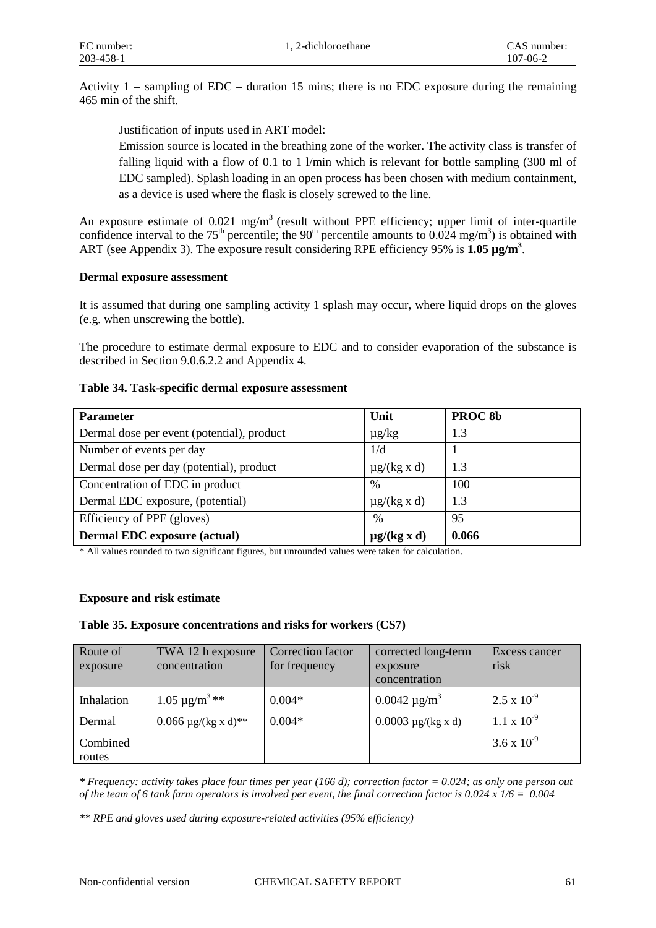Activity  $1 =$  sampling of EDC – duration 15 mins; there is no EDC exposure during the remaining 465 min of the shift.

Justification of inputs used in ART model:

Emission source is located in the breathing zone of the worker. The activity class is transfer of falling liquid with a flow of 0.1 to 1 l/min which is relevant for bottle sampling (300 ml of EDC sampled). Splash loading in an open process has been chosen with medium containment, as a device is used where the flask is closely screwed to the line.

An exposure estimate of  $0.021 \text{ mg/m}^3$  (result without PPE efficiency; upper limit of inter-quartile confidence interval to the 75<sup>th</sup> percentile; the 90<sup>th</sup> percentile amounts to 0.024 mg/m<sup>3</sup>) is obtained with ART (see Appendix 3). The exposure result considering RPE efficiency 95% is 1.05  $\mu$ g/m<sup>3</sup>.

#### **Dermal exposure assessment**

It is assumed that during one sampling activity 1 splash may occur, where liquid drops on the gloves (e.g. when unscrewing the bottle).

The procedure to estimate dermal exposure to EDC and to consider evaporation of the substance is described in Section 9.0.6.2.2 and Appendix 4.

#### **Table 34. Task-specific dermal exposure assessment**

| <b>Parameter</b>                           | Unit             | PROC <sub>8b</sub> |
|--------------------------------------------|------------------|--------------------|
| Dermal dose per event (potential), product | $\mu$ g/kg       | 1.3                |
| Number of events per day                   | 1/d              |                    |
| Dermal dose per day (potential), product   | $\mu$ g/(kg x d) | 1.3                |
| Concentration of EDC in product            | $\%$             | 100                |
| Dermal EDC exposure, (potential)           | $\mu$ g/(kg x d) | 1.3                |
| Efficiency of PPE (gloves)                 | $\%$             | 95                 |
| <b>Dermal EDC</b> exposure (actual)        | $\mu$ g/(kg x d) | 0.066              |

\* All values rounded to two significant figures, but unrounded values were taken for calculation.

#### **Exposure and risk estimate**

#### **Table 35. Exposure concentrations and risks for workers (CS7)**

| Route of<br>exposure | TWA 12 h exposure<br>concentration | Correction factor<br>for frequency | corrected long-term<br>exposure<br>concentration | Excess cancer<br>risk |
|----------------------|------------------------------------|------------------------------------|--------------------------------------------------|-----------------------|
|                      |                                    |                                    |                                                  |                       |
| Inhalation           | $1.05 \,\mathrm{\mu g/m^3}$ **     | $0.004*$                           | $0.0042 \mu g/m^3$                               | $2.5 \times 10^{-9}$  |
| Dermal               | 0.066 $\mu$ g/(kg x d)**           | $0.004*$                           | $0.0003 \mu g/(kg x d)$                          | $1.1 \times 10^{-9}$  |
| Combined<br>routes   |                                    |                                    |                                                  | $3.6 \times 10^{-9}$  |

*\* Frequency: activity takes place four times per year (166 d); correction factor = 0.024; as only one person out of the team of 6 tank farm operators is involved per event, the final correction factor is 0.024 x 1/6 = 0.004* 

*\*\* RPE and gloves used during exposure-related activities (95% efficiency)*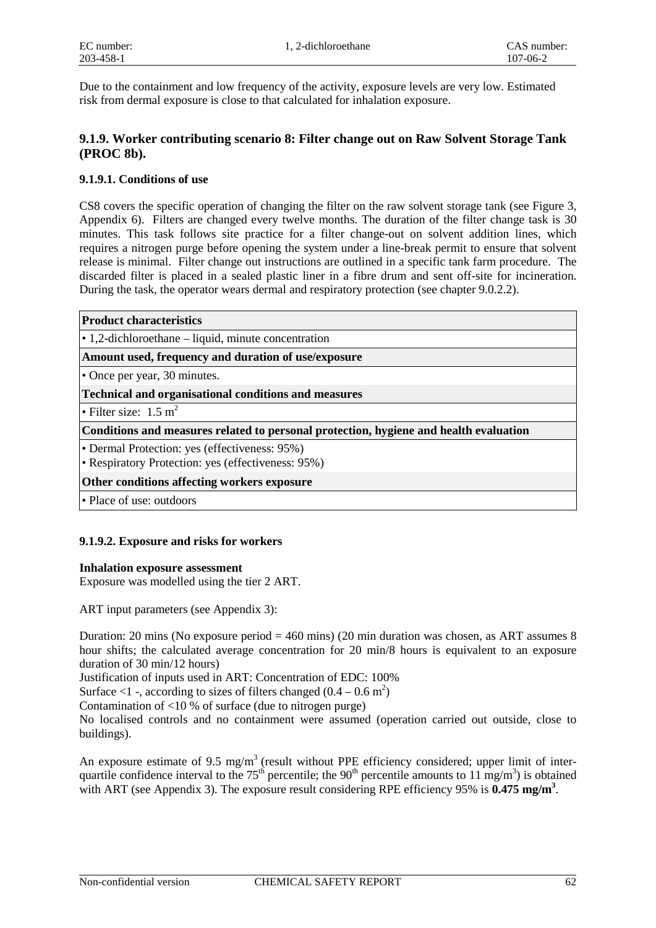Due to the containment and low frequency of the activity, exposure levels are very low. Estimated risk from dermal exposure is close to that calculated for inhalation exposure.

#### **9.1.9. Worker contributing scenario 8: Filter change out on Raw Solvent Storage Tank (PROC 8b).**

#### **9.1.9.1. Conditions of use**

CS8 covers the specific operation of changing the filter on the raw solvent storage tank (see Figure 3, Appendix 6). Filters are changed every twelve months. The duration of the filter change task is 30 minutes. This task follows site practice for a filter change-out on solvent addition lines, which requires a nitrogen purge before opening the system under a line-break permit to ensure that solvent release is minimal. Filter change out instructions are outlined in a specific tank farm procedure. The discarded filter is placed in a sealed plastic liner in a fibre drum and sent off-site for incineration. During the task, the operator wears dermal and respiratory protection (see chapter 9.0.2.2).

#### **Product characteristics**

• 1,2-dichloroethane – liquid, minute concentration

**Amount used, frequency and duration of use/exposure**

• Once per year, 30 minutes.

**Technical and organisational conditions and measures**

• Filter size:  $1.5 \text{ m}^2$ 

**Conditions and measures related to personal protection, hygiene and health evaluation**

• Dermal Protection: yes (effectiveness: 95%)

• Respiratory Protection: yes (effectiveness: 95%)

#### **Other conditions affecting workers exposure**

• Place of use: outdoors

#### **9.1.9.2. Exposure and risks for workers**

#### **Inhalation exposure assessment**

Exposure was modelled using the tier 2 ART.

ART input parameters (see Appendix 3):

Duration: 20 mins (No exposure period  $= 460$  mins) (20 min duration was chosen, as ART assumes 8 hour shifts; the calculated average concentration for 20 min/8 hours is equivalent to an exposure duration of 30 min/12 hours)

Justification of inputs used in ART: Concentration of EDC: 100%

Surface <1 -, according to sizes of filters changed  $(0.4 - 0.6 \text{ m}^2)$ 

Contamination of <10 % of surface (due to nitrogen purge)

No localised controls and no containment were assumed (operation carried out outside, close to buildings).

An exposure estimate of 9.5 mg/m<sup>3</sup> (result without PPE efficiency considered; upper limit of interquartile confidence interval to the  $75<sup>th</sup>$  percentile; the 90<sup>th</sup> percentile amounts to 11 mg/m<sup>3</sup>) is obtained with ART (see Appendix 3). The exposure result considering RPE efficiency 95% is **0.475 mg/m<sup>3</sup>**.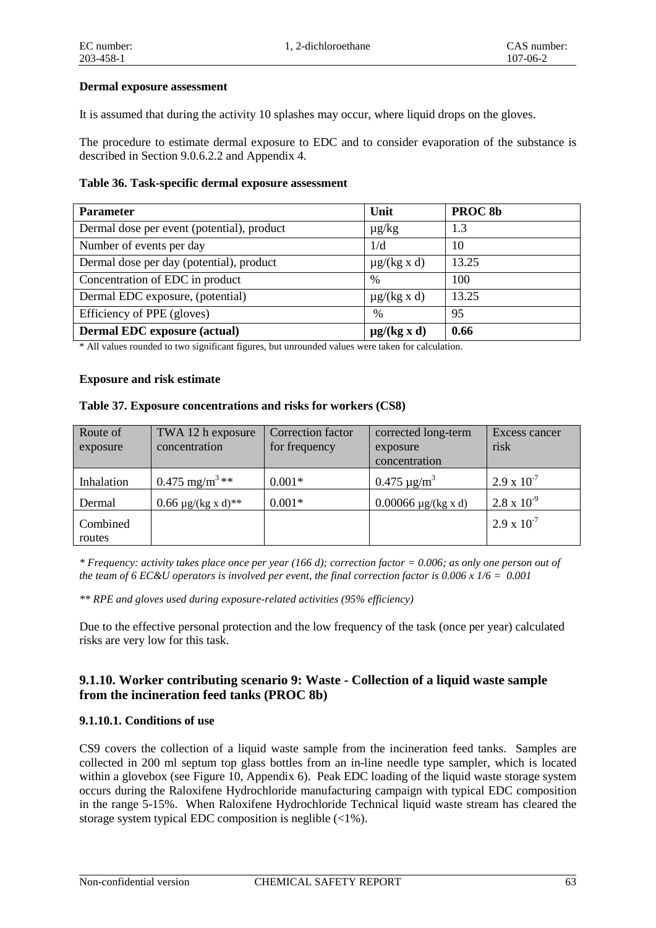#### **Dermal exposure assessment**

It is assumed that during the activity 10 splashes may occur, where liquid drops on the gloves.

The procedure to estimate dermal exposure to EDC and to consider evaporation of the substance is described in Section 9.0.6.2.2 and Appendix 4.

#### **Table 36. Task-specific dermal exposure assessment**

| <b>Parameter</b>                           | Unit             | PROC <sub>8b</sub> |
|--------------------------------------------|------------------|--------------------|
| Dermal dose per event (potential), product | $\mu$ g/kg       | 1.3                |
| Number of events per day                   | 1/d              | 10                 |
| Dermal dose per day (potential), product   | $\mu$ g/(kg x d) | 13.25              |
| Concentration of EDC in product            | $\frac{0}{0}$    | 100                |
| Dermal EDC exposure, (potential)           | $\mu$ g/(kg x d) | 13.25              |
| Efficiency of PPE (gloves)                 | $\%$             | 95                 |
| <b>Dermal EDC</b> exposure (actual)        | $\mu$ g/(kg x d) | 0.66               |

\* All values rounded to two significant figures, but unrounded values were taken for calculation.

#### **Exposure and risk estimate**

#### **Table 37. Exposure concentrations and risks for workers (CS8)**

| Route of<br>exposure | TWA 12 h exposure<br>concentration | Correction factor<br>for frequency | corrected long-term<br>exposure<br>concentration | Excess cancer<br>risk |
|----------------------|------------------------------------|------------------------------------|--------------------------------------------------|-----------------------|
| Inhalation           | $0.475$ mg/m <sup>3</sup> **       | $0.001*$                           | $0.475 \mu g/m^3$                                | $2.9 \times 10^{-7}$  |
| Dermal               | $0.66 \mu g/(kg x d)^{**}$         | $0.001*$                           | $0.00066 \mu g/(kg x d)$                         | $2.8 \times 10^{-9}$  |
| Combined<br>routes   |                                    |                                    |                                                  | $2.9 \times 10^{-7}$  |

*\* Frequency: activity takes place once per year (166 d); correction factor = 0.006; as only one person out of the team of 6 EC&U operators is involved per event, the final correction factor is 0.006 x 1/6 = 0.001*

*\*\* RPE and gloves used during exposure-related activities (95% efficiency)* 

Due to the effective personal protection and the low frequency of the task (once per year) calculated risks are very low for this task.

#### **9.1.10. Worker contributing scenario 9: Waste - Collection of a liquid waste sample from the incineration feed tanks (PROC 8b)**

#### **9.1.10.1. Conditions of use**

CS9 covers the collection of a liquid waste sample from the incineration feed tanks. Samples are collected in 200 ml septum top glass bottles from an in-line needle type sampler, which is located within a glovebox (see Figure 10, Appendix 6). Peak EDC loading of the liquid waste storage system occurs during the Raloxifene Hydrochloride manufacturing campaign with typical EDC composition in the range 5-15%. When Raloxifene Hydrochloride Technical liquid waste stream has cleared the storage system typical EDC composition is neglible (<1%).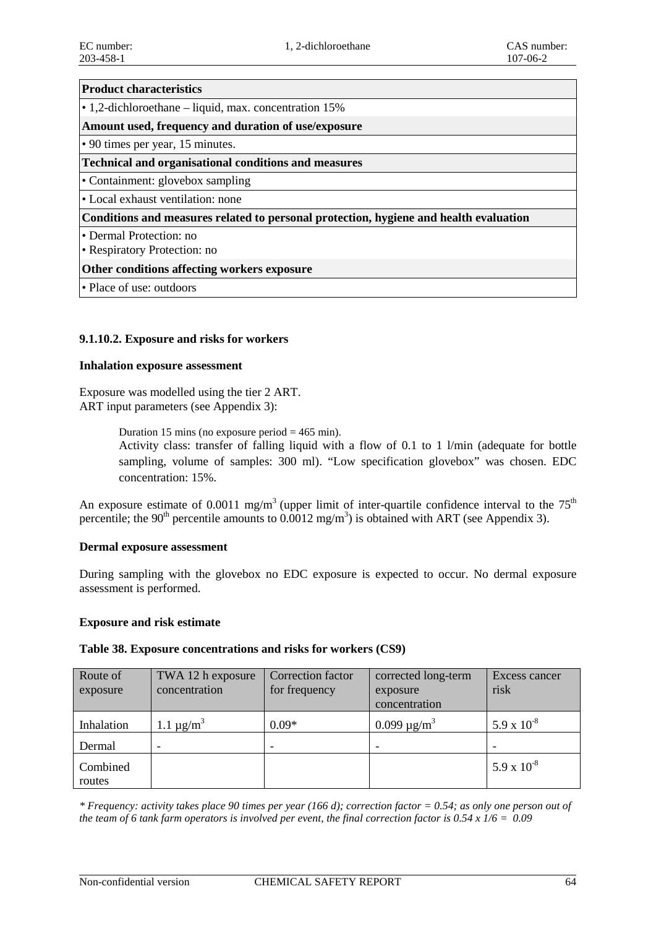#### **Product characteristics**

• 1,2-dichloroethane – liquid, max. concentration 15%

**Amount used, frequency and duration of use/exposure**

• 90 times per year, 15 minutes.

#### **Technical and organisational conditions and measures**

• Containment: glovebox sampling

• Local exhaust ventilation: none

**Conditions and measures related to personal protection, hygiene and health evaluation**

• Dermal Protection: no

• Respiratory Protection: no

#### **Other conditions affecting workers exposure**

• Place of use: outdoors

#### **9.1.10.2. Exposure and risks for workers**

#### **Inhalation exposure assessment**

Exposure was modelled using the tier 2 ART. ART input parameters (see Appendix 3):

Duration 15 mins (no exposure period  $= 465$  min).

Activity class: transfer of falling liquid with a flow of 0.1 to 1 l/min (adequate for bottle sampling, volume of samples: 300 ml). "Low specification glovebox" was chosen. EDC concentration: 15%.

An exposure estimate of 0.0011 mg/m<sup>3</sup> (upper limit of inter-quartile confidence interval to the  $75<sup>th</sup>$ percentile; the 90<sup>th</sup> percentile amounts to  $0.0012$  mg/m<sup>3</sup>) is obtained with ART (see Appendix 3).

#### **Dermal exposure assessment**

During sampling with the glovebox no EDC exposure is expected to occur. No dermal exposure assessment is performed.

#### **Exposure and risk estimate**

#### **Table 38. Exposure concentrations and risks for workers (CS9)**

| Route of           | TWA 12 h exposure          | Correction factor | corrected long-term          | Excess cancer   |
|--------------------|----------------------------|-------------------|------------------------------|-----------------|
| exposure           | concentration              | for frequency     | exposure                     | risk            |
|                    |                            |                   | concentration                |                 |
| Inhalation         | 1.1 $\mu$ g/m <sup>3</sup> | $0.09*$           | 0.099 $\mu$ g/m <sup>3</sup> | 5.9 x $10^{-8}$ |
| Dermal             |                            |                   |                              |                 |
| Combined<br>routes |                            |                   |                              | 5.9 x $10^{-8}$ |

*\* Frequency: activity takes place 90 times per year (166 d); correction factor = 0.54; as only one person out of the team of 6 tank farm operators is involved per event, the final correction factor is 0.54 x 1/6 = 0.09*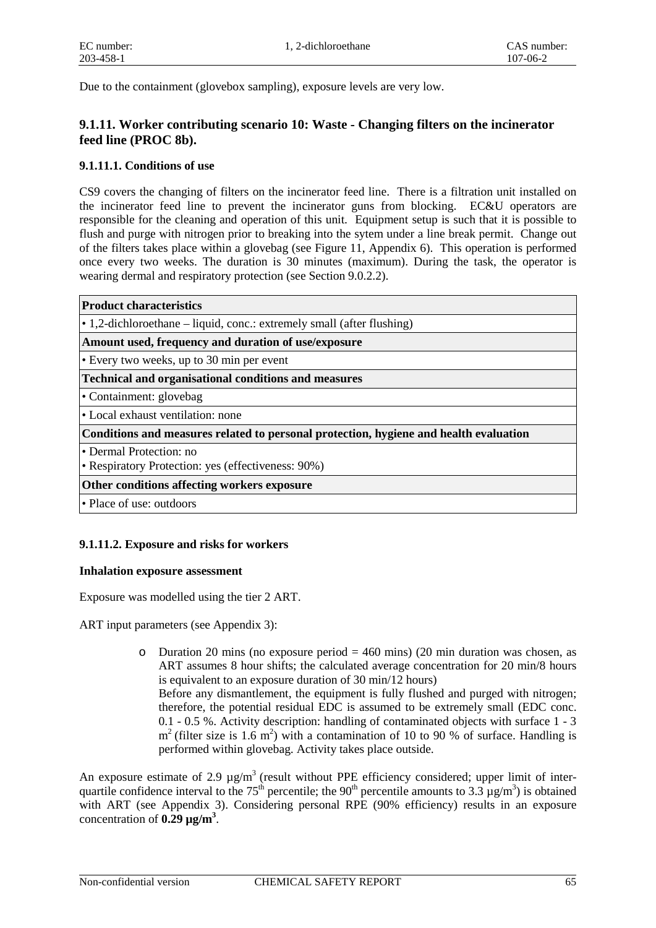Due to the containment (glovebox sampling), exposure levels are very low.

#### **9.1.11. Worker contributing scenario 10: Waste - Changing filters on the incinerator feed line (PROC 8b).**

#### **9.1.11.1. Conditions of use**

CS9 covers the changing of filters on the incinerator feed line. There is a filtration unit installed on the incinerator feed line to prevent the incinerator guns from blocking. EC&U operators are responsible for the cleaning and operation of this unit. Equipment setup is such that it is possible to flush and purge with nitrogen prior to breaking into the sytem under a line break permit. Change out of the filters takes place within a glovebag (see Figure 11, Appendix 6). This operation is performed once every two weeks. The duration is 30 minutes (maximum). During the task, the operator is wearing dermal and respiratory protection (see Section 9.0.2.2).

| <b>Product characteristics</b>                                                        |
|---------------------------------------------------------------------------------------|
| • 1,2-dichloroethane – liquid, conc.: extremely small (after flushing)                |
| Amount used, frequency and duration of use/exposure                                   |
| • Every two weeks, up to 30 min per event                                             |
| <b>Technical and organisational conditions and measures</b>                           |
| • Containment: glovebag                                                               |
| • Local exhaust ventilation: none                                                     |
| Conditions and measures related to personal protection, hygiene and health evaluation |
| • Dermal Protection: no<br>• Respiratory Protection: yes (effectiveness: 90%)         |
| Other conditions affecting workers exposure                                           |
| • Place of use: outdoors                                                              |
|                                                                                       |

#### **9.1.11.2. Exposure and risks for workers**

#### **Inhalation exposure assessment**

Exposure was modelled using the tier 2 ART.

ART input parameters (see Appendix 3):

o Duration 20 mins (no exposure period  $= 460$  mins) (20 min duration was chosen, as ART assumes 8 hour shifts; the calculated average concentration for 20 min/8 hours is equivalent to an exposure duration of 30 min/12 hours) Before any dismantlement, the equipment is fully flushed and purged with nitrogen; therefore, the potential residual EDC is assumed to be extremely small (EDC conc. 0.1 - 0.5 %. Activity description: handling of contaminated objects with surface 1 - 3  $m<sup>2</sup>$  (filter size is 1.6 m<sup>2</sup>) with a contamination of 10 to 90 % of surface. Handling is performed within glovebag. Activity takes place outside.

An exposure estimate of 2.9  $\mu$ g/m<sup>3</sup> (result without PPE efficiency considered; upper limit of interquartile confidence interval to the 75<sup>th</sup> percentile; the 90<sup>th</sup> percentile amounts to 3.3  $\mu$ g/m<sup>3</sup>) is obtained with ART (see Appendix 3). Considering personal RPE (90% efficiency) results in an exposure concentration of **0.29 µg/m3** .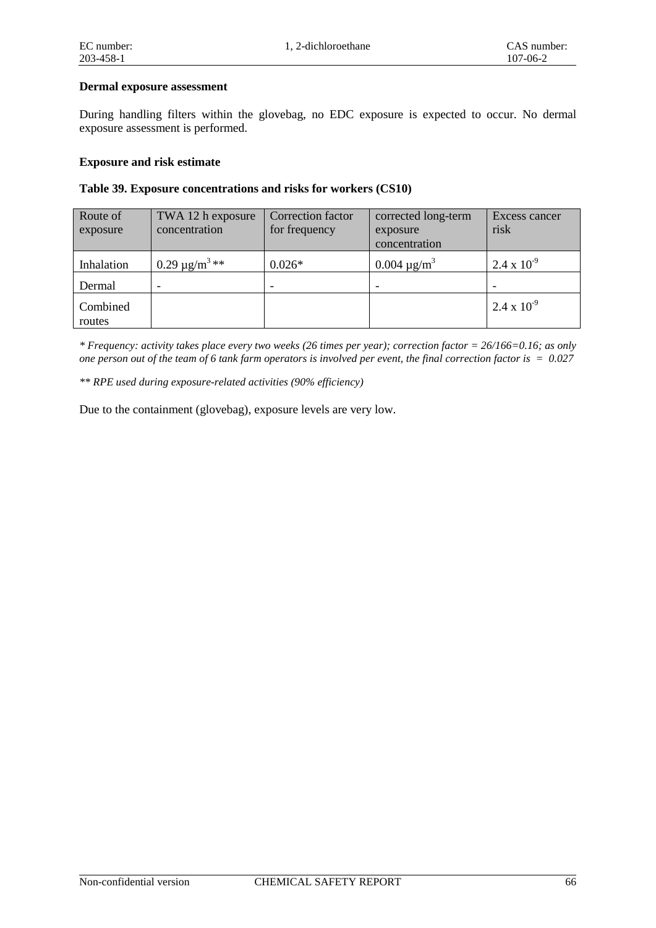#### **Dermal exposure assessment**

During handling filters within the glovebag, no EDC exposure is expected to occur. No dermal exposure assessment is performed.

#### **Exposure and risk estimate**

#### **Table 39. Exposure concentrations and risks for workers (CS10)**

| Route of<br>exposure | TWA 12 h exposure<br>concentration | Correction factor<br>for frequency | corrected long-term<br>exposure<br>concentration | Excess cancer<br>risk |
|----------------------|------------------------------------|------------------------------------|--------------------------------------------------|-----------------------|
| Inhalation           | $0.29 \,\mathrm{\mu g/m^3}_{***}$  | $0.026*$                           | $0.004 \mu g/m^3$                                | $2.4 \times 10^{-9}$  |
| Dermal               |                                    |                                    |                                                  |                       |
| Combined<br>routes   |                                    |                                    |                                                  | $2.4 \times 10^{-9}$  |

*\* Frequency: activity takes place every two weeks (26 times per year); correction factor = 26/166=0.16; as only one person out of the team of 6 tank farm operators is involved per event, the final correction factor is = 0.027*

*\*\* RPE used during exposure-related activities (90% efficiency)* 

Due to the containment (glovebag), exposure levels are very low.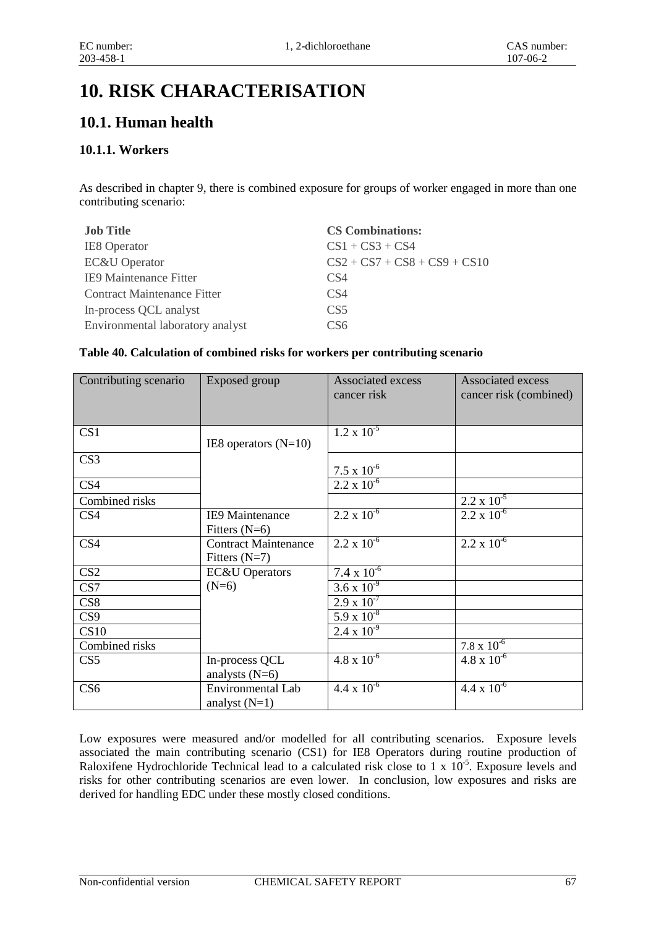# **10. RISK CHARACTERISATION**

# **10.1. Human health**

## **10.1.1. Workers**

As described in chapter 9, there is combined exposure for groups of worker engaged in more than one contributing scenario:

| <b>Job Title</b>                 | <b>CS Combinations:</b>        |
|----------------------------------|--------------------------------|
| <b>IE8</b> Operator              | $CS1 + CS3 + CS4$              |
| <b>EC&amp;U</b> Operator         | $CS2 + CS7 + CS8 + CS9 + CS10$ |
| IE9 Maintenance Fitter           | CS4                            |
| Contract Maintenance Fitter      | CS <sub>4</sub>                |
| In-process QCL analyst           | CS <sub>5</sub>                |
| Environmental laboratory analyst | CS6                            |

#### **Table 40. Calculation of combined risks for workers per contributing scenario**

| Contributing scenario | Exposed group                                  | <b>Associated excess</b><br>cancer risk | <b>Associated excess</b><br>cancer risk (combined) |
|-----------------------|------------------------------------------------|-----------------------------------------|----------------------------------------------------|
| CS <sub>1</sub>       | IE8 operators $(N=10)$                         | $1.2 \times 10^{-5}$                    |                                                    |
| CS <sub>3</sub>       |                                                | $7.5 \times 10^{-6}$                    |                                                    |
| CS <sub>4</sub>       |                                                | $2.2 \times 10^{-6}$                    |                                                    |
| Combined risks        |                                                |                                         | $2.2 \times 10^{-5}$                               |
| CS <sub>4</sub>       | <b>IE9 Maintenance</b><br>Fitters $(N=6)$      | $2.2 \times 10^{-6}$                    | $2.2 \times 10^{-6}$                               |
| CS4                   | <b>Contract Maintenance</b><br>Fitters $(N=7)$ | $2.2 \times 10^{-6}$                    | $2.2 \times 10^{-6}$                               |
| CS <sub>2</sub>       | <b>EC&amp;U</b> Operators                      | $7.4 \times 10^{-6}$                    |                                                    |
| CS7                   | $(N=6)$                                        | $3.6 \times 10^{-9}$                    |                                                    |
| CS8                   |                                                | $2.9 \times 10^{-7}$                    |                                                    |
| CS <sub>9</sub>       |                                                | $5.9 \times 10^{-8}$                    |                                                    |
| CS10                  |                                                | $2.4 \times 10^{-9}$                    |                                                    |
| Combined risks        |                                                |                                         | $7.8 \times 10^{-6}$                               |
| CS <sub>5</sub>       | In-process QCL<br>analysts $(N=6)$             | $4.8 \times 10^{-6}$                    | $4.8 \times 10^{-6}$                               |
| CS <sub>6</sub>       | Environmental Lab<br>analyst $(N=1)$           | $4.4 \times 10^{-6}$                    | $4.4 \times 10^{-6}$                               |

Low exposures were measured and/or modelled for all contributing scenarios. Exposure levels associated the main contributing scenario (CS1) for IE8 Operators during routine production of Raloxifene Hydrochloride Technical lead to a calculated risk close to 1 x  $10^{-5}$ . Exposure levels and risks for other contributing scenarios are even lower. In conclusion, low exposures and risks are derived for handling EDC under these mostly closed conditions.